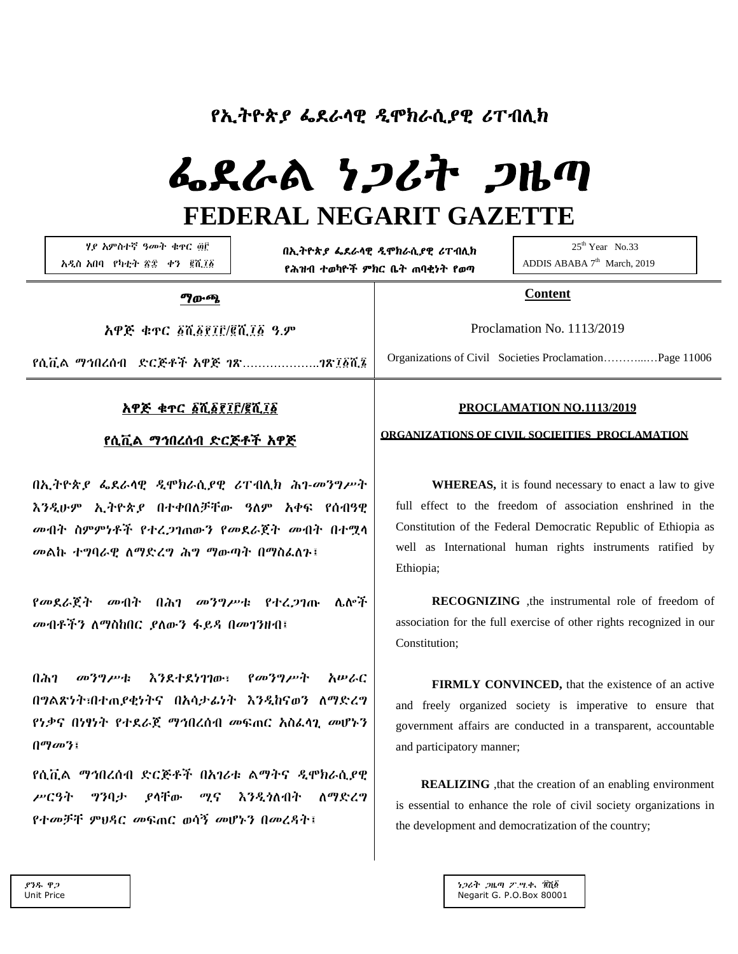# የኢትዮጵያ ፌደራላዊ ዲሞክራሲያዊ ሪፐብሊክ

# ፌደራል ነጋሪት ጋዜጣ **FEDERAL NEGARIT GAZETTE**

 ሃያ አምስተኛ ዓመት ቁጥር ፴፫ አዲስ አበባ የካቲት ፳፰ ቀን ፪ሺ፲፩

በኢትዮጵያ ፌደራላዊ ዲሞክራሲያዊ ሪፐብሊክ የሕዝብ ተወካዮች ምክር ቤት ጠባቂነት የወጣ

25<sup>th</sup> Year No.33 ADDIS ABABA  $7<sup>th</sup>$  March, 2019

#### ማውጫ

አዋጅ ቁጥር ፩ሺ፩፻፲፫/፪ሺ፲፩ ዓ.ም

የሲቪል ማኅበረሰብ ድርጅቶች አዋጅ ገጽ………………..ገጽ፲፩ሺ፮

### አዋጅ ቁጥር ፩ሺ፩፻፲፫/፪ሺ፲፩

#### የሲቪል ማኅበረሰብ ድርጅቶች አዋጅ

በኢትዮጵያ ፌደራላዊ ዲሞክራሲያዊ ሪፐብሊክ ሕገ-መንግሥት እንዲሁም ኢትዮጵያ በተቀበለቻቸው ዓለም አቀፍ የሰብዓዊ መብት ስምምነቶች የተረጋገጠውን የመደራጀት መብት በተሟላ መልኩ ተግባራዊ ለማድረግ ሕግ ማውጣት በማስፈለጉ፤

የመደራጀት መብት በሕገ መንግሥቱ የተረጋገጡ ሌሎች መብቶችን ለማስከበር ያለውን ፋይዳ በመገንዘብ፤

በሕገ መንግሥቱ እንደተደነገገው፣ የመንግሥት አሠራር በግልጽነት፣በተጠያቂነትና በአሳታፊነት እንዲከናወን ለማድረግ የነቃና በነፃነት የተደራጀ ማኅበረሰብ መፍጠር አስፈላጊ መሆኑን በማመን፤

የሲቪል ማኅበረሰብ ድርጅቶች በአገሪቱ ልማትና ዲሞክራሲያዊ ሥርዓት ግንባታ ያላቸው ሚና እንዲጎለብት ለማድረግ የተመቻቸ ምህዳር መፍጠር ወሳኝ መሆኑን በመረዳት፤

#### **PROCLAMATION NO.1113/2019**

**Content**

Proclamation No. 1113/2019

Organizations of Civil Societies Proclamation………...…Page 11006

#### **ORGANIZATIONS OF CIVIL SOCIEITIES PROCLAMATION**

 **WHEREAS,** it is found necessary to enact a law to give full effect to the freedom of association enshrined in the Constitution of the Federal Democratic Republic of Ethiopia as well as International human rights instruments ratified by Ethiopia;

 **RECOGNIZING** ,the instrumental role of freedom of association for the full exercise of other rights recognized in our Constitution;

 **FIRMLY CONVINCED,** that the existence of an active and freely organized society is imperative to ensure that government affairs are conducted in a transparent, accountable and participatory manner;

**REALIZING**, that the creation of an enabling environment is essential to enhance the role of civil society organizations in the development and democratization of the country;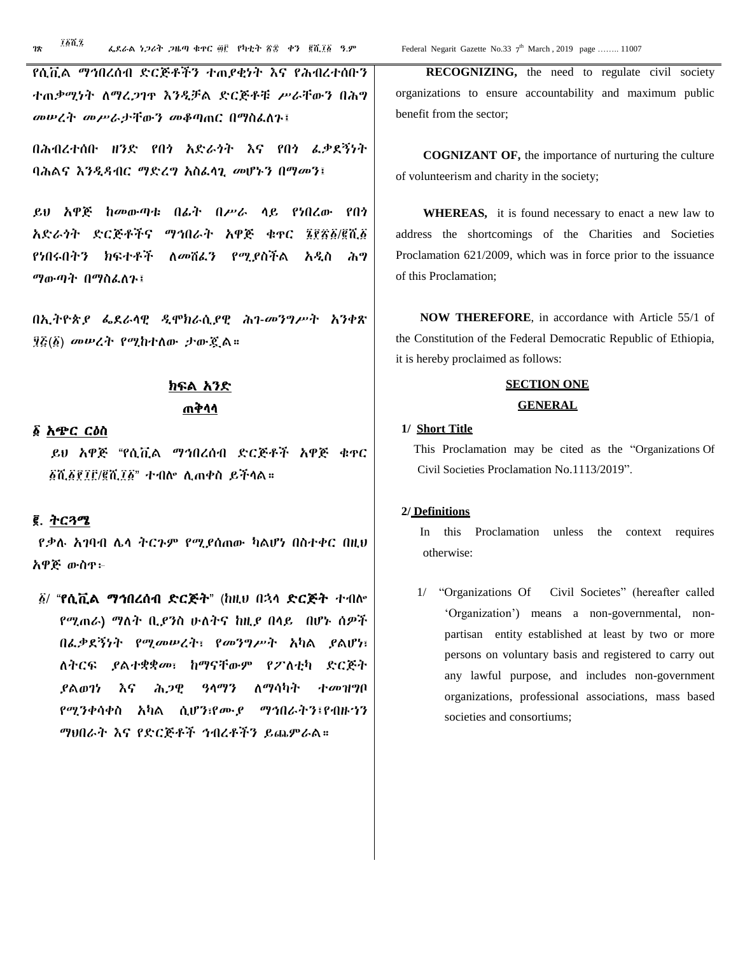፲፩ሺ፯

የሲቪል ማኅበረሰብ ድርጅቶችን ተጠያቂነት እና የሕብረተሰቡን ተጠቃሚነት ለማረጋገጥ እንዲቻል ድርጅቶቹ ሥራቸውን በሕግ መሠረት መሥራታቸውን መቆጣጠር በማስፈለጉ፤

በሕብረተሰቡ ዘንድ የበጎ አድራጎት እና የበጎ ፈቃደኝነት ባሕልና እንዲዳብር ማድረግ አስፈላጊ መሆኑን በማመን፤

ይህ አዋጅ ከመውጣቱ በፊት በሥራ ላይ የነበረው የበጎ አድራጎት ድርጅቶችና ማኅበራት አዋጅ ቁጥር ፮፻፳፩/፪ሺ፩ የነበሩበትን ክፍተቶች ለመሸፈን የሚያስችል አዲስ ሕግ ማውጣት በማስፈለጉ፤

በኢትዮጵያ ፌደራላዊ ዲሞክራሲያዊ ሕገ-መንግሥት አንቀጽ ፶፭(፩) መሠረት የሚከተለው ታውጇል።

# ክፍል አንድ ጠቅላላ

#### ፩ አጭር ርዕስ

 ይህ አዋጅ "የሲቪል ማኅበረሰብ ድርጅቶች አዋጅ ቁጥር ፩ሺ፩፻፲፫/፪ሺ፲፩" ተብሎ ሊጠቀስ ይችላል።

#### ፪. ትርጓሜ

የቃሉ አገባብ ሌላ ትርጉም የሚያሰጠው ካልሆነ በስተቀር በዚህ አዋጅ ውስጥ፦

፩/ "የሲቪል ማኅበረሰብ ድርጅት" (ከዚህ በኋላ ድርጅት ተብሎ የሚጠራ) ማለት ቢያንስ ሁለትና ከዚያ በላይ በሆኑ ሰዎች በፈቃደኝነት የሚመሠረት፣ የመንግሥት አካል ያልሆነ፣ ለትርፍ ያልተቋቋመ፣ ከማናቸውም የፖለቲካ ድርጅት ያልወገነ እና ሕጋዊ ዓላማን ለማሳካት ተመዝግቦ የሚንቀሳቀስ አካል ሲሆን፣የሙያ ማኅበራትን፤የብዙኀን ማህበራት እና የድርጅቶች ኅብረቶችን ይጨምራል።

th March, 2019 page ........ 11007

 **RECOGNIZING,** the need to regulate civil society organizations to ensure accountability and maximum public benefit from the sector;

 **COGNIZANT OF,** the importance of nurturing the culture of volunteerism and charity in the society;

 **WHEREAS,** it is found necessary to enact a new law to address the shortcomings of the Charities and Societies Proclamation 621/2009, which was in force prior to the issuance of this Proclamation;

 **NOW THEREFORE**, in accordance with Article 55/1 of the Constitution of the Federal Democratic Republic of Ethiopia, it is hereby proclaimed as follows:

#### **SECTION ONE**

#### **GENERAL**

#### **1/ Short Title**

 This Proclamation may be cited as the "Organizations Of Civil Societies Proclamation No.1113/2019".

#### **2/ Definitions**

 In this Proclamation unless the context requires otherwise:

 1/ "Organizations Of Civil Societes" (hereafter called 'Organization') means a non-governmental, nonpartisan entity established at least by two or more persons on voluntary basis and registered to carry out any lawful purpose, and includes non-government organizations, professional associations, mass based societies and consortiums;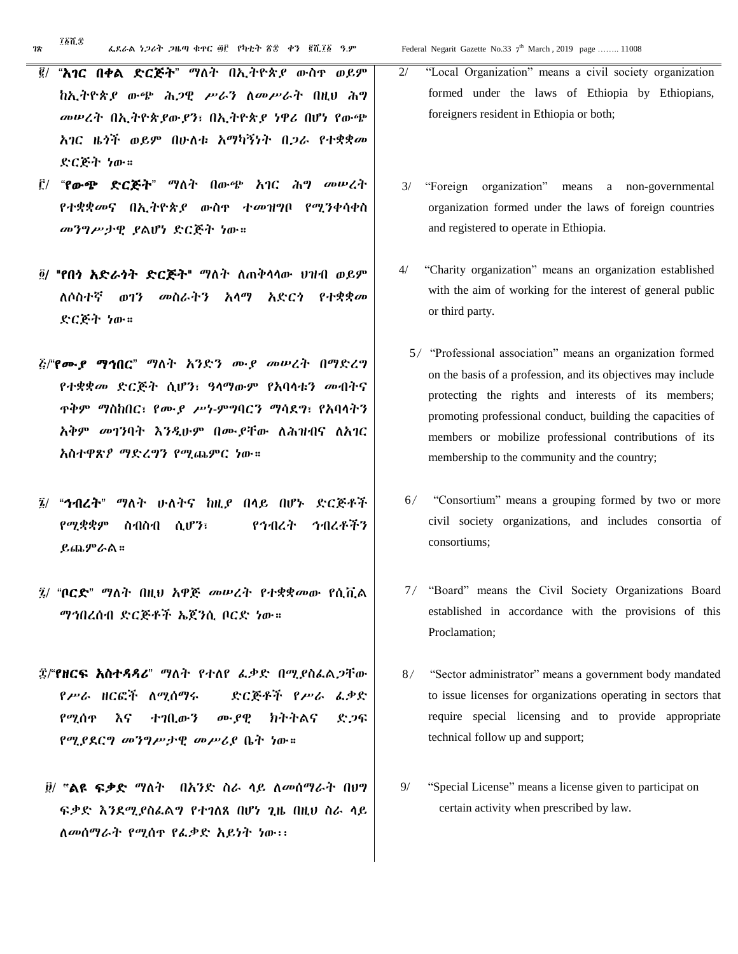- ፪/ "አገር በቀል ድርጅት" ማለት በኢትዮጵያ ውስጥ ወይም ከኢትዮጵያ ውጭ ሕጋዊ ሥራን ለመሥራት በዚህ ሕግ መሠረት በኢትዮጵያውያን፣ በኢትዮጵያ ነዋሪ በሆነ የውጭ አገር ዜጎች ወይም በሁለቱ አማካኝነት በጋራ የተቋቋመ ድርጅት ነው።
- ፫/ "የውጭ ድርጅት" ማለት በውጭ አገር ሕግ መሠረት የተቋቋመና በኢትዮጵያ ውስጥ ተመዝግቦ የሚንቀሳቀስ መንግሥታዊ ያልሆነ ድርጅት ነው።
- ፬/ "የበጎ አድራጎት ድርጅት" ማለት ለጠቅላላው ህዝብ ወይም ለሶስተኛ ወገን መስራትን አላማ አድርጎ የተቋቋመ ድርጅት ነው።
- ፭/"የሙያ ማኅበር" ማለት አንድን ሙያ መሠረት በማድረግ የተቋቋመ ድርጅት ሲሆን፣ ዓላማውም የአባላቱን መብትና ጥቅም ማስከበር፣ የሙያ ሥነ-ምግባርን ማሳደግ፣ የአባላትን አቅም መገንባት እንዲሁም በሙያቸው ለሕዝብና ለአገር አስተዋጽዖ ማድረግን የሚጨምር ነው።
- ፮/ "ኅብረት" ማለት ሁለትና ከዚያ በላይ በሆኑ ድርጅቶች የሚቋቋም ስብስብ ሲሆን፣ የኅብረት ኅብረቶችን ይጨምራል።
- ፯/ "ቦርድ" ማለት በዚህ አዋጅ መሠረት የተቋቋመው የሲቪል ማኅበረሰብ ድርጅቶች ኤጀንሲ ቦርድ ነው።
- ፰/"የዘርፍ አስተዳዳሪ" ማለት የተለየ ፈቃድ በሚያስፈልጋቸው የሥራ ዘርፎች ለሚሰማሩ ድርጅቶች የሥራ ፈቃድ የሚሰጥ እና ተገቢውን ሙያዊ ክትትልና ድጋፍ የሚያደርግ መንግሥታዊ መሥሪያ ቤት ነው።
- ፱/ **"**ልዩ ፍቃድ ማለት በአንድ ስራ ላይ ለመሰማራት በህግ ፍቃድ እንደሚያስፈልግ የተገለጸ በሆነ ጊዜ በዚህ ስራ ላይ ለመሰማራት የሚሰጥ የፈቃድ አይነት ነው፡፡
- 2/ "Local Organization" means a civil society organization formed under the laws of Ethiopia by Ethiopians, foreigners resident in Ethiopia or both;
- 3/ "Foreign organization" means a non-governmental organization formed under the laws of foreign countries and registered to operate in Ethiopia.
- 4/ "Charity organization" means an organization established with the aim of working for the interest of general public or third party.
	- 5/ "Professional association" means an organization formed on the basis of a profession, and its objectives may include protecting the rights and interests of its members; promoting professional conduct, building the capacities of members or mobilize professional contributions of its membership to the community and the country;
- 6/ "Consortium" means a grouping formed by two or more civil society organizations, and includes consortia of consortiums;
- 7/ "Board" means the Civil Society Organizations Board established in accordance with the provisions of this Proclamation;
- 8/ "Sector administrator" means a government body mandated to issue licenses for organizations operating in sectors that require special licensing and to provide appropriate technical follow up and support;
- 9/ "Special License" means a license given to participat on certain activity when prescribed by law.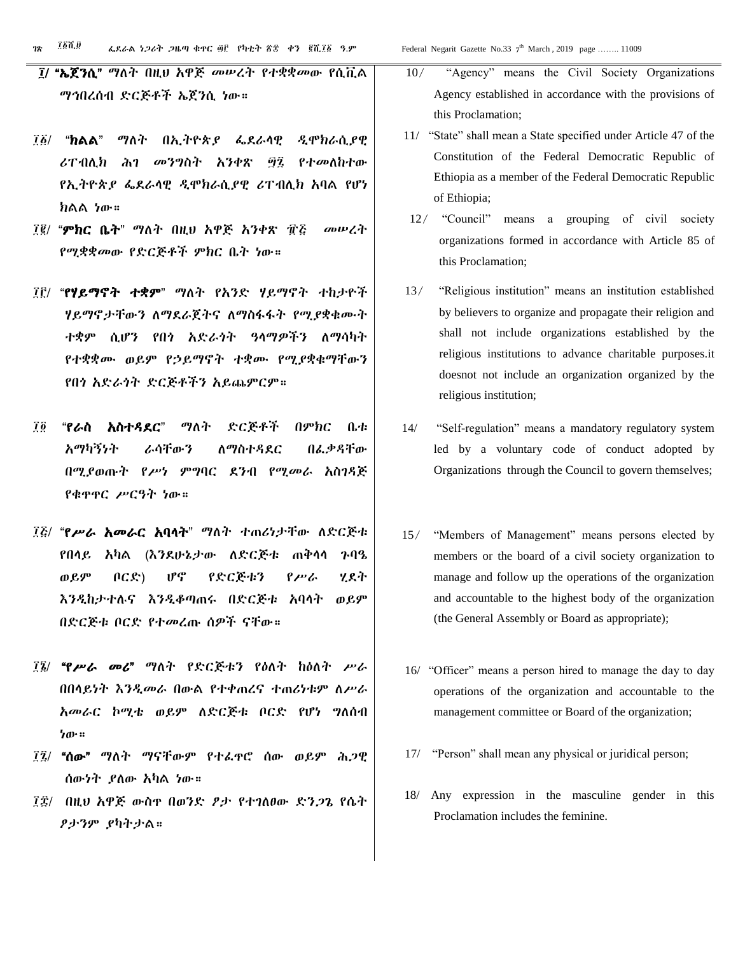- ፲/ "ኤጀንሲ" ማለት በዚህ አዋጅ መሠረት የተቋቋመው የሲቪል ማኅበረሰብ ድርጅቶች ኤጀንሲ ነው።
- ፲፩/ "ክልል" ማለት በኢትዮጵያ ፌደራላዊ ዲሞክራሲያዊ ሪፐብሊክ ሕገ መንግስት አንቀጽ ፵፯ የተመለከተው የኢትዮጵያ ፌደራላዊ ዲሞክራሲያዊ ሪፐብሊክ አባል የሆነ ክልል ነው።
- ፲፪/ "ምክር ቤት" ማለት በዚህ አዋጅ አንቀጽ ፹፭ መሠረት የሚቋቋመው የድርጅቶች ምክር ቤት ነው።
- ፲፫/ "የሃይማኖት ተቋም" ማለት የአንድ ሃይማኖት ተከታዮች ሃይማኖታቸውን ለማደራጀትና ለማስፋፋት የሚያቋቁሙት ተቋም ሲሆን የበጎ አድራጎት ዓላማዎችን ለማሳካት የተቋቋሙ ወይም የኃይማኖት ተቋሙ የሚያቋቁማቸውን የበጎ አድራጎት ድርጅቶችን አይጨምርም።
- ፲፬ "የራስ አስተዳደር" ማለት ድርጅቶች በምክር ቤቱ አማካኝነት ራሳቸውን ለማስተዳደር በፈቃዳቸው በሚያወጡት የሥነ ምግባር ደንብ የሚመራ አስገዳጅ የቁጥጥር ሥርዓት ነው።
- ፲፭/ "የሥራ አመራር አባላት" ማለት ተጠሪነታቸው ለድርጅቱ የበላይ አካል (እንደሁኔታው ለድርጅቱ ጠቅላላ ጉባዔ ወይም ቦርድ) ሆኖ የድርጅቱን የሥራ ሂደት እንዲከታተሉና እንዲቆጣጠሩ በድርጅቱ አባላት ወይም በድርጅቱ ቦርድ የተመረጡ ሰዎች ናቸው።
- ፲፮/ "የሥራ መሪ" ማለት የድርጅቱን የዕለት ከዕለት ሥራ በበላይነት እንዲመራ በውል የተቀጠረና ተጠሪነቱም ለሥራ አመራር ኮሚቴ ወይም ለድርጅቱ ቦርድ የሆነ ግለሰብ ነው።
- ፲፯/ "ሰው" ማለት ማናቸውም የተፈጥሮ ሰው ወይም ሕጋዊ ሰውነት ያለው አካል ነው።
- ፲፰/ በዚህ አዋጅ ውስጥ በወንድ ፆታ የተገለፀው ድንጋጌ የሴት ፆታንም ያካትታል።

th March, 2019 page ........ 11009

- 10/ "Agency" means the Civil Society Organizations Agency established in accordance with the provisions of this Proclamation;
- 11/ "State" shall mean a State specified under Article 47 of the Constitution of the Federal Democratic Republic of Ethiopia as a member of the Federal Democratic Republic of Ethiopia;
- 12/ "Council" means a grouping of civil society organizations formed in accordance with Article 85 of this Proclamation;
- 13/ "Religious institution" means an institution established by believers to organize and propagate their religion and shall not include organizations established by the religious institutions to advance charitable purposes.it doesnot not include an organization organized by the religious institution;
- 14/ "Self-regulation" means a mandatory regulatory system led by a voluntary code of conduct adopted by Organizations through the Council to govern themselves;
- 15/ "Members of Management" means persons elected by members or the board of a civil society organization to manage and follow up the operations of the organization and accountable to the highest body of the organization (the General Assembly or Board as appropriate);
- 16/ "Officer" means a person hired to manage the day to day operations of the organization and accountable to the management committee or Board of the organization;
- 17/ "Person" shall mean any physical or juridical person;
- 18/ Any expression in the masculine gender in this Proclamation includes the feminine.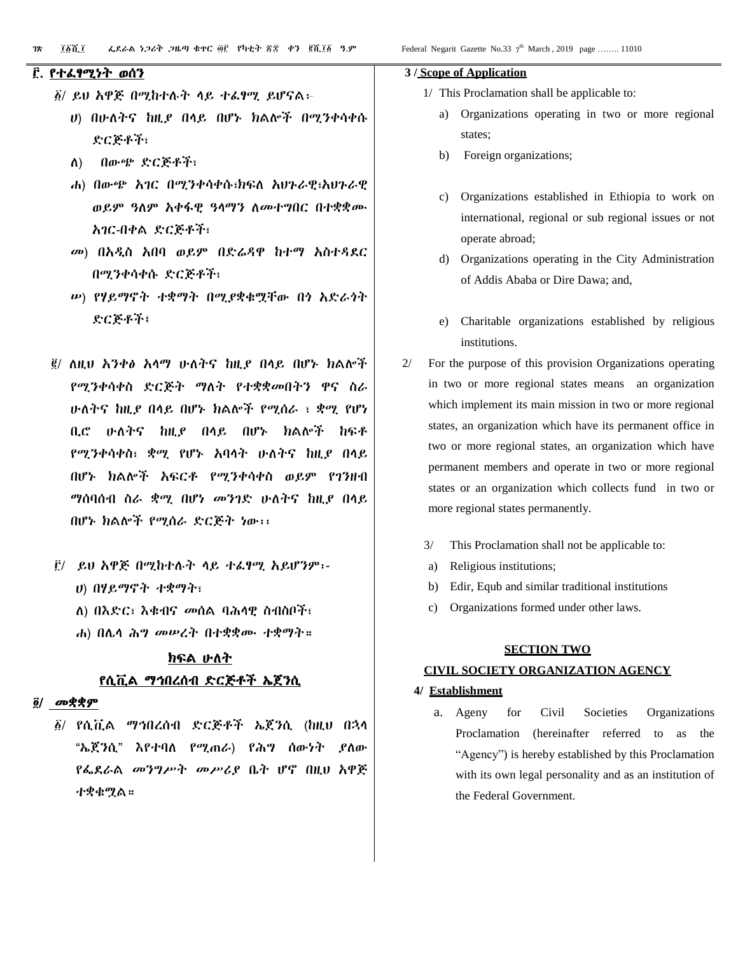#### ፫. የተፈፃሚነት ወሰን

- ፩/ ይህ አዋጅ በሚከተሉት ላይ ተፈፃሚ ይሆናል፦
	- ሀ) በሁለትና ከዚያ በላይ በሆኑ ክልሎች በሚንቀሳቀሱ ድርጅቶች፣
	- ለ) በውጭ ድርጅቶች፣
	- ሐ) በውጭ አገር በሚንቀሳቀሱ፣ክፍለ አህጉራዊ፣አህጉራዊ ወይም ዓለም አቀፋዊ ዓላማን ለመተግበር በተቋቋሙ አገር-በቀል ድርጅቶች፣
	- መ) በአዲስ አበባ ወይም በድሬዳዋ ከተማ አስተዳደር በሚንቀሳቀሱ ድርጅቶች፣
	- ሠ) የሃይማኖት ተቋማት በሚያቋቁሟቸው በጎ አድራጎት ድርጅቶች፤
- ፪/ ለዚህ አንቀፅ አላማ ሁለትና ከዚያ በላይ በሆኑ ክልሎች የሚንቀሳቀስ ድርጅት ማለት የተቋቋመበትን ዋና ስራ ሁለትና ከዚያ በላይ በሆኑ ክልሎች የሚሰራ ፣ ቋሚ የሆነ ቢሮ ሁለትና ከዚያ በላይ በሆኑ ክልሎች ከፍቶ የሚንቀሳቀስ፣ ቋሚ የሆኑ አባላት ሁለትና ከዚያ በላይ በሆኑ ክልሎች አፍርቶ የሚንቀሳቀስ ወይም የገንዘብ ማሰባሰብ ስራ ቋሚ በሆነ መንገድ ሁለትና ከዚያ በላይ በሆኑ ክልሎች የሚሰራ ድርጅት ነው፡፡
- ፫/ ይህ አዋጅ በሚከተሉት ላይ ተፈፃሚ አይሆንም፡- ሀ) በሃይማኖት ተቋማት፣
	- ለ) በእድር፣ እቁብና መሰል ባሕላዊ ስብስቦች፣
	- ሐ) በሌላ ሕግ መሠረት በተቋቋሙ ተቋማት።

# ክፍል ሁለት የሲቪል ማኅበረሰብ ድርጅቶች ኤጀንሲ

#### ፬/ መቋቋም

፩/ የሲቪል ማኅበረሰብ ድርጅቶች ኤጀንሲ (ከዚህ በኋላ "ኤጀንሲ" እየተባለ የሚጠራ) የሕግ ሰውነት ያለው የፌደራል መንግሥት መሥሪያ ቤት ሆኖ በዚህ አዋጅ ተቋቁሟል።

#### **3 / Scope of Application**

- 1/ This Proclamation shall be applicable to:
	- Organizations operating in two or more regional states;
	- b) Foreign organizations;
	- c) Organizations established in Ethiopia to work on international, regional or sub regional issues or not operate abroad;
	- d) Organizations operating in the City Administration of Addis Ababa or Dire Dawa; and,
	- e) Charitable organizations established by religious institutions.
- 2/ For the purpose of this provision Organizations operating in two or more regional states means an organization which implement its main mission in two or more regional states, an organization which have its permanent office in two or more regional states, an organization which have permanent members and operate in two or more regional states or an organization which collects fund in two or more regional states permanently.
	- 3/ This Proclamation shall not be applicable to:
	- a) Religious institutions;
	- b) Edir, Equb and similar traditional institutions
	- c) Organizations formed under other laws.

#### **SECTION TWO**

#### **CIVIL SOCIETY ORGANIZATION AGENCY**

#### **4/ Establishment**

a. Ageny for Civil Societies Organizations Proclamation (hereinafter referred to as the "Agency") is hereby established by this Proclamation with its own legal personality and as an institution of the Federal Government.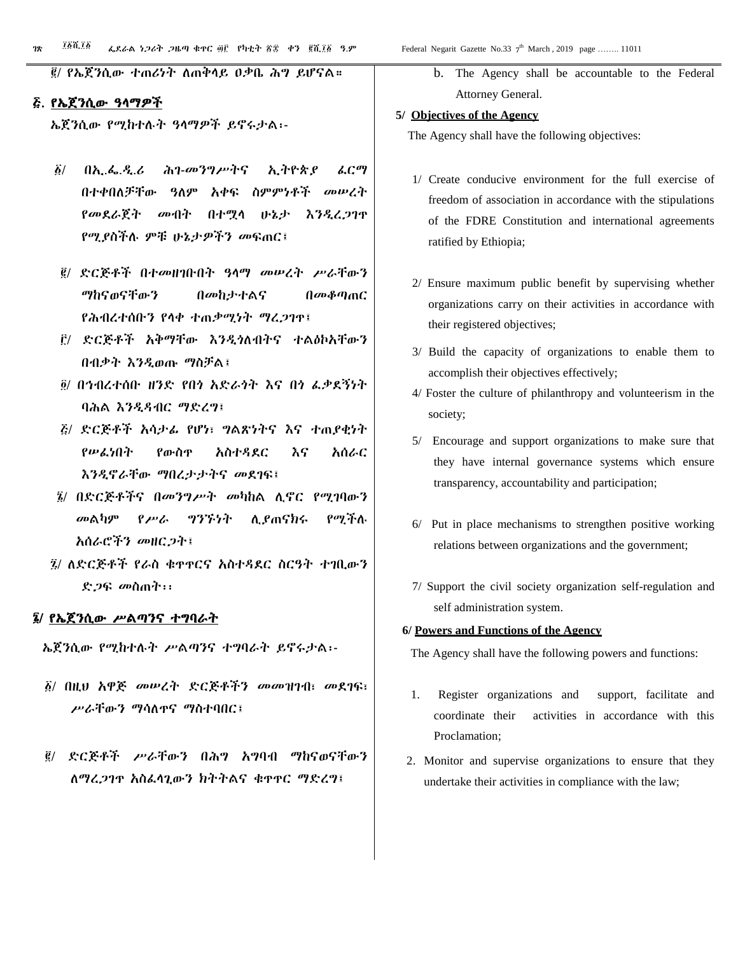፪/ የኤጀንሲው ተጠሪነት ለጠቅላይ ዐቃቤ ሕግ ይሆናል።

#### ፭. የኤጀንሲው ዓላማዎች

ኤጀንሲው የሚከተሉት ዓላማዎች ይኖሩታል፡-

- ፩/ በኢ.ፌ.ዲ.ሪ ሕገ-መንግሥትና ኢትዮጵያ ፈርማ በተቀበለቻቸው ዓለም አቀፍ ስምምነቶች መሠረት የመደራጀት መብት በተሟላ ሁኔታ እንዲረጋገጥ የሚያስችሉ ምቹ ሁኔታዎችን መፍጠር፤
- ፪/ ድርጅቶች በተመዘገቡበት ዓላማ መሠረት ሥራቸውን ማከናወናቸውን በመከታተልና በመቆጣጠር የሕብረተሰቡን የላቀ ተጠቃሚነት ማረጋገጥ፤
- ፫/ ድርጅቶች አቅማቸው እንዲጎለብትና ተልዕኮአቸውን በብቃት እንዲወጡ ማስቻል፤
- ፬/ በኅብረተሰቡ ዘንድ የበጎ አድራጎት እና በጎ ፈቃደኝነት ባሕል እንዲዳብር ማድረግ፤
- ፭/ ድርጅቶች አሳታፊ የሆነ፣ ግልጽነትና እና ተጠያቂነት የሠፈነበት የውስጥ አስተዳደር እና አሰራር እንዲኖራቸው ማበረታታትና መደገፍ፤
- ፮/ በድርጅቶችና በመንግሥት መካከል ሊኖር የሚገባውን መልካም የሥራ ግንኙነት ሊያጠናክሩ የሚችሉ አሰራሮችን መዘርጋት፤
- ፯/ ለድርጅቶች የራስ ቁጥጥርና አስተዳደር ስርዓት ተገቢውን ድጋፍ መስጠት፡፡

#### ፮/ የኤጀንሲው ሥልጣንና ተግባራት

ኤጀንሲው የሚከተሉት ሥልጣንና ተግባራት ይኖሩታል፡-

- ፩/ በዚህ አዋጅ መሠረት ድርጅቶችን መመዝገብ፣ መደገፍ፣ ሥራቸውን ማሳለጥና ማስተባበር፤
- ፪/ ድርጅቶች ሥራቸውን በሕግ አግባብ ማከናወናቸውን ለማረጋገጥ አስፈላጊውን ክትትልና ቁጥጥር ማድረግ፤

b. The Agency shall be accountable to the Federal Attorney General.

#### **5/ Objectives of the Agency**

The Agency shall have the following objectives:

- 1/ Create conducive environment for the full exercise of freedom of association in accordance with the stipulations of the FDRE Constitution and international agreements ratified by Ethiopia;
- 2/ Ensure maximum public benefit by supervising whether organizations carry on their activities in accordance with their registered objectives;
- 3/ Build the capacity of organizations to enable them to accomplish their objectives effectively;
- 4/ Foster the culture of philanthropy and volunteerism in the society;
- 5/ Encourage and support organizations to make sure that they have internal governance systems which ensure transparency, accountability and participation;
- 6/ Put in place mechanisms to strengthen positive working relations between organizations and the government;
- 7/ Support the civil society organization self-regulation and self administration system.

#### **6/ Powers and Functions of the Agency**

The Agency shall have the following powers and functions:

- 1. Register organizations and support, facilitate and coordinate their activities in accordance with this Proclamation;
- 2. Monitor and supervise organizations to ensure that they undertake their activities in compliance with the law;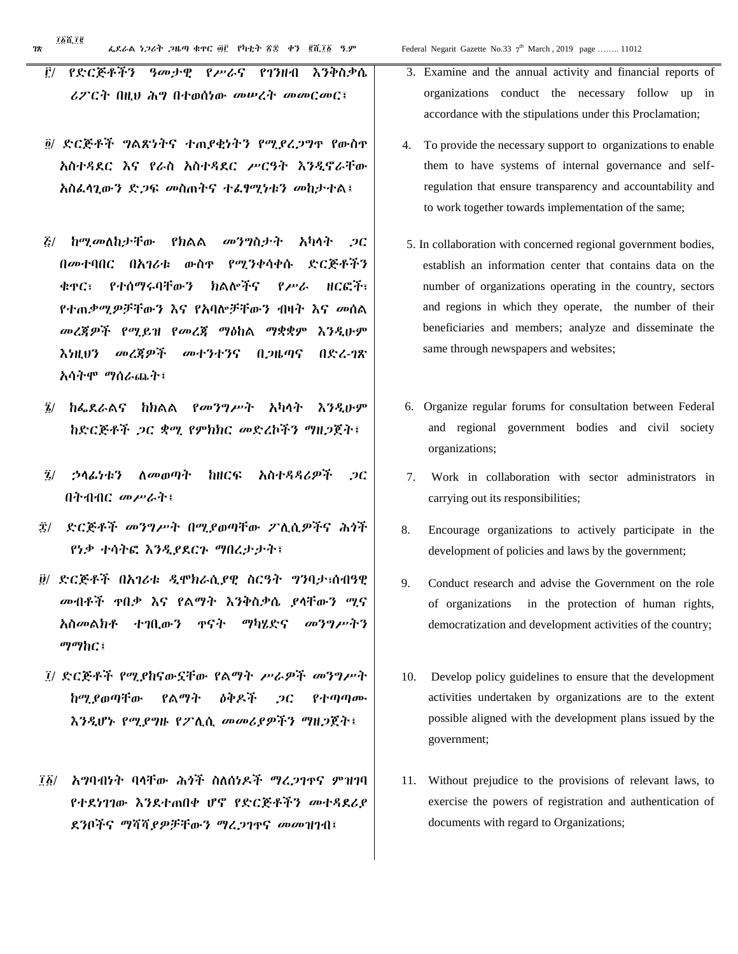- ፫/ የድርጅቶችን ዓመታዊ የሥራና የገንዘብ እንቅስቃሴ ሪፖርት በዚህ ሕግ በተወሰነው መሠረት መመርመር፤
- ፬/ ድርጅቶች ግልጽነትና ተጠያቂነትን የሚያረጋግጥ የውስጥ አስተዳደር እና የራስ አስተዳደር ሥርዓት እንዲኖራቸው አስፈላጊውን ድጋፍ መስጠትና ተፈፃሚነቱን መከታተል፤
- ፭/ ከሚመለከታቸው የክልል መንግስታት አካላት ጋር በመተባበር በአገሪቱ ውስጥ የሚንቀሳቀሱ ድርጅቶችን ቁጥር፣ የተሰማሩባቸውን ክልሎችና የሥራ ዘርፎች፣ የተጠቃሚዎቻቸውን እና የአባሎቻቸውን ብዛት እና መሰል መረጃዎች የሚይዝ የመረጃ ማዕከል ማቋቋም እንዲሁም እነዚህን መረጃዎች መተንተንና በጋዜጣና በድረ-ገጽ አሳትሞ ማሰራጨት፤
- ፮/ ከፌደራልና ከክልል የመንግሥት አካላት እንዲሁም ከድርጅቶች ጋር ቋሚ የምክክር መድረኮችን ማዘጋጀት፤
- ፯/ ኃላፊነቱን ለመወጣት ከዘርፍ አስተዳዳሪዎች ጋር በትብብር መሥራት፤
- ፰/ ድርጅቶች መንግሥት በሚያወጣቸው ፖሊሲዎችና ሕጎች የነቃ ተሳትፎ እንዲያደርጉ ማበረታታት፤
- ፱/ ድርጅቶች በአገሪቱ ዲሞክራሲያዊ ስርዓት ግንባታ፣ሰብዓዊ መብቶች ጥበቃ እና የልማት እንቅስቃሴ ያላቸውን ሚና አስመልክቶ ተገቢውን ጥናት ማካሄድና መንግሥትን ማማከር፤
- ፲/ ድርጅቶች የሚያከናውኗቸው የልማት ሥራዎች መንግሥት ከሚያወጣቸው የልማት ዕቅዶች ጋር የተጣጣሙ እንዲሆኑ የሚያግዙ የፖሊሲ መመሪያዎችን ማዘጋጀት፤
- ፲፩/ አግባብነት ባላቸው ሕጎች ስለሰነዶች ማረጋገጥና ምዝገባ የተደነገገው እንደተጠበቀ ሆኖ የድርጅቶችን መተዳደሪያ ደንቦችና ማሻሻያዎቻቸውን ማረጋገጥና መመዝገብ፤
- 3. Examine and the annual activity and financial reports of organizations conduct the necessary follow up in accordance with the stipulations under this Proclamation;
- 4. To provide the necessary support to organizations to enable them to have systems of internal governance and selfregulation that ensure transparency and accountability and to work together towards implementation of the same;
- 5. In collaboration with concerned regional government bodies, establish an information center that contains data on the number of organizations operating in the country, sectors and regions in which they operate, the number of their beneficiaries and members; analyze and disseminate the same through newspapers and websites;
- 6. Organize regular forums for consultation between Federal and regional government bodies and civil society organizations;
- 7. Work in collaboration with sector administrators in carrying out its responsibilities;
- 8. Encourage organizations to actively participate in the development of policies and laws by the government;
- 9. Conduct research and advise the Government on the role of organizations in the protection of human rights, democratization and development activities of the country;
- 10. Develop policy guidelines to ensure that the development activities undertaken by organizations are to the extent possible aligned with the development plans issued by the government;
- 11. Without prejudice to the provisions of relevant laws, to exercise the powers of registration and authentication of documents with regard to Organizations;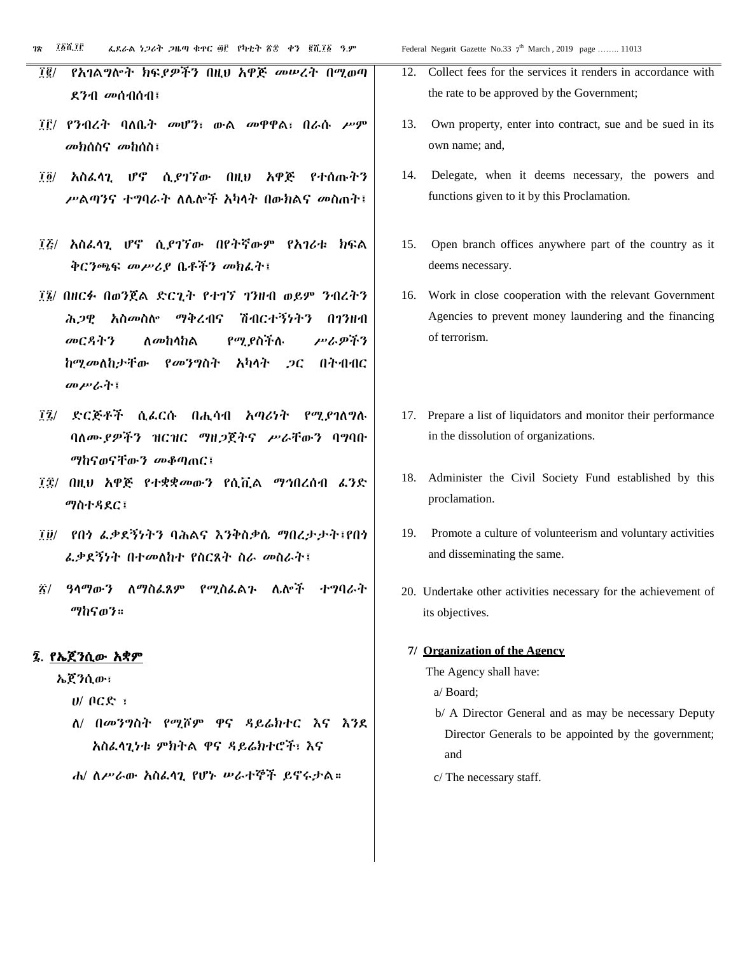- ፲፪/ የአገልግሎት ክፍያዎችን በዚህ አዋጅ መሠረት በሚወጣ ደንብ መሰብሰብ፤
- ፲፫/ የንብረት ባለቤት መሆን፣ ውል መዋዋል፣ በራሱ ሥም መክሰስና መከሰስ፤
- ፲፬/ አስፈላጊ ሆኖ ሲያገኘው በዚህ አዋጅ የተሰጡትን ሥልጣንና ተግባራት ለሌሎች አካላት በውክልና መስጠት፤
- ፲፭/ አስፈላጊ ሆኖ ሲያገኘው በየትኛውም የአገሪቱ ክፍል ቅርንጫፍ መሥሪያ ቤቶችን መክፈት፤
- ፲፮/ በዘርፉ በወንጀል ድርጊት የተገኘ ገንዘብ ወይም ንብረትን ሕጋዊ አስመስሎ ማቅረብና ሽብርተኝነትን በገንዘብ መርዳትን ለመከላከል የሚያስችሉ ሥራዎችን ከሚመለከታቸው የመንግስት አካላት ጋር በትብብር መሥራት፤
- ፲፯/ ድርጅቶች ሲፈርሱ በሒሳብ አጣሪነት የሚያገለግሉ ባለሙያዎችን ዝርዝር ማዘጋጀትና ሥራቸውን ባግባቡ ማከናወናቸውን መቆጣጠር፤
- ፲፰/ በዚህ አዋጅ የተቋቋመውን የሲቪል ማኅበረሰብ ፈንድ ማስተዳደር፤
- ፲፱/ የበጎ ፈቃደኝነትን ባሕልና እንቅስቃሴ ማበረታታት፤የበጎ ፈቃደኝነት በተመለከተ የስርጸት ስራ መስራት፤
- ፳/ ዓላማውን ለማስፈጸም የሚስፈልጉ ሌሎች ተግባራት ማከናወን።

### ፯. የኤጀንሲው አቋም

ኤጀንሲው፣

- ሀ/ ቦርድ ፣
- ለ/ በመንግስት የሚሾም ዋና ዳይሬክተር እና እንደ አስፈላጊነቱ ምክትል ዋና ዳይሬክተሮች፣ እና
- ሐ/ ለሥራው አስፈላጊ የሆኑ ሠራተኞች ይኖሩታል።

th March, 2019 page ........ 11013

- 12. Collect fees for the services it renders in accordance with the rate to be approved by the Government;
- 13. Own property, enter into contract, sue and be sued in its own name; and,
- 14. Delegate, when it deems necessary, the powers and functions given to it by this Proclamation.
- 15. Open branch offices anywhere part of the country as it deems necessary.
- 16. Work in close cooperation with the relevant Government Agencies to prevent money laundering and the financing of terrorism.
- 17. Prepare a list of liquidators and monitor their performance in the dissolution of organizations.
- 18. Administer the Civil Society Fund established by this proclamation.
- 19. Promote a culture of volunteerism and voluntary activities and disseminating the same.
- 20. Undertake other activities necessary for the achievement of its objectives.

#### **7/ Organization of the Agency**

- The Agency shall have:
	- a/ Board;
	- b/ A Director General and as may be necessary Deputy Director Generals to be appointed by the government; and
	- c/ The necessary staff.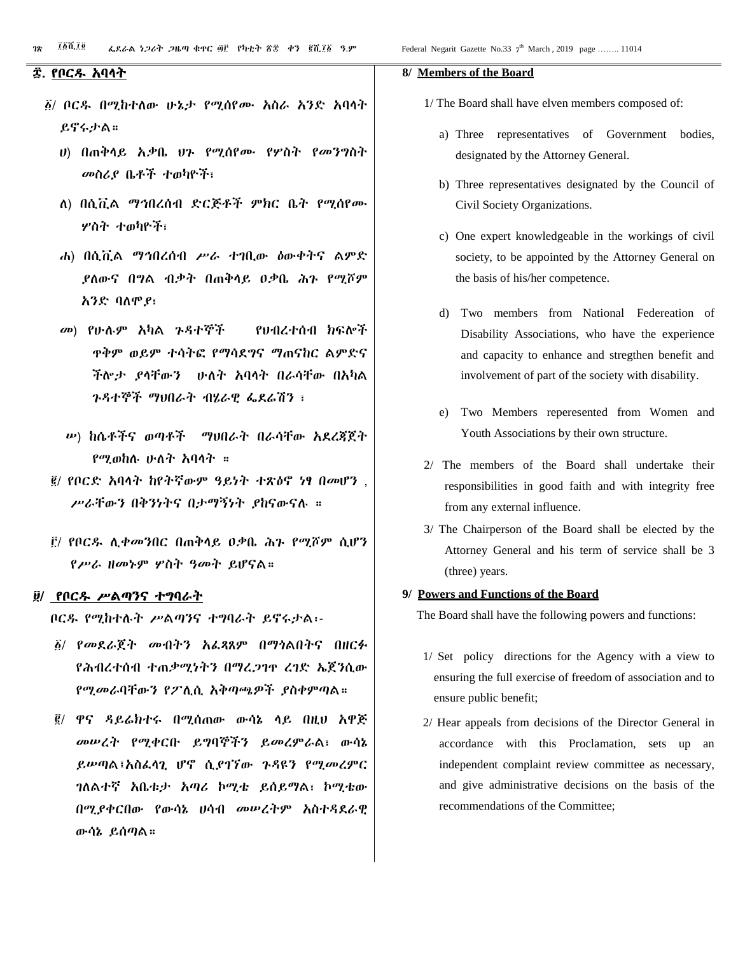- ፩/ ቦርዱ በሚከተለው ሁኔታ የሚሰየሙ አስራ አንድ አባላት ይኖሩታል።
	- ሀ) በጠቅላይ አቃቤ ህጉ የሚሰየሙ የሦስት የመንግስት መስሪያ ቤቶች ተወካዮች፣
	- ለ) በሲቪል ማኅበረሰብ ድርጅቶች ምክር ቤት የሚሰየሙ ሦስት ተወካዮች፣
	- ሐ) በሲቪል ማኅበረሰብ ሥራ ተገቢው ዕውቀትና ልምድ ያለውና በግል ብቃት በጠቅላይ ዐቃቤ ሕጉ የሚሾም አንድ ባለሞያ፣
	- መ) የሁሉም አካል ጉዳተኞች የህብረተሰብ ክፍሎች ጥቅም ወይም ተሳትፎ የማሳደግና ማጠናከር ልምድና ችሎታ ያላቸውን ሁለት አባላት በራሳቸው በአካል ጉዳተኞች ማህበራት ብሄራዊ ፌደሬሽን ፣
	- ሠ) ከሴቶችና ወጣቶች ማህበራት በራሳቸው አደረጃጀት የሚወከሉ ሁለት አባላት ።
- ፪/ የቦርድ አባላት ከየትኛውም ዓይነት ተጽዕኖ ነፃ በመሆን , ሥራቸውን በቅንነትና በታማኝነት ያከናውናሉ ።
- ፫/ የቦርዱ ሊቀመንበር በጠቅላይ ዐቃቤ ሕጉ የሚሾም ሲሆን የሥራ ዘመኑም ሦስት ዓመት ይሆናል።

#### ፱/ የቦርዱ ሥልጣንና ተግባራት

ቦርዱ የሚከተሉት ሥልጣንና ተግባራት ይኖሩታል፡-

- ፩/ የመደራጀት መብትን አፈጻጸም በማጎልበትና በዘርፉ የሕብረተሰብ ተጠቃሚነትን በማረጋገጥ ረገድ ኤጀንሲው የሚመራባቸውን የፖሊሲ አቅጣጫዎች ያስቀምጣል።
- ፪/ ዋና ዳይሬክተሩ በሚሰጠው ውሳኔ ላይ በዚህ አዋጅ መሠረት የሚቀርቡ ይግባኞችን ይመረምራል፣ ውሳኔ ይሠጣል፤አስፈላጊ ሆኖ ሲያገኘው ጉዳዩን የሚመረምር ገለልተኛ አቤቱታ አጣሪ ኮሚቴ ይሰይማል፣ ኮሚቴው በሚያቀርበው የውሳኔ ሀሳብ መሠረትም አስተዳደራዊ ውሳኔ ይሰጣል።

#### **8/ Members of the Board**

1/ The Board shall have elven members composed of:

- a) Three representatives of Government bodies, designated by the Attorney General.
- b) Three representatives designated by the Council of Civil Society Organizations.
- c) One expert knowledgeable in the workings of civil society, to be appointed by the Attorney General on the basis of his/her competence.
- d) Two members from National Federeation of Disability Associations, who have the experience and capacity to enhance and stregthen benefit and involvement of part of the society with disability.
- e) Two Members reperesented from Women and Youth Associations by their own structure.
- 2/ The members of the Board shall undertake their responsibilities in good faith and with integrity free from any external influence.
- 3/ The Chairperson of the Board shall be elected by the Attorney General and his term of service shall be 3 (three) years.

#### **9/ Powers and Functions of the Board**

The Board shall have the following powers and functions:

- 1/ Set policy directions for the Agency with a view to ensuring the full exercise of freedom of association and to ensure public benefit;
- 2/ Hear appeals from decisions of the Director General in accordance with this Proclamation, sets up an independent complaint review committee as necessary, and give administrative decisions on the basis of the recommendations of the Committee;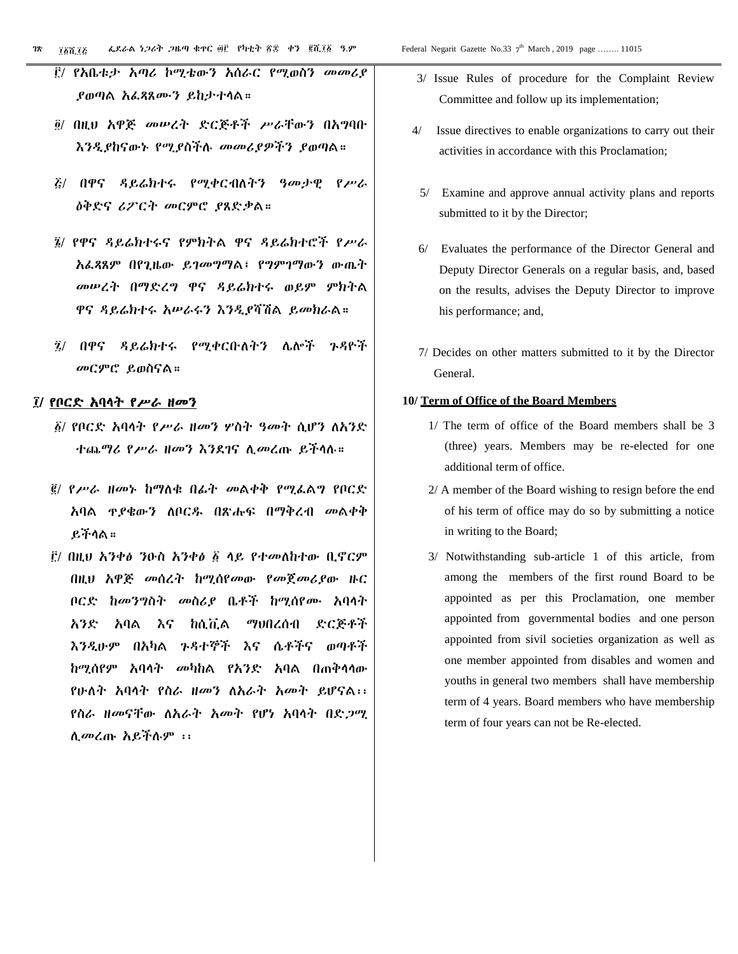- ፫/ የአቤቱታ አጣሪ ኮሚቴውን አሰራር የሚወስን መመሪያ ያወጣል አፈጻጸሙን ይከታተላል።
- ፬/ በዚህ አዋጅ መሠረት ድርጅቶች ሥራቸውን በአግባቡ እንዲያከናውኑ የሚያስችሉ መመሪያዎችን ያወጣል።
- ፭/ በዋና ዳይሬክተሩ የሚቀርብለትን ዓመታዊ የሥራ ዕቅድና ሪፖርት መርምሮ ያጸድቃል።
- ፮/ የዋና ዳይሬክተሩና የምክትል ዋና ዳይሬክተሮች የሥራ አፈጻጸም በየጊዜው ይገመግማል፤ የግምገማውን ውጤት መሠረት በማድረግ ዋና ዳይሬክተሩ ወይም ምክትል ዋና ዳይሬክተሩ አሠራሩን እንዲያሻሽል ይመክራል።
- ፯/ በዋና ዳይሬክተሩ የሚቀርቡለትን ሌሎች ጉዳዮች መርምሮ ይወስናል።

#### ፲/ የቦርድ አባላት የሥራ ዘመን

- ፩/ የቦርድ አባላት የሥራ ዘመን ሦስት ዓመት ሲሆን ለአንድ ተጨማሪ የሥራ ዘመን እንደገና ሊመረጡ ይችላሉ።
- ፪/ የሥራ ዘመኑ ከማለቁ በፊት መልቀቅ የሚፈልግ የቦርድ አባል ጥያቄውን ለቦርዱ በጽሑፍ በማቅረብ መልቀቅ ይችላል።
- ፫/ በዚህ አንቀፅ ንዑስ አንቀፅ ፩ ላይ የተመለከተው ቢኖርም በዚህ አዋጅ መሰረት ከሚሰየመው የመጀመሪያው ዙር ቦርድ ከመንግስት መስሪያ ቤቶች ከሚሰየሙ አባላት አንድ አባል እና ከሲቪል ማህበረሰብ ድርጅቶች እንዲሁም በአካል ጉዳተኞች እና ሴቶችና ወጣቶች ከሚሰየም አባላት መካከል የአንድ አባል በጠቅላላው የሁለት አባላት የስራ ዘመን ለአራት አመት ይሆናል፡፡ የስራ ዘመናቸው ለአራት አመት የሆነ አባላት በድጋሚ ሊመረጡ አይችሉም ፡፡
- 3/ Issue Rules of procedure for the Complaint Review Committee and follow up its implementation;
- 4/ Issue directives to enable organizations to carry out their activities in accordance with this Proclamation;
- 5/ Examine and approve annual activity plans and reports submitted to it by the Director;
- 6/ Evaluates the performance of the Director General and Deputy Director Generals on a regular basis, and, based on the results, advises the Deputy Director to improve his performance; and,
- 7/ Decides on other matters submitted to it by the Director General.

#### **10/ Term of Office of the Board Members**

- 1/ The term of office of the Board members shall be 3 (three) years. Members may be re-elected for one additional term of office.
- 2/ A member of the Board wishing to resign before the end of his term of office may do so by submitting a notice in writing to the Board;
- 3/ Notwithstanding sub-article 1 of this article, from among the members of the first round Board to be appointed as per this Proclamation, one member appointed from governmental bodies and one person appointed from sivil societies organization as well as one member appointed from disables and women and youths in general two members shall have membership term of 4 years. Board members who have membership term of four years can not be Re-elected.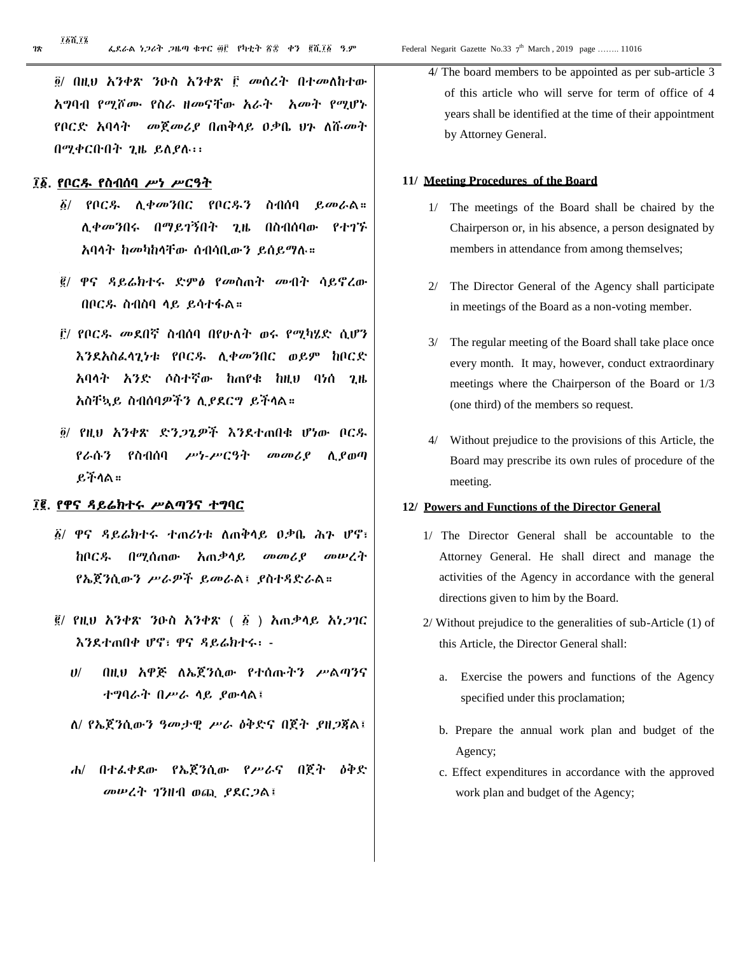፲፩ሺ፲፮

፬/ በዚህ አንቀጽ ንዑስ አንቀጽ ፫ መሰረት በተመለከተው አግባብ የሚሾሙ የስራ ዘመናቸው አራት አመት የሚሆኑ የቦርድ አባላት መጀመሪያ በጠቅላይ ዐቃቤ ህጉ ለሹመት በሚቀርቡበት ጊዜ ይለያሉ፡፡

#### ፲፩. የቦርዱ የስብሰባ ሥነ ሥርዓት

- ፩/ የቦርዱ ሊቀመንበር የቦርዱን ስብሰባ ይመራል። ሊቀመንበሩ በማይገኝበት ጊዜ በስብሰባው የተገኙ አባላት ከመካከላቸው ሰብሳቢውን ይሰይማሉ።
- ፪/ ዋና ዳይሬክተሩ ድምፅ የመስጠት መብት ሳይኖረው በቦርዱ ስብስባ ላይ ይሳተፋል።
- ፫/ የቦርዱ መደበኛ ስብሰባ በየሁለት ወሩ የሚካሄድ ሲሆን እንደአስፈላጊነቱ የቦርዱ ሊቀመንበር ወይም ከቦርድ አባላት አንድ ሶስተኛው ከጠየቁ ከዚህ ባነሰ ጊዜ አስቸኳይ ስብሰባዎችን ሊያደርግ ይችላል።
- ፬/ የዚህ አንቀጽ ድንጋጌዎች እንደተጠበቁ ሆነው ቦርዱ የራሱን የስብሰባ ሥነ-ሥርዓት መመሪያ ሊያወጣ ይችላል።

#### ፲፪. የዋና ዳይሬክተሩ ሥልጣንና ተግባር

- ፩/ ዋና ዳይሬክተሩ ተጠሪነቱ ለጠቅላይ ዐቃቤ ሕጉ ሆኖ፣ ከቦርዱ በሚሰጠው አጠቃላይ መመሪያ መሠረት የኤጀንሲውን ሥራዎች ይመራል፤ ያስተዳድራል።
- ፪/ የዚህ አንቀጽ ንዑስ አንቀጽ ( ፩ ) አጠቃላይ አነጋገር እንደተጠበቀ ሆኖ፣ ዋና ዳይሬክተሩ፡ -
	- ሀ/ በዚህ አዋጅ ለኤጀንሲው የተሰጡትን ሥልጣንና ተግባራት በሥራ ላይ ያውላል፤
	- ለ/ የኤጀንሲውን ዓመታዊ ሥራ ዕቅድና በጀት ያዘጋጃል፤
	- ሐ/ በተፈቀደው የኤጀንሲው የሥራና በጀት ዕቅድ መሠረት ገንዘብ ወጪ ያደርጋል፤

4/ The board members to be appointed as per sub-article 3 of this article who will serve for term of office of 4 years shall be identified at the time of their appointment by Attorney General.

#### **11/ Meeting Procedures of the Board**

- 1/ The meetings of the Board shall be chaired by the Chairperson or, in his absence, a person designated by members in attendance from among themselves;
- 2/ The Director General of the Agency shall participate in meetings of the Board as a non-voting member.
- 3/ The regular meeting of the Board shall take place once every month. It may, however, conduct extraordinary meetings where the Chairperson of the Board or 1/3 (one third) of the members so request.
- 4/ Without prejudice to the provisions of this Article, the Board may prescribe its own rules of procedure of the meeting.

#### **12/ Powers and Functions of the Director General**

- 1/ The Director General shall be accountable to the Attorney General. He shall direct and manage the activities of the Agency in accordance with the general directions given to him by the Board.
- 2/ Without prejudice to the generalities of sub-Article (1) of this Article, the Director General shall:
	- a. Exercise the powers and functions of the Agency specified under this proclamation;
	- b. Prepare the annual work plan and budget of the Agency;
	- c. Effect expenditures in accordance with the approved work plan and budget of the Agency;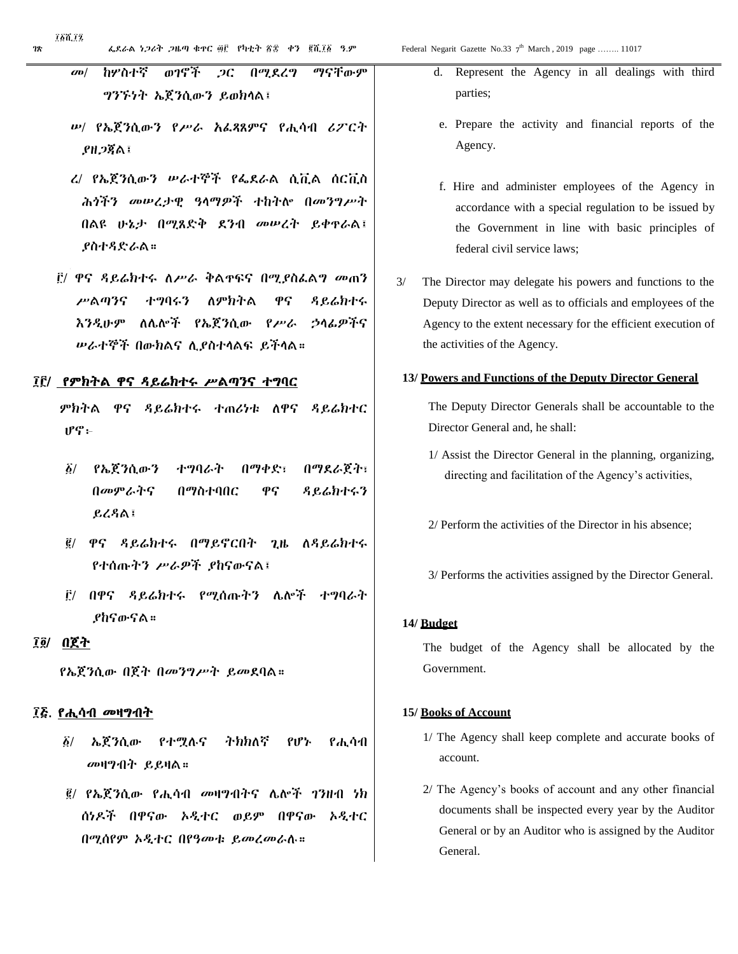- መ/ ከሦስተኛ ወገኖች ጋር በሚደረግ ማናቸውም ግንኙነት ኤጀንሲውን ይወክላል፤
- ሠ/ የኤጀንሲውን የሥራ አፈጻጸምና የሒሳብ ሪፖርት ያዘጋጃል፤
- ረ/ የኤጀንሲውን ሠራተኞች የፌደራል ሲቪል ሰርቪስ ሕጎችን መሠረታዊ ዓላማዎች ተከትሎ በመንግሥት በልዩ ሁኔታ በሚጸድቅ ደንብ መሠረት ይቀጥራል፤ ያስተዳድራል።
- ፫/ ዋና ዳይሬክተሩ ለሥራ ቅልጥፍና በሚያስፈልግ መጠን ሥልጣንና ተግባሩን ለምክትል ዋና ዳይሬክተሩ እንዲሁም ለሌሎች የኤጀንሲው የሥራ ኃላፊዎችና ሠራተኞች በውክልና ሊያስተላልፍ ይችላል።

#### ፲፫/ የምክትል ዋና ዳይሬክተሩ ሥልጣንና ተግባር

ምክትል ዋና ዳይሬክተሩ ተጠሪነቱ ለዋና ዳይሬክተር ሆኖ፦

- ፩/ የኤጀንሲውን ተግባራት በማቀድ፣ በማደራጀት፣ በመምራትና በማስተባበር ዋና ዳይሬክተሩን ይረዳል፤
- ፪/ ዋና ዳይሬክተሩ በማይኖርበት ጊዜ ለዳይሬክተሩ የተሰጡትን ሥራዎች ያከናውናል፤
- ፫/ በዋና ዳይሬክተሩ የሚሰጡትን ሌሎች ተግባራት ያከናውናል።

### ፲፬/ በጀት

የኤጀንሲው በጀት በመንግሥት ይመደባል።

#### ፲፭. የሒሳብ መዛግብት

- ፩/ ኤጀንሲው የተሟሉና ትክክለኛ የሆኑ የሒሳብ መዛግብት ይይዛል።
- ፪/ የኤጀንሲው የሒሳብ መዛግብትና ሌሎች ገንዘብ ነክ ሰነዶች በዋናው ኦዲተር ወይም በዋናው ኦዲተር በሚሰየም ኦዲተር በየዓመቱ ይመረመራሉ።
- d. Represent the Agency in all dealings with third parties;
- e. Prepare the activity and financial reports of the Agency.
- f. Hire and administer employees of the Agency in accordance with a special regulation to be issued by the Government in line with basic principles of federal civil service laws;
- 3/ The Director may delegate his powers and functions to the Deputy Director as well as to officials and employees of the Agency to the extent necessary for the efficient execution of the activities of the Agency.

#### **13/ Powers and Functions of the Deputy Director General**

The Deputy Director Generals shall be accountable to the Director General and, he shall:

- 1/ Assist the Director General in the planning, organizing, directing and facilitation of the Agency's activities,
- 2/ Perform the activities of the Director in his absence;
- 3/ Performs the activities assigned by the Director General.

#### **14/ Budget**

The budget of the Agency shall be allocated by the Government.

#### **15/ Books of Account**

- 1/ The Agency shall keep complete and accurate books of account.
- 2/ The Agency's books of account and any other financial documents shall be inspected every year by the Auditor General or by an Auditor who is assigned by the Auditor General.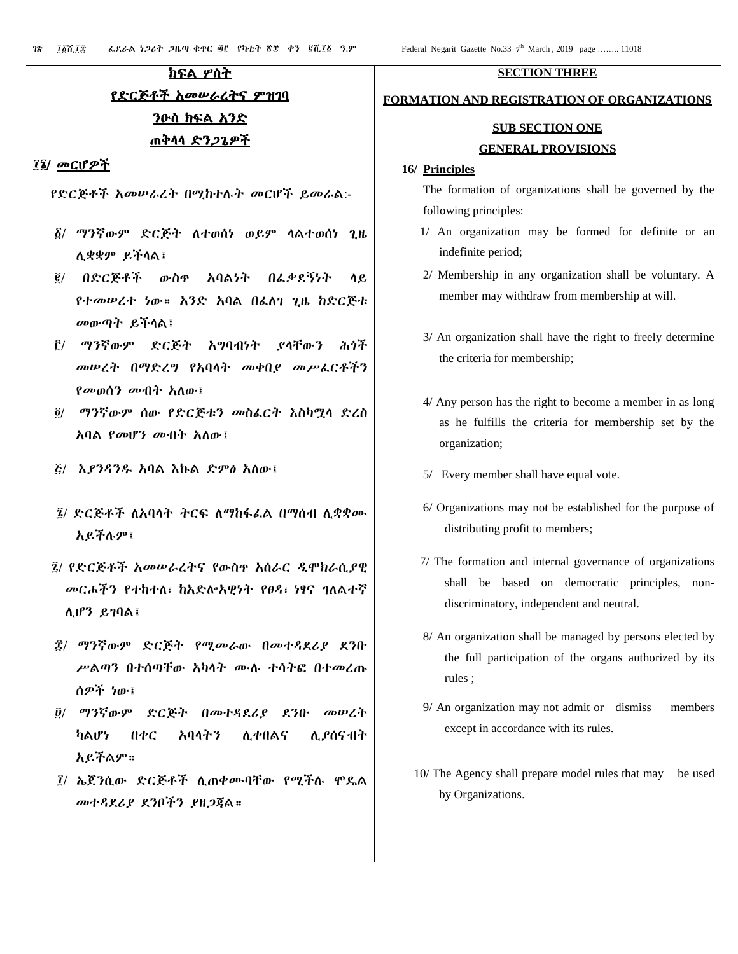# ክፍል ሦስት የድርጅቶች አመሠራረትና ምዝገባ ንዑስ ክፍል አንድ ጠቅላላ ድንጋጌዎች

#### ፲፮/ መርሆዎች

የድርጅቶች አመሠራረት በሚከተሉት መርሆች ይመራል:-

- ፩/ ማንኛውም ድርጅት ለተወሰነ ወይም ላልተወሰነ ጊዜ ሊቋቋም ይችላል፤
- ፪/ በድርጅቶች ውስጥ አባልነት በፈቃደኝነት ላይ የተመሠረተ ነው። አንድ አባል በፈለገ ጊዜ ከድርጅቱ መውጣት ይችላል፤
- ፫/ ማንኛውም ድርጅት አግባብነት ያላቸውን ሕጎች መሠረት በማድረግ የአባላት መቀበያ መሥፈርቶችን የመወሰን መብት አለው፤
- ፬/ ማንኛውም ሰው የድርጅቱን መስፈርት እስካሟላ ድረስ አባል የመሆን መብት አለው፤
- ፭/ እያንዳንዱ አባል እኩል ድምፅ አለው፤
- ፮/ ድርጅቶች ለአባላት ትርፍ ለማከፋፈል በማሰብ ሊቋቋሙ አይችሉም፤
- ፯/ የድርጅቶች አመሠራረትና የውስጥ አሰራር ዲሞክራሲያዊ መርሖችን የተከተለ፣ ከአድሎአዊነት የፀዳ፣ ነፃና ገለልተኛ ሊሆን ይገባል፤
- ፰/ ማንኛውም ድርጅት የሚመራው በመተዳደሪያ ደንቡ ሥልጣን በተሰጣቸው አካላት ሙሉ ተሳትፎ በተመረጡ ሰዎች ነው፤
- ፱/ ማንኛውም ድርጅት በመተዳደሪያ ደንቡ መሠረት ካልሆነ በቀር አባላትን ሊቀበልና ሊያሰናብት አይችልም።
- ፲/ ኤጀንሲው ድርጅቶች ሊጠቀሙባቸው የሚችሉ ሞዴል መተዳደሪያ ደንቦችን ያዘጋጃል።

#### **SECTION THREE**

#### **FORMATION AND REGISTRATION OF ORGANIZATIONS**

# **SUB SECTION ONE GENERAL PROVISIONS**

#### **16/ Principles**

The formation of organizations shall be governed by the following principles:

- 1/ An organization may be formed for definite or an indefinite period;
- 2/ Membership in any organization shall be voluntary. A member may withdraw from membership at will.
- 3/ An organization shall have the right to freely determine the criteria for membership;
- 4/ Any person has the right to become a member in as long as he fulfills the criteria for membership set by the organization;
- 5/ Every member shall have equal vote.
- 6/ Organizations may not be established for the purpose of distributing profit to members;
- 7/ The formation and internal governance of organizations shall be based on democratic principles, nondiscriminatory, independent and neutral.
- 8/ An organization shall be managed by persons elected by the full participation of the organs authorized by its rules ;
- 9/ An organization may not admit or dismiss members except in accordance with its rules.
- 10/ The Agency shall prepare model rules that may be used by Organizations.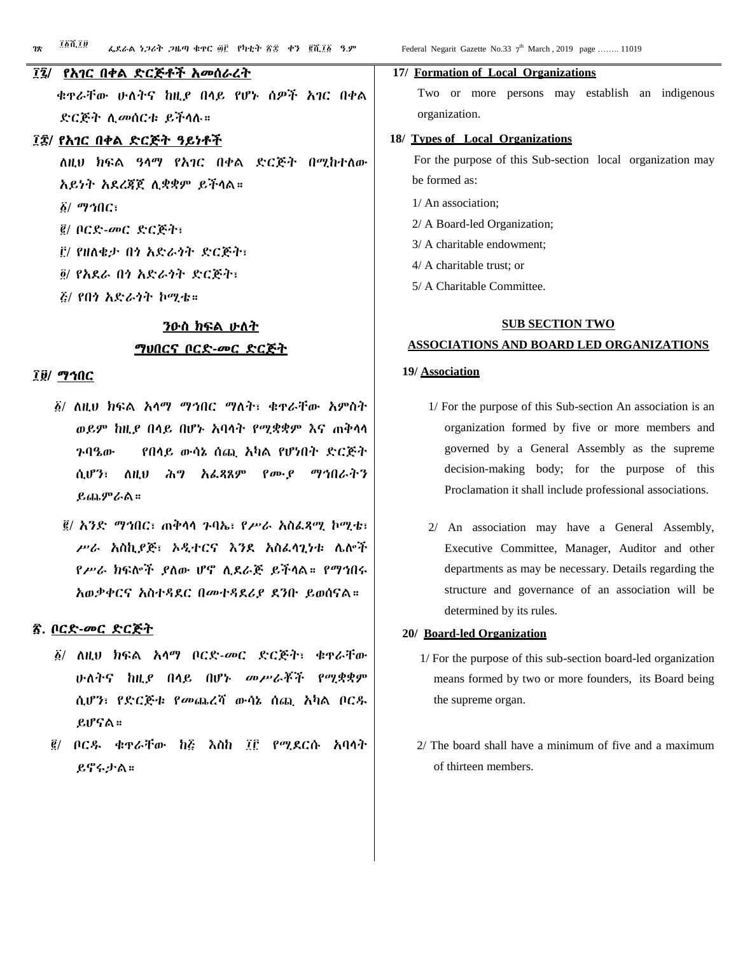#### ፲፯/ የአገር በቀል ድርጅቶች አመሰራረት

 ቁጥራቸው ሁለትና ከዚያ በላይ የሆኑ ሰዎች አገር በቀል ድርጅት ሊመሰርቱ ይችላሉ።

#### ፲፰/ የአገር በቀል ድርጅት ዓይነቶች

ለዚህ ክፍል ዓላማ የአገር በቀል ድርጅት በሚከተለው አይነት አደረጃጀ ሊቋቋም ይችላል። ፩/ ማኅበር፣ ፪/ ቦርድ-መር ድርጅት፣ ፫/ የዘለቄታ በጎ አድራጎት ድርጅት፣ ፬/ የአደራ በጎ አድራጎት ድርጅት፣ ፭/ የበጎ አድራጎት ኮሚቴ።

# ንዑስ ክፍል ሁለት ማህበርና ቦርድ-መር ድርጅት

#### ፲፱/ ማኅበር

- ፩/ ለዚህ ክፍል አላማ ማኅበር ማለት፣ ቁጥራቸው አምስት ወይም ከዚያ በላይ በሆኑ አባላት የሚቋቋም እና ጠቅላላ ጉባዔው የበላይ ውሳኔ ሰጪ አካል የሆነበት ድርጅት ሲሆን፣ ለዚህ ሕግ አፈጻጸም የሙያ ማኅበራትን ይጨምራል።
- ፪/ አንድ ማኅበር፣ ጠቅላላ ጉባኤ፣ የሥራ አስፈጻሚ ኮሚቴ፣ ሥራ አስኪያጅ፣ ኦዲተርና እንደ አስፈላጊነቱ ሌሎች የሥራ ክፍሎች ያለው ሆኖ ሊደራጅ ይችላል። የማኅበሩ አወቃቀርና አስተዳደር በመተዳደሪያ ደንቡ ይወሰናል።

#### ፳. ቦርድ-መር ድርጅት

- ፩/ ለዚህ ክፍል አላማ ቦርድ-መር ድርጅት፣ ቁጥራቸው ሁለትና ከዚያ በላይ በሆኑ መሥራቾች የሚቋቋም ሲሆን፣ የድርጅቱ የመጨረሻ ውሳኔ ሰጪ አካል ቦርዱ ይሆናል።
- ፪/ ቦርዱ ቁጥራቸው ከ፭ እስከ ፲፫ የሚደርሱ አባላት ይኖሩታል።

#### **17/ Formation of Local Organizations**

Two or more persons may establish an indigenous organization.

#### **18/ Types of Local Organizations**

 For the purpose of this Sub-section local organization may be formed as:

- 1/ An association;
- 2/ A Board-led Organization;
- 3/ A charitable endowment;
- 4/ A charitable trust; or
- 5/ A Charitable Committee.

#### **SUB SECTION TWO**

#### **ASSOCIATIONS AND BOARD LED ORGANIZATIONS**

#### **19/ Association**

- 1/ For the purpose of this Sub-section An association is an organization formed by five or more members and governed by a General Assembly as the supreme decision-making body; for the purpose of this Proclamation it shall include professional associations.
- 2/ An association may have a General Assembly, Executive Committee, Manager, Auditor and other departments as may be necessary. Details regarding the structure and governance of an association will be determined by its rules.

#### **20/ Board-led Organization**

- 1/ For the purpose of this sub-section board-led organization means formed by two or more founders, its Board being the supreme organ.
- 2/ The board shall have a minimum of five and a maximum of thirteen members.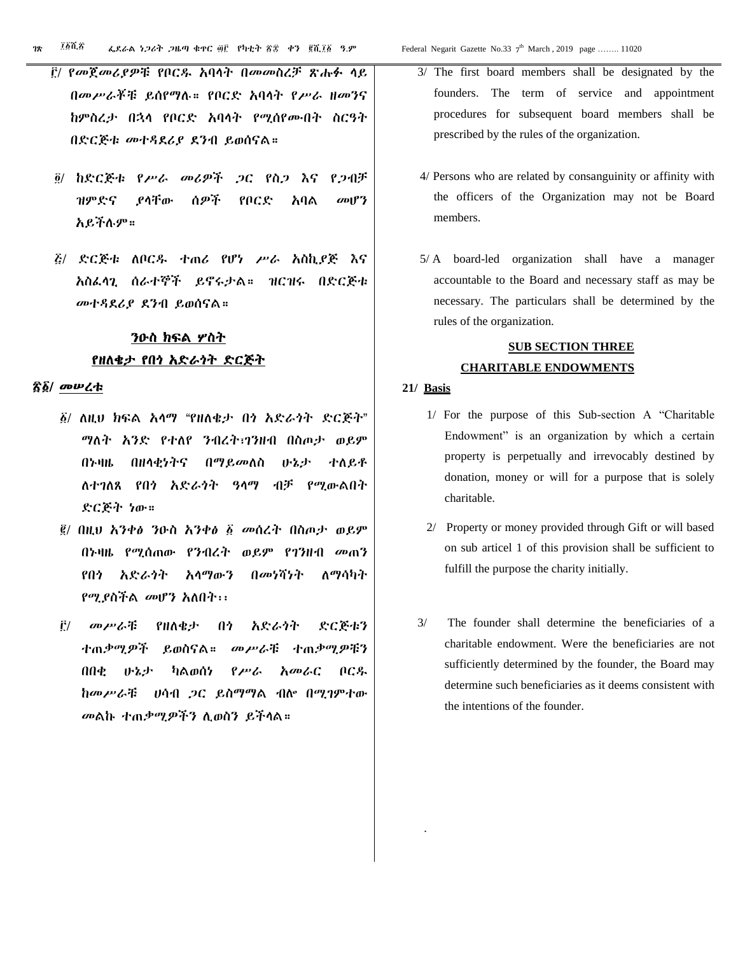- ፫/ የመጀመሪያዎቹ የቦርዱ አባላት በመመስረቻ ጽሑፉ ላይ በመሥራቾቹ ይሰየማሉ። የቦርድ አባላት የሥራ ዘመንና ከምስረታ በኋላ የቦርድ አባላት የሚሰየሙበት ስርዓት በድርጅቱ መተዳደሪያ ደንብ ይወሰናል።
- ፬/ ከድርጅቱ የሥራ መሪዎች ጋር የስጋ እና የጋብቻ ዝምድና ያላቸው ሰዎች የቦርድ አባል መሆን አይችሉም።
- ፭/ ድርጅቱ ለቦርዱ ተጠሪ የሆነ ሥራ አስኪያጅ እና አስፈላጊ ሰራተኞች ይኖሩታል። ዝርዝሩ በድርጅቱ መተዳደሪያ ደንብ ይወሰናል።

# ንዑስ ክፍል ሦስት የዘለቄታ የበጎ አድራጎት ድርጅት

#### ፳፩/ መሠረቱ

- ፩/ ለዚህ ክፍል አላማ "የዘለቄታ በጎ አድራጎት ድርጅት" ማለት አንድ የተለየ ንብረት፣ገንዘብ በስጦታ ወይም በኑዛዜ በዘላቂነትና በማይመለስ ሁኔታ ተለይቶ ለተገለጸ የበጎ አድራጎት ዓላማ ብቻ የሚውልበት ድርጅት ነው።
- ፪/ በዚህ አንቀፅ ንዑስ አንቀፅ ፩ መሰረት በስጦታ ወይም በኑዛዜ የሚሰጠው የንብረት ወይም የገንዘብ መጠን የበጎ አድራጎት አላማውን በመነሻነት ለማሳካት የሚያስችል መሆን አለበት፡፡
- ፫/ መሥራቹ የዘለቄታ በጎ አድራጎት ድርጅቱን ተጠቃሚዎች ይወስናል። መሥራቹ ተጠቃሚዎቹን በበቂ ሁኔታ ካልወሰነ የሥራ አመራር ቦርዱ ከመሥራቹ ሀሳብ ጋር ይስማማል ብሎ በሚገምተው መልኩ ተጠቃሚዎችን ሊወስን ይችላል።
- 3/ The first board members shall be designated by the founders. The term of service and appointment procedures for subsequent board members shall be prescribed by the rules of the organization.
- 4/ Persons who are related by consanguinity or affinity with the officers of the Organization may not be Board members.
- 5/ A board-led organization shall have a manager accountable to the Board and necessary staff as may be necessary. The particulars shall be determined by the rules of the organization.

# **SUB SECTION THREE CHARITABLE ENDOWMENTS**

#### **21/ Basis**

.

- 1/ For the purpose of this Sub-section A "Charitable Endowment" is an organization by which a certain property is perpetually and irrevocably destined by donation, money or will for a purpose that is solely charitable.
- 2/ Property or money provided through Gift or will based on sub articel 1 of this provision shall be sufficient to fulfill the purpose the charity initially.
- 3/ The founder shall determine the beneficiaries of a charitable endowment. Were the beneficiaries are not sufficiently determined by the founder, the Board may determine such beneficiaries as it deems consistent with the intentions of the founder.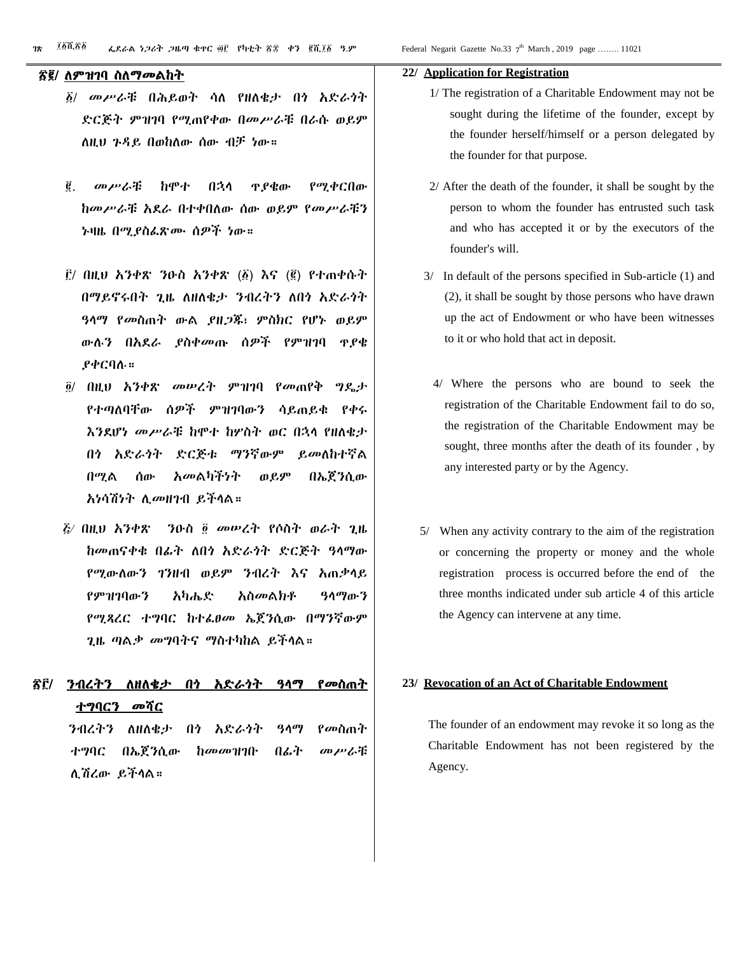#### ፳፪/ ለምዝገባ ስለማመልከት

- ፩/ መሥራቹ በሕይወት ሳለ የዘለቄታ በጎ አድራጎት ድርጅት ምዝገባ የሚጠየቀው በመሥራቹ በራሱ ወይም ለዚህ ጉዳይ በወከለው ሰው ብቻ ነው።
- ፪. መሥራቹ ከሞተ በኋላ ጥያቄው የሚቀርበው ከመሥራቹ አደራ በተቀበለው ሰው ወይም የመሥራቹን ኑዛዜ በሚያስፈጽሙ ሰዎች ነው።
- ፫/ በዚህ አንቀጽ ንዑስ አንቀጽ (፩) እና (፪) የተጠቀሱት በማይኖሩበት ጊዜ ለዘለቄታ ንብረትን ለበጎ አድራጎት ዓላማ የመስጠት ውል ያዘጋጁ፣ ምስክር የሆኑ ወይም ውሉን በአደራ ያስቀመጡ ሰዎች የምዝገባ ጥያቄ ያቀርባሉ።
- ፬/ በዚህ አንቀጽ መሠረት ምዝገባ የመጠየቅ ግዴታ የተጣለባቸው ሰዎች ምዝገባውን ሳይጠይቁ የቀሩ እንደሆነ መሥራቹ ከሞተ ከሦስት ወር በኋላ የዘለቄታ በጎ አድራጎት ድርጅቱ ማንኛውም ይመለከተኛል በሚል ሰው አመልካችነት ወይም በኤጀንሲው አነሳሽነት ሊመዘገብ ይችላል።
- ፭⁄ በዚህ አንቀጽ ንዑስ ፬ መሠረት የሶስት ወራት ጊዜ ከመጠናቀቁ በፊት ለበጎ አድራጎት ድርጅት ዓላማው የሚውለውን ገንዘብ ወይም ንብረት እና አጠቃላይ የምዝገባውን አካሔድ አስመልክቶ ዓላማውን የሚጻረር ተግባር ከተፈፀመ ኤጀንሲው በማንኛውም ጊዜ ጣልቃ መግባትና ማስተካከል ይችላል።
- ፳፫/ ንብረትን ለዘለቄታ በጎ አድራጎት ዓላማ የመስጠት <u>ተግባርን መ</u>ሻር

 ንብረትን ለዘለቄታ በጎ አድራጎት ዓላማ የመስጠት ተግባር በኤጀንሲው ከመመዝገቡ በፊት መሥራቹ ሊሽረው ይችላል።

#### **22/ Application for Registration**

- 1/ The registration of a Charitable Endowment may not be sought during the lifetime of the founder, except by the founder herself/himself or a person delegated by the founder for that purpose.
- 2/ After the death of the founder, it shall be sought by the person to whom the founder has entrusted such task and who has accepted it or by the executors of the founder's will.
- 3/ In default of the persons specified in Sub-article (1) and (2), it shall be sought by those persons who have drawn up the act of Endowment or who have been witnesses to it or who hold that act in deposit.
- 4/ Where the persons who are bound to seek the registration of the Charitable Endowment fail to do so, the registration of the Charitable Endowment may be sought, three months after the death of its founder , by any interested party or by the Agency.
- 5/ When any activity contrary to the aim of the registration or concerning the property or money and the whole registration process is occurred before the end of the three months indicated under sub article 4 of this article the Agency can intervene at any time.

#### **23/ Revocation of an Act of Charitable Endowment**

 The founder of an endowment may revoke it so long as the Charitable Endowment has not been registered by the Agency.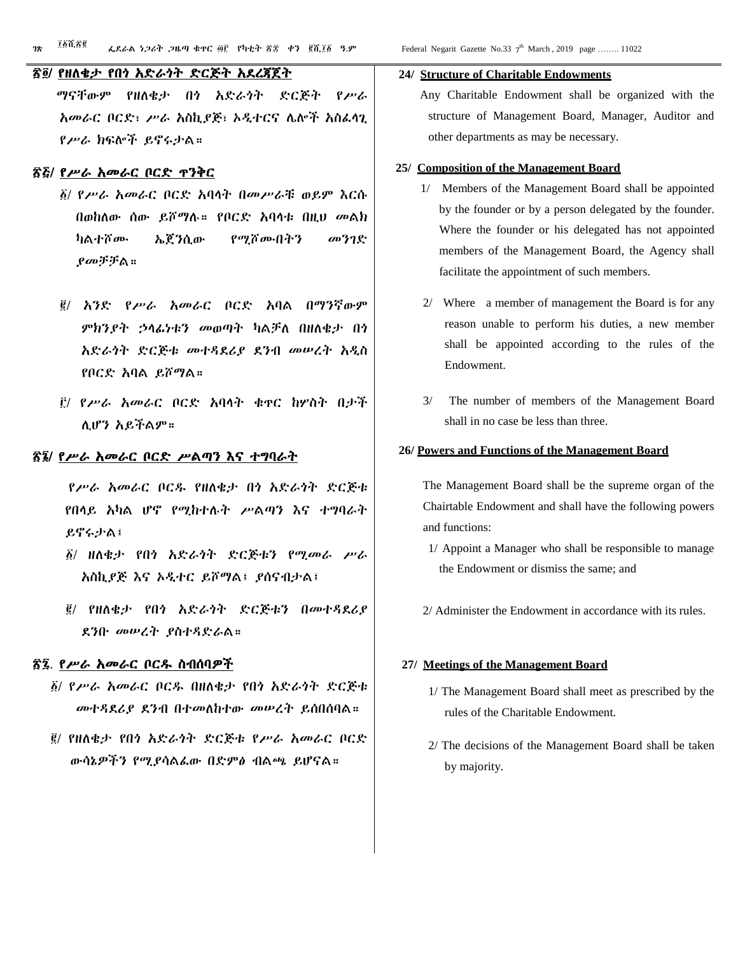#### ፳፬/ የዘለቄታ የበጎ አድራጎት ድርጅት አደረጃጀት

 ማናቸውም የዘለቄታ በጎ አድራጎት ድርጅት የሥራ አመራር ቦርድ፣ ሥራ አስኪያጅ፣ ኦዲተርና ሌሎች አስፈላጊ የሥራ ክፍሎች ይኖሩታል።

#### ፳፭/ የሥራ አመራር ቦርድ ጥንቅር

- ፩/ የሥራ አመራር ቦርድ አባላት በመሥራቹ ወይም እርሱ በወከለው ሰው ይሾማሉ። የቦርድ አባላቱ በዚህ መልክ ካልተሾሙ ኤጀንሲው የሚሾሙበትን መንገድ ያመቻቻል።
- ፪/ አንድ የሥራ አመራር ቦርድ አባል በማንኛውም ምክንያት ኃላፊነቱን መወጣት ካልቻለ በዘለቄታ በጎ አድራጎት ድርጅቱ መተዳደሪያ ደንብ መሠረት አዲስ የቦርድ አባል ይሾማል።
- ፫/ የሥራ አመራር ቦርድ አባላት ቁጥር ከሦስት በታች ሊሆን አይችልም።

#### ፳፮/ የሥራ አመራር ቦርድ ሥልጣን እና ተግባራት

 የሥራ አመራር ቦርዱ የዘለቄታ በጎ አድራጎት ድርጅቱ የበላይ አካል ሆኖ የሚከተሉት ሥልጣን እና ተግባራት ይኖሩታል፤

- ፩/ ዘለቄታ የበጎ አድራጎት ድርጅቱን የሚመራ ሥራ አስኪያጅ እና ኦዲተር ይሾማል፤ ያሰናብታል፤
- ፪/ የዘለቄታ የበጎ አድራጎት ድርጅቱን በመተዳደሪያ ደንቡ መሠረት ያስተዳድራል።

#### ፳፯. የሥራ አመራር ቦርዱ ስብሰባዎች

- ፩/ የሥራ አመራር ቦርዱ በዘለቄታ የበጎ አድራጎት ድርጅቱ መተዳደሪያ ደንብ በተመለከተው መሠረት ይሰበሰባል።
- ፪/ የዘለቄታ የበጎ አድራጎት ድርጅቱ የሥራ አመራር ቦርድ ውሳኔዎችን የሚያሳልፈው በድምፅ ብልጫ ይሆናል።

#### **24/ Structure of Charitable Endowments**

 Any Charitable Endowment shall be organized with the structure of Management Board, Manager, Auditor and other departments as may be necessary.

#### **25/ Composition of the Management Board**

- 1/ Members of the Management Board shall be appointed by the founder or by a person delegated by the founder. Where the founder or his delegated has not appointed members of the Management Board, the Agency shall facilitate the appointment of such members.
- 2/ Where a member of management the Board is for any reason unable to perform his duties, a new member shall be appointed according to the rules of the Endowment.
- 3/ The number of members of the Management Board shall in no case be less than three.

#### **26/ Powers and Functions of the Management Board**

 The Management Board shall be the supreme organ of the Chairtable Endowment and shall have the following powers and functions:

- 1/ Appoint a Manager who shall be responsible to manage the Endowment or dismiss the same; and
- 2/ Administer the Endowment in accordance with its rules.

#### **27/ Meetings of the Management Board**

- 1/ The Management Board shall meet as prescribed by the rules of the Charitable Endowment.
- 2/ The decisions of the Management Board shall be taken by majority.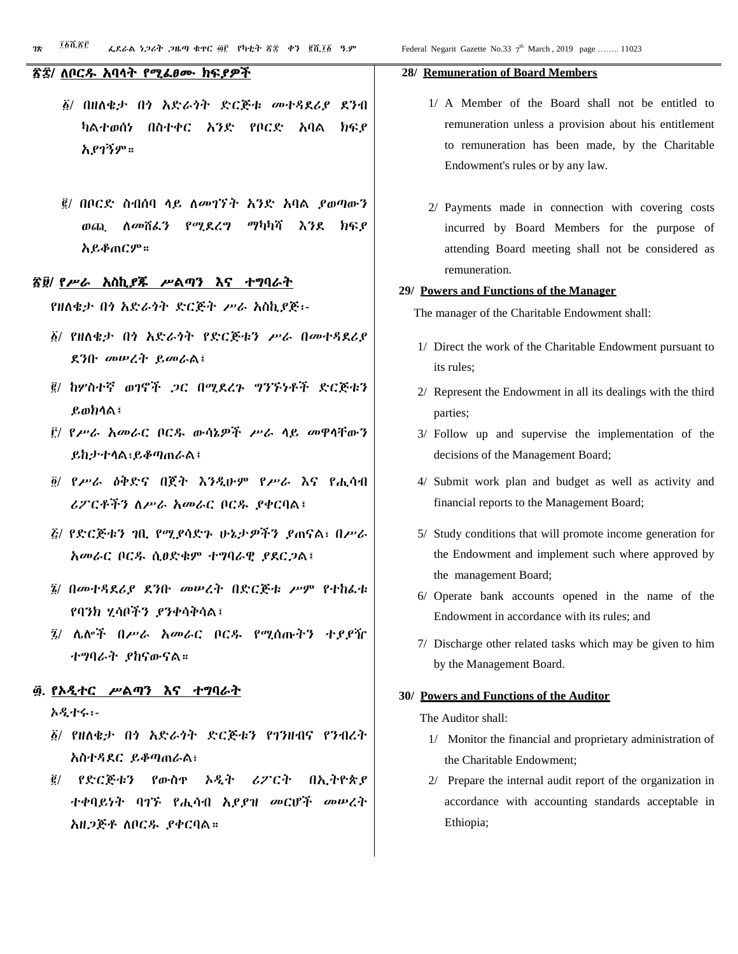#### ፳፰/ ለቦርዱ አባላት የሚፈፀሙ ክፍያዎች

- ፩/ በዘለቄታ በጎ አድራጎት ድርጅቱ መተዳደሪያ ደንብ ካልተወሰነ በስተቀር አንድ የቦርድ አባል ክፍያ አያገኝም።
- ፪/ በቦርድ ስብሰባ ላይ ለመገኘት አንድ አባል ያወጣውን ወጪ ለመሸፈን የሚደረግ ማካካሻ እንደ ክፍያ አይቆጠርም።

#### ፳፱/ የሥራ አስኪያጁ ሥልጣን እና ተግባራት

የዘለቄታ በጎ አድራጎት ድርጅት ሥራ አስኪያጅ፡-

- ፩/ የዘለቄታ በጎ አድራጎት የድርጅቱን ሥራ በመተዳደሪያ ደንቡ መሠረት ይመራል፤
- ፪/ ከሦስተኛ ወገኖች ጋር በሚደረጉ ግንኙነቶች ድርጅቱን ይወክላል፤
- ፫/ የሥራ አመራር ቦርዱ ውሳኔዎች ሥራ ላይ መዋላቸውን ይከታተላል፣ይቆጣጠራል፤
- ፬/ የሥራ ዕቅድና በጀት እንዲሁም የሥራ እና የሒሳብ ሪፖርቶችን ለሥራ አመራር ቦርዱ ያቀርባል፤
- ፭/ የድርጅቱን ገቢ የሚያሳድጉ ሁኔታዎችን ያጠናል፣ በሥራ አመራር ቦርዱ ሲፀድቁም ተግባራዊ ያደርጋል፤
- ፮/ በመተዳደሪያ ደንቡ መሠረት በድርጅቱ ሥም የተከፈቱ የባንክ ሂሳቦችን ያንቀሳቅሳል፤
- ፯/ ሌሎች በሥራ አመራር ቦርዱ የሚሰጡትን ተያያዥ ተግባራት ያከናውናል።

#### ፴. የኦዲተር ሥልጣን እና ተግባራት

ኦዲተሩ፡-

- ፩/ የዘለቄታ በጎ አድራጎት ድርጅቱን የገንዘብና የንብረት አስተዳደር ይቆጣጠራል፣
- ፪/ የድርጅቱን የውስጥ ኦዲት ሪፖርት በኢትዮጵያ ተቀባይነት ባገኙ የሒሳብ አያያዝ መርሆች መሠረት አዘጋጅቶ ለቦርዱ ያቀርባል።

#### **28/ Remuneration of Board Members**

- 1/ A Member of the Board shall not be entitled to remuneration unless a provision about his entitlement to remuneration has been made, by the Charitable Endowment's rules or by any law.
- 2/ Payments made in connection with covering costs incurred by Board Members for the purpose of attending Board meeting shall not be considered as remuneration.

#### **29/ Powers and Functions of the Manager**

The manager of the Charitable Endowment shall:

- 1/ Direct the work of the Charitable Endowment pursuant to its rules;
- 2/ Represent the Endowment in all its dealings with the third parties;
- 3/ Follow up and supervise the implementation of the decisions of the Management Board;
- 4/ Submit work plan and budget as well as activity and financial reports to the Management Board;
- 5/ Study conditions that will promote income generation for the Endowment and implement such where approved by the management Board;
- 6/ Operate bank accounts opened in the name of the Endowment in accordance with its rules; and
- 7/ Discharge other related tasks which may be given to him by the Management Board.

#### **30/ Powers and Functions of the Auditor**

The Auditor shall:

- 1/ Monitor the financial and proprietary administration of the Charitable Endowment;
- 2/ Prepare the internal audit report of the organization in accordance with accounting standards acceptable in Ethiopia;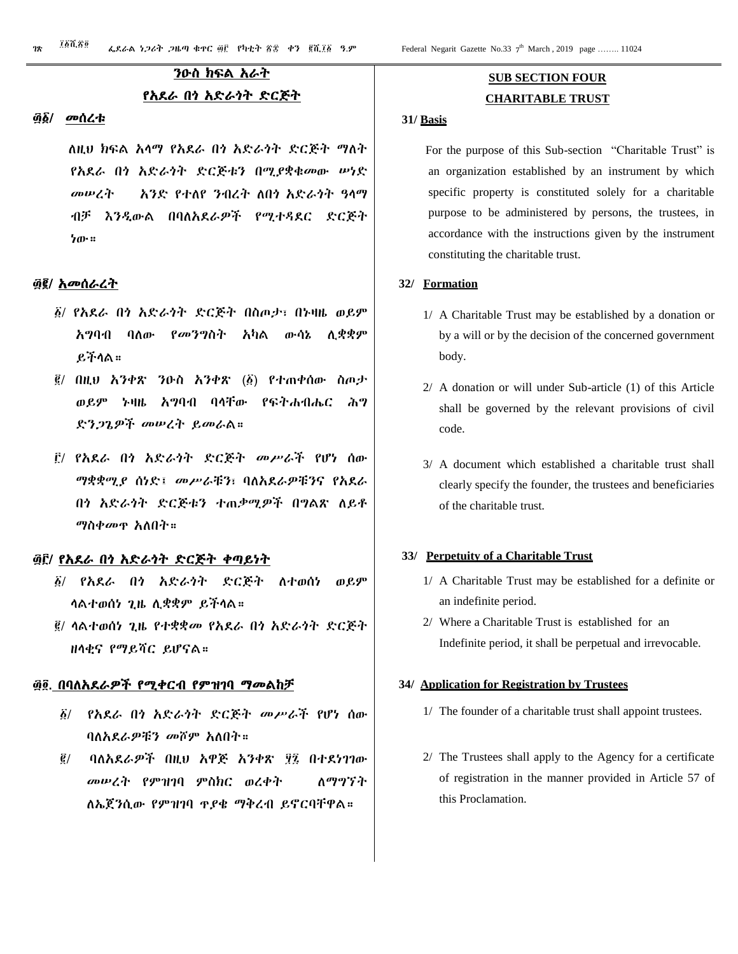# ንዑስ ክፍል አራት የአደራ በጎ አድራጎት ድርጅት

#### ፴፩/ መሰረቱ

 ለዚህ ክፍል አላማ የአደራ በጎ አድራጎት ድርጅት ማለት የአደራ በጎ አድራጎት ድርጅቱን በሚያቋቁመው ሠነድ መሠረት አንድ የተለየ ንብረት ለበጎ አድራጎት ዓላማ ብቻ እንዲውል በባለአደራዎች የሚተዳደር ድርጅት ነው።

#### ፴፪/ አመሰራረት

- ፩/ የአደራ በጎ አድራጎት ድርጅት በስጦታ፣ በኑዛዜ ወይም አግባብ ባለው የመንግስት አካል ውሳኔ ሊቋቋም ይችላል።
- ፪/ በዚህ አንቀጽ ንዑስ አንቀጽ (፩) የተጠቀሰው ስጦታ ወይም ኑዛዜ አግባብ ባላቸው የፍትሐብሔር ሕግ ድንጋጌዎች መሠረት ይመራል።
- ፫/ የአደራ በጎ አድራጎት ድርጅት መሥራች የሆነ ሰው ማቋቋሚያ ሰነድ፤ መሥራቹን፣ ባለአደራዎቹንና የአደራ በጎ አድራጎት ድርጅቱን ተጠቃሚዎች በግልጽ ለይቶ ማስቀመጥ አለበት።

#### ፴፫/ የአደራ በጎ አድራጎት ድርጅት ቀጣይነት

- ፩/ የአደራ በጎ አድራጎት ድርጅት ለተወሰነ ወይም ላልተወሰነ ጊዜ ሊቋቋም ይችላል።
- ፪/ ላልተወሰነ ጊዜ የተቋቋመ የአደራ በጎ አድራጎት ድርጅት ዘላቂና የማይሻር ይሆናል።

#### ፴፬. በባለአደራዎች የሚቀርብ የምዝገባ ማመልከቻ

- ፩/ የአደራ በጎ አድራጎት ድርጅት መሥራች የሆነ ሰው ባለአደራዎቹን መሾም አለበት።
- ፪/ ባለአደራዎች በዚህ አዋጅ አንቀጽ ፶፯ በተደነገገው መሠረት የምዝገባ ምስክር ወረቀት ለማግኘት ለኤጀንሲው የምዝገባ ጥያቄ ማቅረብ ይኖርባቸዋል።

# **SUB SECTION FOUR CHARITABLE TRUST**

#### **31/ Basis**

 For the purpose of this Sub-section "Charitable Trust" is an organization established by an instrument by which specific property is constituted solely for a charitable purpose to be administered by persons, the trustees, in accordance with the instructions given by the instrument constituting the charitable trust.

#### **32/ Formation**

- 1/ A Charitable Trust may be established by a donation or by a will or by the decision of the concerned government body.
- 2/ A donation or will under Sub-article (1) of this Article shall be governed by the relevant provisions of civil code.
- 3/ A document which established a charitable trust shall clearly specify the founder, the trustees and beneficiaries of the charitable trust.

#### **33/ Perpetuity of a Charitable Trust**

- 1/ A Charitable Trust may be established for a definite or an indefinite period.
- 2/ Where a Charitable Trust is established for an Indefinite period, it shall be perpetual and irrevocable.

#### **34/ Application for Registration by Trustees**

- 1/ The founder of a charitable trust shall appoint trustees.
- 2/ The Trustees shall apply to the Agency for a certificate of registration in the manner provided in Article 57 of this Proclamation.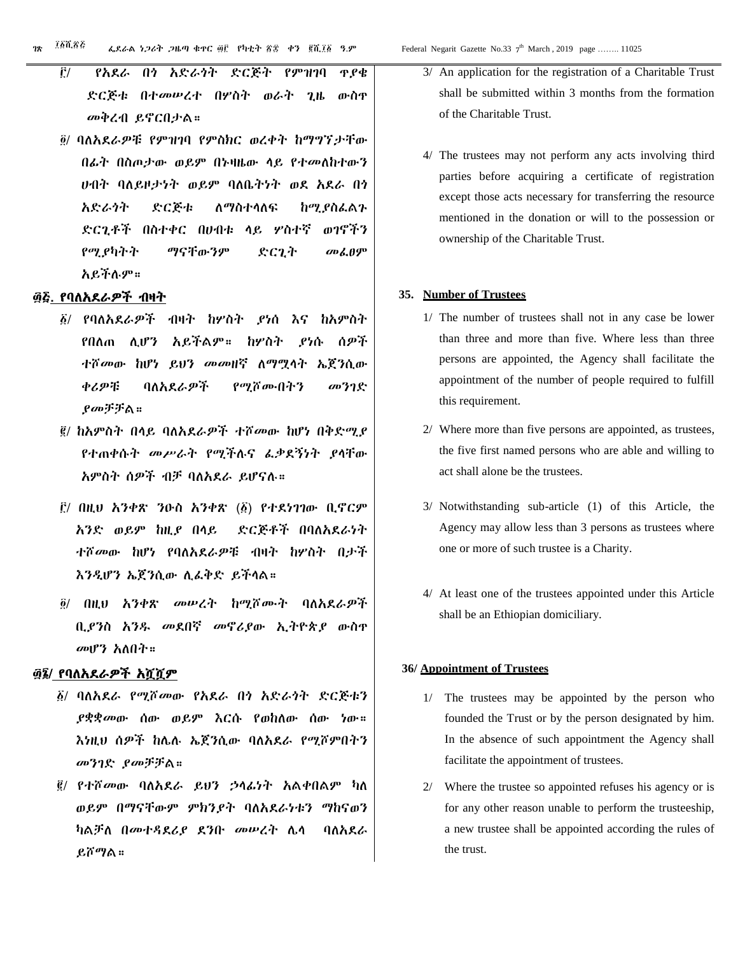- ፫/ የአደራ በጎ አድራጎት ድርጅት የምዝገባ ጥያቄ ድርጅቱ በተመሠረተ በሦስት ወራት ጊዜ ውስጥ መቅረብ ይኖርበታል።
- ፬/ ባለአደራዎቹ የምዝገባ የምስክር ወረቀት ከማግኘታቸው በፊት በስጦታው ወይም በኑዛዜው ላይ የተመለከተውን ሀብት ባለይዞታነት ወይም ባለቤትነት ወደ አደራ በጎ አድራጎት ድርጅቱ ለማስተላለፍ ከሚያስፈልጉ ድርጊቶች በስተቀር በሀብቱ ላይ ሦስተኛ ወገኖችን የሚያካትት ማናቸውንም ድርጊት መፈፀም አይችሉም።

#### ፴፭. የባለአደራዎች ብዛት

- ፩/ የባለአደራዎች ብዛት ከሦስት ያነሰ እና ከአምስት የበለጠ ሊሆን አይችልም። ከሦስት ያነሱ ሰዎች ተሾመው ከሆነ ይህን መመዘኛ ለማሟላት ኤጀንሲው ቀሪዎቹ ባለአደራዎች የሚሾሙበትን መንገድ ያመቻቻል።
- ፪/ ከአምስት በላይ ባለአደራዎች ተሾመው ከሆነ በቅድሚያ የተጠቀሱት መሥራት የሚችሉና ፈቃደኝነት ያላቸው አምስት ሰዎች ብቻ ባለአደራ ይሆናሉ።
- ፫/ በዚህ አንቀጽ ንዑስ አንቀጽ (፩) የተደነገገው ቢኖርም አንድ ወይም ከዚያ በላይ ድርጅቶች በባለአደራነት ተሾመው ከሆነ የባለአደራዎቹ ብዛት ከሦስት በታች እንዲሆን ኤጀንሲው ሊፈቅድ ይችላል።
- ፬/ በዚህ አንቀጽ መሠረት ከሚሾሙት ባለአደራዎች ቢያንስ አንዱ መደበኛ መኖሪያው ኢትዮጵያ ውስጥ መሆን አለበት።

### ፴፮/ የባለአደራዎች አሿሿም

- ፩/ ባለአደራ የሚሾመው የአደራ በጎ አድራጎት ድርጅቱን ያቋቋመው ሰው ወይም እርሱ የወከለው ሰው ነው። እነዚህ ሰዎች ከሌሉ ኤጀንሲው ባለአደራ የሚሾምበትን መንገድ ያመቻቻል።
- ፪/ የተሾመው ባለአደራ ይህን ኃላፊነት አልቀበልም ካለ ወይም በማናቸውም ምክንያት ባለአደራነቱን ማከናወን ካልቻለ በመተዳደሪያ ደንቡ መሠረት ሌላ ባለአደራ ይሾማል።
- 3/ An application for the registration of a Charitable Trust shall be submitted within 3 months from the formation of the Charitable Trust.
- 4/ The trustees may not perform any acts involving third parties before acquiring a certificate of registration except those acts necessary for transferring the resource mentioned in the donation or will to the possession or ownership of the Charitable Trust.

#### **35. Number of Trustees**

- 1/ The number of trustees shall not in any case be lower than three and more than five. Where less than three persons are appointed, the Agency shall facilitate the appointment of the number of people required to fulfill this requirement.
- 2/ Where more than five persons are appointed, as trustees, the five first named persons who are able and willing to act shall alone be the trustees.
- 3/ Notwithstanding sub-article (1) of this Article, the Agency may allow less than 3 persons as trustees where one or more of such trustee is a Charity.
- 4/ At least one of the trustees appointed under this Article shall be an Ethiopian domiciliary.

#### **36/ Appointment of Trustees**

- 1/ The trustees may be appointed by the person who founded the Trust or by the person designated by him. In the absence of such appointment the Agency shall facilitate the appointment of trustees.
- 2/ Where the trustee so appointed refuses his agency or is for any other reason unable to perform the trusteeship, a new trustee shall be appointed according the rules of the trust.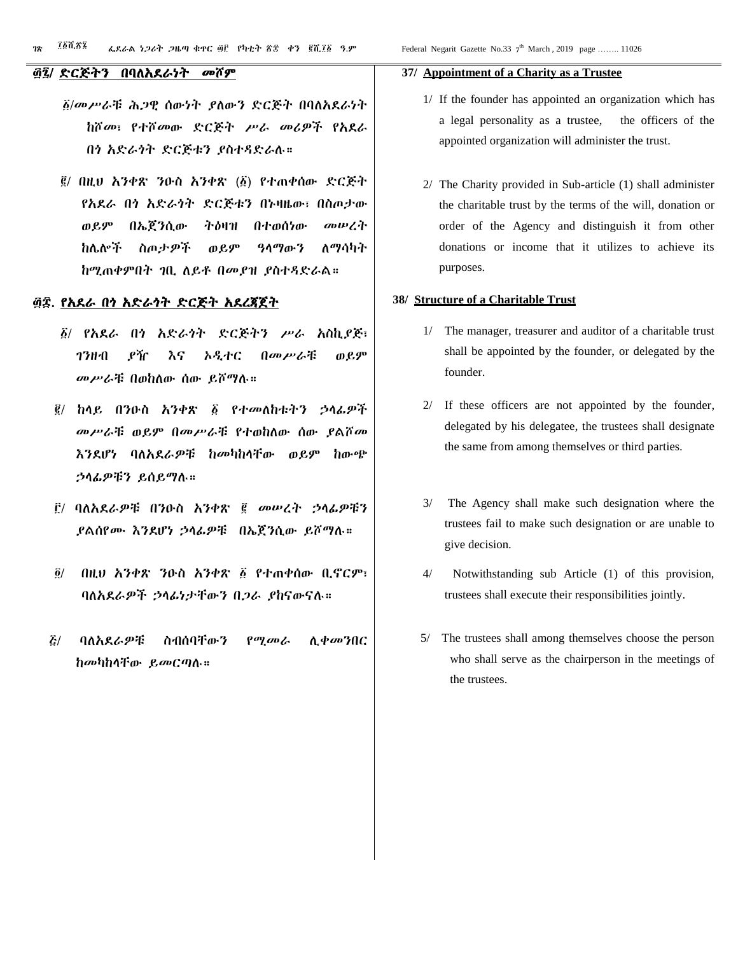#### ፴፯/ ድርጅትን በባለአደራነት መሾም

- ፩/መሥራቹ ሕጋዊ ሰውነት ያለውን ድርጅት በባለአደራነት ከሾመ፣ የተሾመው ድርጅት ሥራ መሪዎች የአደራ በጎ አድራጎት ድርጅቱን ያስተዳድራሉ።
- ፪/ በዚህ አንቀጽ ንዑስ አንቀጽ (፩) የተጠቀሰው ድርጅት የአደራ በጎ አድራጎት ድርጅቱን በኑዛዜው፣ በስጦታው ወይም በኤጀንሲው ትዕዛዝ በተወሰነው መሠረት ከሌሎች ስጦታዎች ወይም ዓላማውን ለማሳካት ከሚጠቀምበት ገቢ ለይቶ በመያዝ ያስተዳድራል።

#### ፴፰. የአደራ በጎ አድራጎት ድርጅት አደረጃጀት

- ፩/ የአደራ በጎ አድራጎት ድርጅትን ሥራ አስኪያጅ፣ ገንዘብ ያዥ እና ኦዲተር በመሥራቹ ወይም መሥራቹ በወከለው ሰው ይሾማሉ።
- ፪/ ከላይ በንዑስ አንቀጽ ፩ የተመለከቱትን ኃላፊዎች መሥራቹ ወይም በመሥራቹ የተወከለው ሰው ያልሾመ እንደሆነ ባለአደራዎቹ ከመካከላቸው ወይም ከውጭ ኃላፊዎቹን ይሰይማሉ።
- ፫/ ባለአደራዎቹ በንዑስ አንቀጽ ፪ መሠረት ኃላፊዎቹን ያልሰየሙ እንደሆነ ኃላፊዎቹ በኤጀንሲው ይሾማሉ።
- ፬/ በዚህ አንቀጽ ንዑስ አንቀጽ ፩ የተጠቀሰው ቢኖርም፣ ባለአደራዎች ኃላፊነታቸውን በጋራ ያከናውናሉ።
- ፭/ ባለአደራዎቹ ስብሰባቸውን የሚመራ ሊቀመንበር ከመካከላቸው ይመርጣሉ።

#### **37/ Appointment of a Charity as a Trustee**

- 1/ If the founder has appointed an organization which has a legal personality as a trustee, the officers of the appointed organization will administer the trust.
- 2/ The Charity provided in Sub-article (1) shall administer the charitable trust by the terms of the will, donation or order of the Agency and distinguish it from other donations or income that it utilizes to achieve its purposes.

#### **38/ Structure of a Charitable Trust**

- 1/ The manager, treasurer and auditor of a charitable trust shall be appointed by the founder, or delegated by the founder.
- 2/ If these officers are not appointed by the founder, delegated by his delegatee, the trustees shall designate the same from among themselves or third parties.
- 3/ The Agency shall make such designation where the trustees fail to make such designation or are unable to give decision.
- 4/ Notwithstanding sub Article (1) of this provision, trustees shall execute their responsibilities jointly.
- 5/ The trustees shall among themselves choose the person who shall serve as the chairperson in the meetings of the trustees.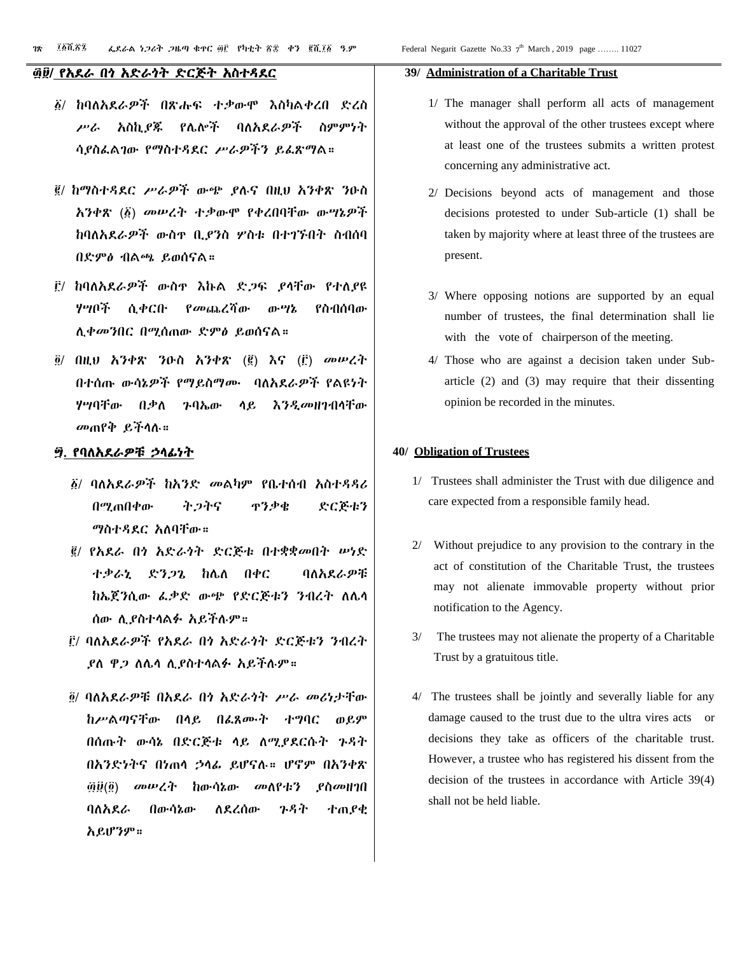#### ፴፱/ የአደራ በጎ አድራጎት ድርጅት አስተዳደር

- ፩/ ከባለአደራዎች በጽሑፍ ተቃውሞ እስካልቀረበ ድረስ ሥራ አስኪያጁ የሌሎች ባለአደራዎች ስምምነት ሳያስፈልገው የማስተዳደር ሥራዎችን ይፈጽማል።
- ፪/ ከማስተዳደር ሥራዎች ውጭ ያሉና በዚህ አንቀጽ ንዑስ አንቀጽ (፩) መሠረት ተቃውሞ የቀረበባቸው ውሣኔዎች ከባለአደራዎች ውስጥ ቢያንስ ሦስቱ በተገኙበት ስብሰባ በድምፅ ብልጫ ይወሰናል።
- ፫/ ከባለአደራዎች ውስጥ እኩል ድጋፍ ያላቸው የተለያዩ ሃሣቦች ሲቀርቡ የመጨረሻው ውሣኔ የስብሰባው ሊቀመንበር በሚሰጠው ድምፅ ይወሰናል።
- ፬/ በዚህ አንቀጽ ንዑስ አንቀጽ (፪) እና (፫) መሠረት በተሰጡ ውሳኔዎች የማይስማሙ ባለአደራዎች የልዩነት ሃሣባቸው በቃለ ጉባኤው ላይ እንዲመዘገብላቸው መጠየቅ ይችላሉ።

#### ፵. የባለአደራዎቹ ኃላፊነት

- ፩/ ባለአደራዎች ከአንድ መልካም የቤተሰብ አስተዳዳሪ በሚጠበቀው ትጋትና ጥንቃቄ ድርጅቱን ማስተዳደር አለባቸው።
- ፪/ የአደራ በጎ አድራጎት ድርጅቱ በተቋቋመበት ሠነድ ተቃራኒ ድንጋጌ ከሌለ በቀር ባለአደራዎቹ ከኤጀንሲው ፈቃድ ውጭ የድርጅቱን ንብረት ለሌላ ሰው ሊያስተላልፉ አይችሉም።
- ፫/ ባለአደራዎች የአደራ በጎ አድራጎት ድርጅቱን ንብረት ያለ ዋጋ ለሌላ ሊያስተላልፉ አይችሉም።
- ፬/ ባለአደራዎቹ በአደራ በጎ አድራጎት ሥራ መሪነታቸው ከሥልጣናቸው በላይ በፈጸሙት ተግባር ወይም በሰጡት ውሳኔ በድርጅቱ ላይ ለሚያደርሱት ጉዳት በአንድነትና በነጠላ ኃላፊ ይሆናሉ። ሆኖም በአንቀጽ ፴፱(፬) መሠረት ከውሳኔው መለየቱን ያስመዘገበ ባለአደራ በውሳኔው ለደረሰው ጉዳት ተጠያቂ አይሆንም።

#### **39/ Administration of a Charitable Trust**

- 1/ The manager shall perform all acts of management without the approval of the other trustees except where at least one of the trustees submits a written protest concerning any administrative act.
- 2/ Decisions beyond acts of management and those decisions protested to under Sub-article (1) shall be taken by majority where at least three of the trustees are present.
- 3/ Where opposing notions are supported by an equal number of trustees, the final determination shall lie with the vote of chairperson of the meeting.
- 4/ Those who are against a decision taken under Subarticle (2) and (3) may require that their dissenting opinion be recorded in the minutes.

#### **40/ Obligation of Trustees**

- 1/ Trustees shall administer the Trust with due diligence and care expected from a responsible family head.
- 2/ Without prejudice to any provision to the contrary in the act of constitution of the Charitable Trust, the trustees may not alienate immovable property without prior notification to the Agency.
- 3/ The trustees may not alienate the property of a Charitable Trust by a gratuitous title.
- 4/ The trustees shall be jointly and severally liable for any damage caused to the trust due to the ultra vires acts or decisions they take as officers of the charitable trust. However, a trustee who has registered his dissent from the decision of the trustees in accordance with Article 39(4) shall not be held liable.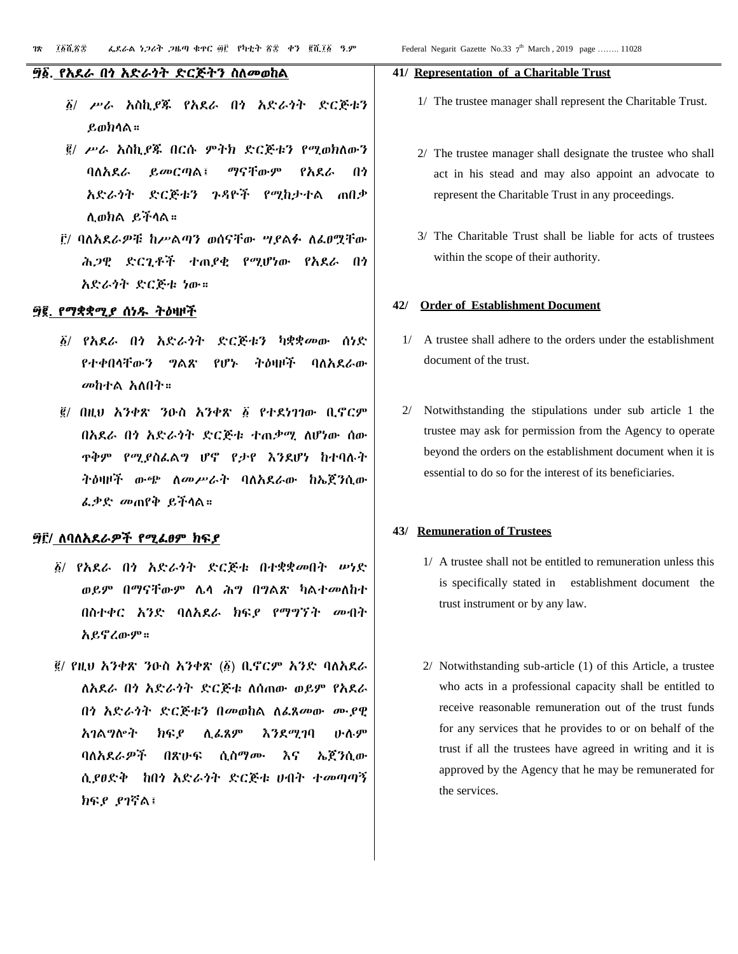#### ፵፩. የአደራ በጎ አድራጎት ድርጅትን ስለመወከል

- ፩/ ሥራ አስኪያጁ የአደራ በጎ አድራጎት ድርጅቱን ይወክላል።
- ፪/ ሥራ አስኪያጁ በርሱ ምትክ ድርጅቱን የሚወክለውን ባለአደራ ይመርጣል፤ ማናቸውም የአደራ በጎ አድራጎት ድርጅቱን ጉዳዮች የሚከታተል ጠበቃ ሊወክል ይችላል።
- ፫/ ባለአደራዎቹ ከሥልጣን ወሰናቸው ሣያልፉ ለፈፀሟቸው ሕጋዊ ድርጊቶች ተጠያቂ የሚሆነው የአደራ በጎ አድራጎት ድርጅቱ ነው።

#### ፵፪. የማቋቋሚያ ሰነዱ ትዕዛዞች

- ፩/ የአደራ በጎ አድራጎት ድርጅቱን ካቋቋመው ሰነድ የተቀበላቸውን ግልጽ የሆኑ ትዕዛዞች ባለአደራው መከተል አለበት።
- ፪/ በዚህ አንቀጽ ንዑስ አንቀጽ ፩ የተደነገገው ቢኖርም በአደራ በጎ አድራጎት ድርጅቱ ተጠቃሚ ለሆነው ሰው ጥቅም የሚያስፈልግ ሆኖ የታየ እንደሆነ ከተባሉት ትዕዛዞች ውጭ ለመሥራት ባለአደራው ከኤጀንሲው ፈቃድ መጠየቅ ይችላል።

#### ፵፫/ ለባለአደራዎች የሚፈፀም ክፍያ

- ፩/ የአደራ በጎ አድራጎት ድርጅቱ በተቋቋመበት ሠነድ ወይም በማናቸውም ሌላ ሕግ በግልጽ ካልተመለከተ በስተቀር አንድ ባለአደራ ክፍያ የማግኘት መብት አይኖረውም።
- ፪/ የዚህ አንቀጽ ንዑስ አንቀጽ (፩) ቢኖርም አንድ ባለአደራ ለአደራ በጎ አድራጎት ድርጅቱ ለሰጠው ወይም የአደራ በጎ አድራጎት ድርጅቱን በመወከል ለፈጸመው ሙያዊ አገልግሎት ክፍያ ሊፈጸም እንደሚገባ ሁሉም ባለአደራዎች በጽሁፍ ሲስማሙ እና ኤጀንሲው ሲያፀድቅ ከበጎ አድራጎት ድርጅቱ ሀብት ተመጣጣኝ ክፍያ ያገኛል፤

#### **41/ Representation of a Charitable Trust**

- 1/ The trustee manager shall represent the Charitable Trust.
- 2/ The trustee manager shall designate the trustee who shall act in his stead and may also appoint an advocate to represent the Charitable Trust in any proceedings.
- 3/ The Charitable Trust shall be liable for acts of trustees within the scope of their authority.

#### **42/ Order of Establishment Document**

- 1/ A trustee shall adhere to the orders under the establishment document of the trust.
- 2/ Notwithstanding the stipulations under sub article 1 the trustee may ask for permission from the Agency to operate beyond the orders on the establishment document when it is essential to do so for the interest of its beneficiaries.

#### **43/ Remuneration of Trustees**

- 1/ A trustee shall not be entitled to remuneration unless this is specifically stated in establishment document the trust instrument or by any law.
- 2/ Notwithstanding sub-article (1) of this Article, a trustee who acts in a professional capacity shall be entitled to receive reasonable remuneration out of the trust funds for any services that he provides to or on behalf of the trust if all the trustees have agreed in writing and it is approved by the Agency that he may be remunerated for the services.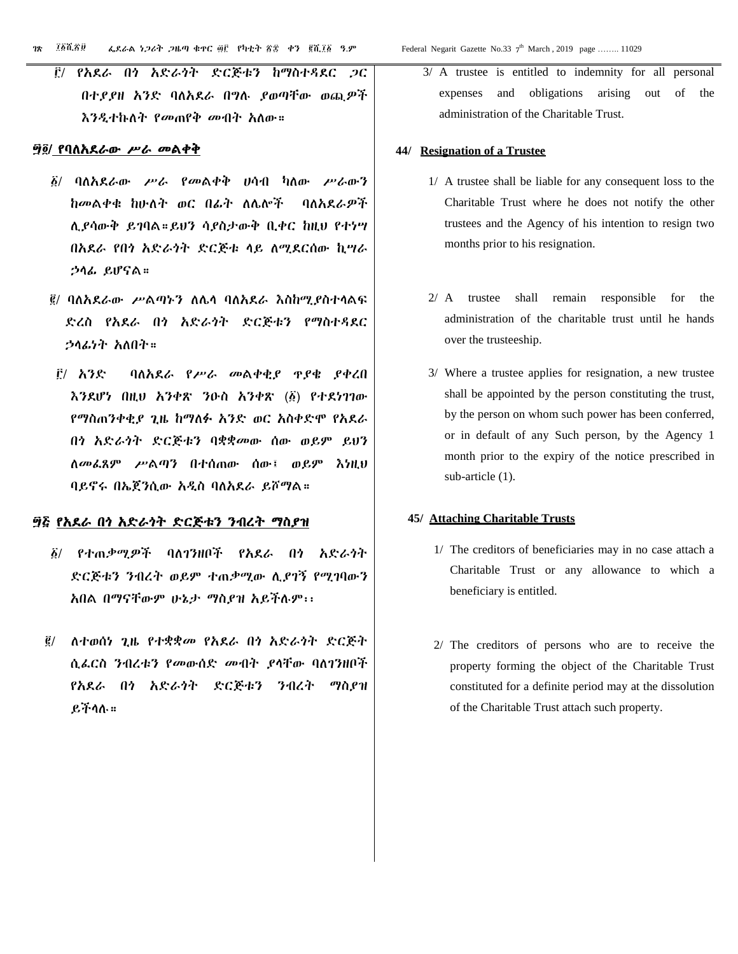፫/ የአደራ በጎ አድራጎት ድርጅቱን ከማስተዳደር ጋር በተያያዘ አንድ ባለአደራ በግሉ ያወጣቸው ወጪዎች እንዲተኩለት የመጠየቅ መብት አለው።

#### ፵፬/ የባለአደራው ሥራ መልቀቅ

- ፩/ ባለአደራው ሥራ የመልቀቅ ሀሳብ ካለው ሥራውን ከመልቀቁ ከሁለት ወር በፊት ለሌሎች ባለአደራዎች ሊያሳውቅ ይገባል።ይህን ሳያስታውቅ ቢቀር ከዚህ የተነሣ በአደራ የበጎ አድራጎት ድርጅቱ ላይ ለሚደርሰው ኪሣራ ኃላፊ ይሆናል።
- ፪/ ባለአደራው ሥልጣኑን ለሌላ ባለአደራ እስከሚያስተላልፍ ድረስ የአደራ በጎ አድራጎት ድርጅቱን የማስተዳደር ኃላፊነት አለበት።
- ፫/ አንድ ባለአደራ የሥራ መልቀቂያ ጥያቄ ያቀረበ እንደሆነ በዚህ አንቀጽ ንዑስ አንቀጽ (፩) የተደነገገው የማስጠንቀቂያ ጊዜ ከማለፉ አንድ ወር አስቀድሞ የአደራ በጎ አድራጎት ድርጅቱን ባቋቋመው ሰው ወይም ይህን ለመፈጸም ሥልጣን በተሰጠው ሰው፤ ወይም እነዚህ ባይኖሩ በኤጀንሲው አዲስ ባለአደራ ይሾማል።

#### ፵፭ የአደራ በጎ አድራጎት ድርጅቱን ንብረት ማስያዝ

- ፩/ የተጠቃሚዎች ባለገንዘቦች የአደራ በጎ አድራጎት ድርጅቱን ንብረት ወይም ተጠቃሚው ሊያገኝ የሚገባውን አበል በማናቸውም ሁኔታ ማስያዝ አይችሉም፡፡
- ፪/ ለተወሰነ ጊዜ የተቋቋመ የአደራ በጎ አድራጎት ድርጅት ሲፈርስ ንብረቱን የመውሰድ መብት ያላቸው ባለገንዘቦች የአደራ በጎ አድራጎት ድርጅቱን ንብረት ማስያዝ ይችላሉ።

3/ A trustee is entitled to indemnity for all personal expenses and obligations arising out of the administration of the Charitable Trust.

#### **44/ Resignation of a Trustee**

- 1/ A trustee shall be liable for any consequent loss to the Charitable Trust where he does not notify the other trustees and the Agency of his intention to resign two months prior to his resignation.
- 2/ A trustee shall remain responsible for the administration of the charitable trust until he hands over the trusteeship.
- 3/ Where a trustee applies for resignation, a new trustee shall be appointed by the person constituting the trust, by the person on whom such power has been conferred, or in default of any Such person, by the Agency 1 month prior to the expiry of the notice prescribed in sub-article (1).

#### **45/ Attaching Charitable Trusts**

- 1/ The creditors of beneficiaries may in no case attach a Charitable Trust or any allowance to which a beneficiary is entitled.
- 2/ The creditors of persons who are to receive the property forming the object of the Charitable Trust constituted for a definite period may at the dissolution of the Charitable Trust attach such property.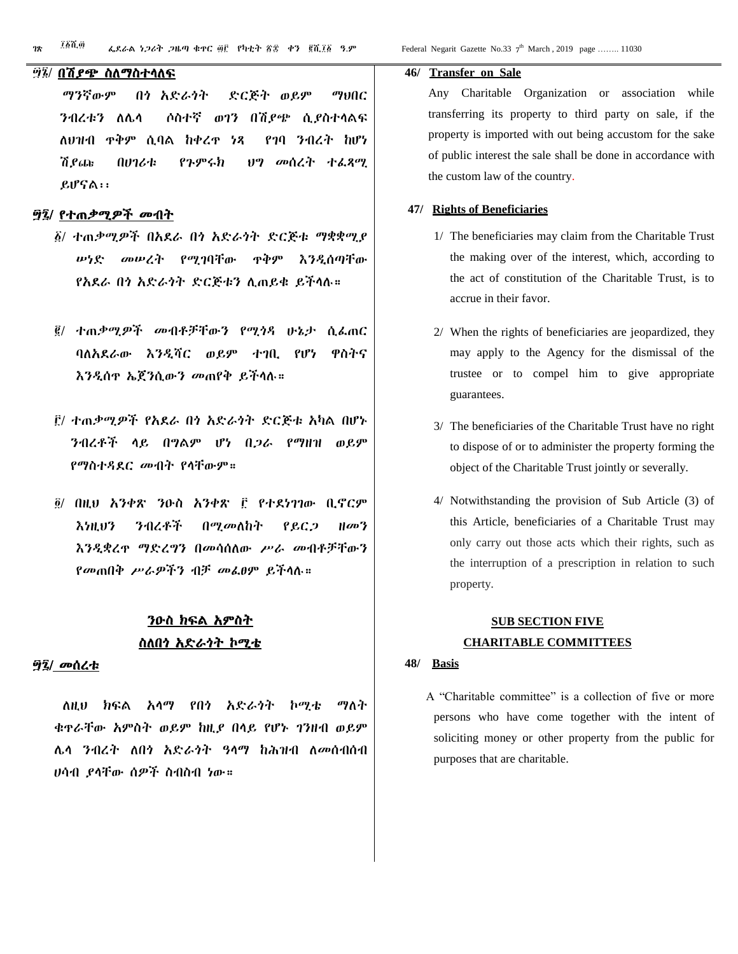#### ፵፮/ በሽያጭ ስለማስተላለፍ

 ማንኛውም በጎ አድራጎት ድርጅት ወይም ማህበር ንብረቱን ለሌላ ሶስተኛ ወገን በሽያጭ ሲያስተላልፍ ለህዝብ ጥቅም ሲባል ከቀረጥ ነጻ የገባ ንብረት ከሆነ ሽያጩ በሀገሪቱ የጉምሩክ ህግ መሰረት ተፈጻሚ ይሆናል፡፡

#### ፵፯/ የተጠቃሚዎች መብት

- ፩/ ተጠቃሚዎች በአደራ በጎ አድራጎት ድርጅቱ ማቋቋሚያ ሠነድ መሠረት የሚገባቸው ጥቅም እንዲሰጣቸው የአደራ በጎ አድራጎት ድርጅቱን ሊጠይቁ ይችላሉ።
- ፪/ ተጠቃሚዎች መብቶቻቸውን የሚጎዳ ሁኔታ ሲፈጠር ባለአደራው እንዲሻር ወይም ተገቢ የሆነ ዋስትና እንዲሰጥ ኤጀንሲውን መጠየቅ ይችላሉ።
- ፫/ ተጠቃሚዎች የአደራ በጎ አድራጎት ድርጅቱ አካል በሆኑ ንብረቶች ላይ በግልም ሆነ በጋራ የማዘዝ ወይም የማስተዳደር መብት የላቸውም።
- ፬/ በዚህ አንቀጽ ንዑስ አንቀጽ ፫ የተደነገገው ቢኖርም እነዚህን ንብረቶች በሚመለከት የይርጋ ዘመን እንዲቋረጥ ማድረግን በመሳሰለው ሥራ መብቶቻቸውን የመጠበቅ ሥራዎችን ብቻ መፈፀም ይችላሉ።

# ንዑስ ክፍል አምስት ስለበጎ አድራጎት ኮሚቴ

#### ፵፯/ መሰረቱ

 ለዚህ ክፍል አላማ የበጎ አድራጎት ኮሚቴ ማለት ቁጥራቸው አምስት ወይም ከዚያ በላይ የሆኑ ገንዘብ ወይም ሌላ ንብረት ለበጎ አድራጎት ዓላማ ከሕዝብ ለመሰብሰብ ሀሳብ ያላቸው ሰዎች ስብስብ ነው።

#### **46/ Transfer on Sale**

Any Charitable Organization or association while transferring its property to third party on sale, if the property is imported with out being accustom for the sake of public interest the sale shall be done in accordance with the custom law of the country.

#### **47/ Rights of Beneficiaries**

- 1/ The beneficiaries may claim from the Charitable Trust the making over of the interest, which, according to the act of constitution of the Charitable Trust, is to accrue in their favor.
- 2/ When the rights of beneficiaries are jeopardized, they may apply to the Agency for the dismissal of the trustee or to compel him to give appropriate guarantees.
- 3/ The beneficiaries of the Charitable Trust have no right to dispose of or to administer the property forming the object of the Charitable Trust jointly or severally.
- 4/ Notwithstanding the provision of Sub Article (3) of this Article, beneficiaries of a Charitable Trust may only carry out those acts which their rights, such as the interruption of a prescription in relation to such property.

# **SUB SECTION FIVE CHARITABLE COMMITTEES**

#### **48/ Basis**

 A "Charitable committee" is a collection of five or more persons who have come together with the intent of soliciting money or other property from the public for purposes that are charitable.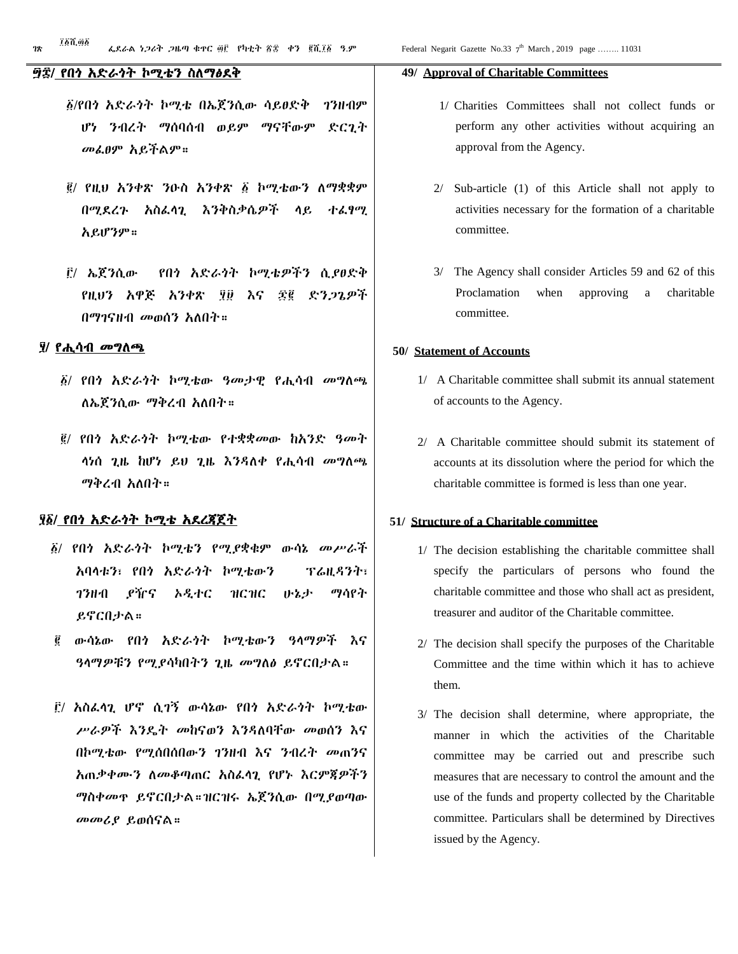#### ፵፰/ የበጎ አድራጎት ኮሚቴን ስለማፅደቅ

- ፩/የበጎ አድራጎት ኮሚቴ በኤጀንሲው ሳይፀድቅ ገንዘብም ሆነ ንብረት ማሰባሰብ ወይም ማናቸውም ድርጊት መፈፀም አይችልም።
- ፪/ የዚህ አንቀጽ ንዑስ አንቀጽ ፩ ኮሚቴውን ለማቋቋም በሚደረጉ አስፈላጊ እንቅስቃሴዎች ላይ ተፈፃሚ አይሆንም።
- ፫/ ኤጀንሲው የበጎ አድራጎት ኮሚቴዎችን ሲያፀድቅ የዚህን አዋጅ አንቀጽ ፶፱ እና ፷፪ ድንጋጌዎች በማገናዘብ መወሰን አለበት።

#### ፶/ የሒሳብ መግለጫ

- ፩/ የበጎ አድራጎት ኮሚቴው ዓመታዊ የሒሳብ መግለጫ ለኤጀንሲው ማቅረብ አለበት።
- ፪/ የበጎ አድራጎት ኮሚቴው የተቋቋመው ከአንድ ዓመት ላነሰ ጊዜ ከሆነ ይህ ጊዜ እንዳለቀ የሒሳብ መግለጫ ማቅረብ አለበት።

#### ፶፩/ የበጎ አድራጎት ኮሚቴ አደረጃጀት

- ፩/ የበጎ አድራጎት ኮሚቴን የሚያቋቁም ውሳኔ መሥራች አባላቱን፣ የበጎ አድራጎት ኮሚቴውን ፕሬዚዳንት፣ ገንዘብ ያዥና ኦዲተር ዝርዝር ሁኔታ ማሳየት ይኖርበታል።
- ፪ ውሳኔው የበጎ አድራጎት ኮሚቴውን ዓላማዎች እና ዓላማዎቹን የሚያሳካበትን ጊዜ መግለፅ ይኖርበታል።
- ፫/ አስፈላጊ ሆኖ ሲገኝ ውሳኔው የበጎ አድራጎት ኮሚቴው ሥራዎች እንዴት መከናወን እንዳለባቸው መወሰን እና በኮሚቴው የሚሰበሰበውን ገንዘብ እና ንብረት መጠንና አጠቃቀሙን ለመቆጣጠር አስፈላጊ የሆኑ እርምጃዎችን ማስቀመጥ ይኖርበታል።ዝርዝሩ ኤጀንሲው በሚያወጣው መመሪያ ይወሰናል።

#### **49/ Approval of Charitable Committees**

- 1/ Charities Committees shall not collect funds or perform any other activities without acquiring an approval from the Agency.
- 2/ Sub-article (1) of this Article shall not apply to activities necessary for the formation of a charitable committee.
- 3/ The Agency shall consider Articles 59 and 62 of this Proclamation when approving a charitable committee.

#### **50/ Statement of Accounts**

- 1/ A Charitable committee shall submit its annual statement of accounts to the Agency.
- 2/ A Charitable committee should submit its statement of accounts at its dissolution where the period for which the charitable committee is formed is less than one year.

#### **51/ Structure of a Charitable committee**

- 1/ The decision establishing the charitable committee shall specify the particulars of persons who found the charitable committee and those who shall act as president, treasurer and auditor of the Charitable committee.
- 2/ The decision shall specify the purposes of the Charitable Committee and the time within which it has to achieve them.
- 3/ The decision shall determine, where appropriate, the manner in which the activities of the Charitable committee may be carried out and prescribe such measures that are necessary to control the amount and the use of the funds and property collected by the Charitable committee. Particulars shall be determined by Directives issued by the Agency.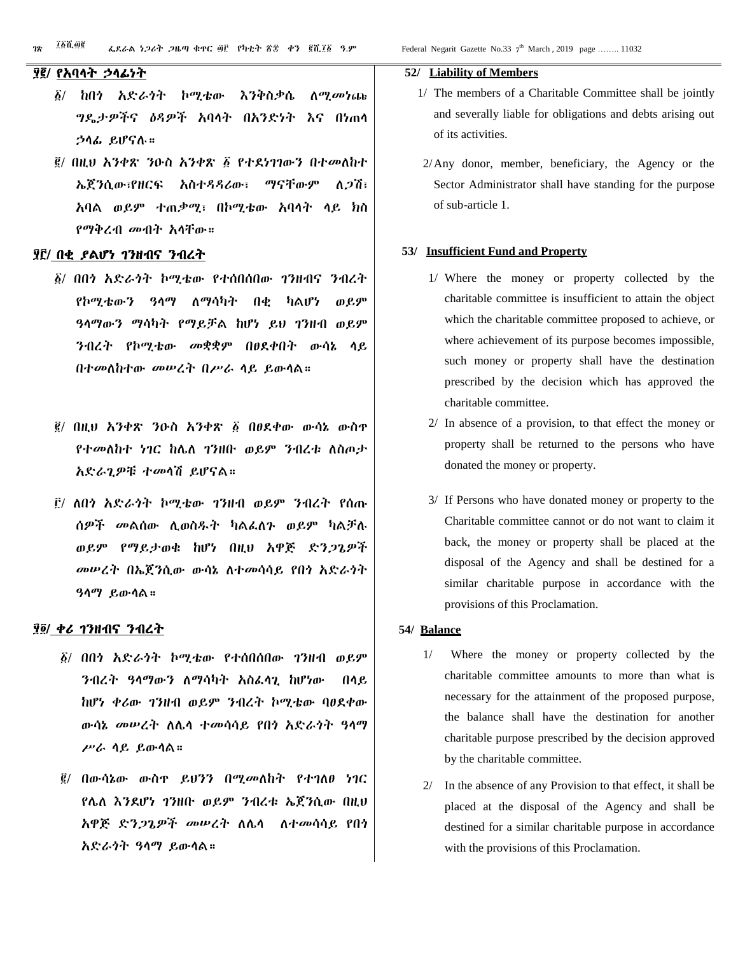#### ፶፪/ የአባላት ኃላፊነት

- ፩/ ከበጎ አድራጎት ኮሚቴው እንቅስቃሴ ለሚመነጩ ግዴታዎችና ዕዳዎች አባላት በአንድነት እና በነጠላ ኃላፊ ይሆናሉ።
- ፪/ በዚህ አንቀጽ ንዑስ አንቀጽ ፩ የተደነገገውን በተመለከተ ኤጀንሲው፣የዘርፍ አስተዳዳሪው፣ ማናቸውም ለጋሽ፣ አባል ወይም ተጠቃሚ፣ በኮሚቴው አባላት ላይ ክስ የማቅረብ መብት አላቸው።

#### ፶፫/ በቂ ያልሆነ ገንዘብና ንብረት

- ፩/ በበጎ አድራጎት ኮሚቴው የተሰበሰበው ገንዘብና ንብረት የኮሚቴውን ዓላማ ለማሳካት በቂ ካልሆነ ወይም ዓላማውን ማሳካት የማይቻል ከሆነ ይህ ገንዘብ ወይም ንብረት የኮሚቴው መቋቋም በፀደቀበት ውሳኔ ላይ በተመለከተው መሠረት በሥራ ላይ ይውላል።
- ፪/ በዚህ አንቀጽ ንዑስ አንቀጽ ፩ በፀደቀው ውሳኔ ውስጥ የተመለከተ ነገር ከሌለ ገንዘቡ ወይም ንብረቱ ለስጦታ አድራጊዎቹ ተመላሽ ይሆናል።
- ፫/ ለበጎ አድራጎት ኮሚቴው ገንዘብ ወይም ንብረት የሰጡ ሰዎች መልሰው ሊወስዱት ካልፈለጉ ወይም ካልቻሉ ወይም የማይታወቁ ከሆነ በዚህ አዋጅ ድንጋጌዎች መሠረት በኤጀንሲው ውሳኔ ለተመሳሳይ የበጎ አድራጎት ዓላማ ይውላል።

#### ፶፬/ ቀሪ ገንዘብና ንብረት

- ፩/ በበጎ አድራጎት ኮሚቴው የተሰበሰበው ገንዘብ ወይም ንብረት ዓላማውን ለማሳካት አስፈላጊ ከሆነው በላይ ከሆነ ቀሪው ገንዘብ ወይም ንብረት ኮሚቴው ባፀደቀው ውሳኔ መሠረት ለሌላ ተመሳሳይ የበጎ አድራጎት ዓላማ ሥራ ላይ ይውላል።
- ፪/ በውሳኔው ውስጥ ይህንን በሚመለከት የተገለፀ ነገር የሌለ እንደሆነ ገንዘቡ ወይም ንብረቱ ኤጀንሲው በዚህ አዋጅ ድንጋጌዎች መሠረት ለሌላ ለተመሳሳይ የበጎ አድራጎት ዓላማ ይውላል።

#### **52/ Liability of Members**

- 1/ The members of a Charitable Committee shall be jointly and severally liable for obligations and debts arising out of its activities.
- 2/Any donor, member, beneficiary, the Agency or the Sector Administrator shall have standing for the purpose of sub-article 1.

#### **53/ Insufficient Fund and Property**

- 1/ Where the money or property collected by the charitable committee is insufficient to attain the object which the charitable committee proposed to achieve, or where achievement of its purpose becomes impossible, such money or property shall have the destination prescribed by the decision which has approved the charitable committee.
- 2/ In absence of a provision, to that effect the money or property shall be returned to the persons who have donated the money or property.
- 3/ If Persons who have donated money or property to the Charitable committee cannot or do not want to claim it back, the money or property shall be placed at the disposal of the Agency and shall be destined for a similar charitable purpose in accordance with the provisions of this Proclamation.

#### **54/ Balance**

- 1/ Where the money or property collected by the charitable committee amounts to more than what is necessary for the attainment of the proposed purpose, the balance shall have the destination for another charitable purpose prescribed by the decision approved by the charitable committee.
- 2/ In the absence of any Provision to that effect, it shall be placed at the disposal of the Agency and shall be destined for a similar charitable purpose in accordance with the provisions of this Proclamation.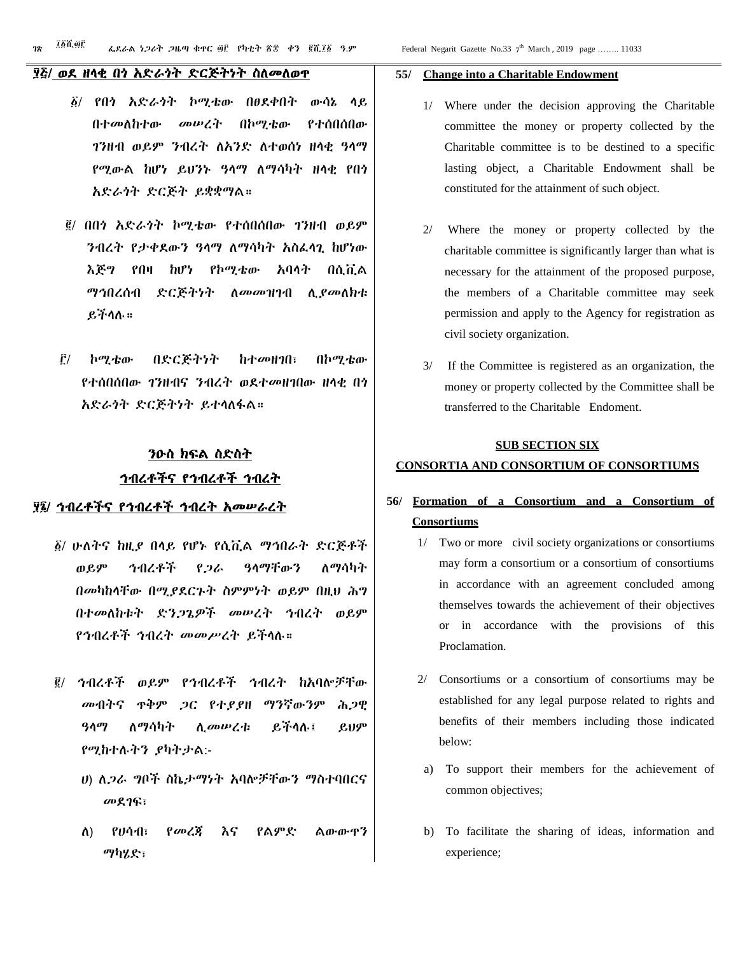#### ፶፭/ ወደ ዘላቂ በጎ አድራጎት ድርጅትነት ስለመለወጥ

- ፩/ የበጎ አድራጎት ኮሚቴው በፀደቀበት ውሳኔ ላይ በተመለከተው መሠረት በኮሚቴው የተሰበሰበው ገንዘብ ወይም ንብረት ለአንድ ለተወሰነ ዘላቂ ዓላማ የሚውል ከሆነ ይህንኑ ዓላማ ለማሳካት ዘላቂ የበጎ አድራጎት ድርጅት ይቋቋማል።
- ፪/ በበጎ አድራጎት ኮሚቴው የተሰበሰበው ገንዘብ ወይም ንብረት የታቀደውን ዓላማ ለማሳካት አስፈላጊ ከሆነው እጅግ የበዛ ከሆነ የኮሚቴው አባላት በሲቪል ማኅበረሰብ ድርጅትነት ለመመዝገብ ሊያመለክቱ ይችላሉ።
- ፫/ ኮሚቴው በድርጅትነት ከተመዘገበ፣ በኮሚቴው የተሰበሰበው ገንዘብና ንብረት ወደተመዘገበው ዘላቂ በጎ አድራጎት ድርጅትነት ይተላለፋል።

# ንዑስ ክፍል ስድስት ኅብረቶችና የኅብረቶች ኅብረት

#### ፶፮/ ኅብረቶችና የኅብረቶች ኅብረት አመሠራረት

- ፩/ ሁለትና ከዚያ በላይ የሆኑ የሲቪል ማኅበራት ድርጅቶች ወይም ኅብረቶች የጋራ ዓላማቸውን ለማሳካት በመካከላቸው በሚያደርጉት ስምምነት ወይም በዚህ ሕግ በተመለከቱት ድንጋጌዎች መሠረት ኅብረት ወይም የኅብረቶች ኅብረት መመሥረት ይችላሉ።
- ፪/ ኅብረቶች ወይም የኅብረቶች ኅብረት ከአባሎቻቸው መብትና ጥቅም ጋር የተያያዘ ማንኛውንም ሕጋዊ ዓላማ ለማሳካት ሊመሠረቱ ይችላሉ፤ ይህም የሚከተሉትን ያካትታል:-
	- ሀ) ለጋራ ግቦች ስኬታማነት አባሎቻቸውን ማስተባበርና መደገፍ፣
	- ለ) የሀሳብ፣ የመረጃ እና የልምድ ልውውጥን ማካሄድ፣

#### **55/ Change into a Charitable Endowment**

- 1/ Where under the decision approving the Charitable committee the money or property collected by the Charitable committee is to be destined to a specific lasting object, a Charitable Endowment shall be constituted for the attainment of such object.
- 2/ Where the money or property collected by the charitable committee is significantly larger than what is necessary for the attainment of the proposed purpose, the members of a Charitable committee may seek permission and apply to the Agency for registration as civil society organization.
- 3/ If the Committee is registered as an organization, the money or property collected by the Committee shall be transferred to the Charitable Endoment.

#### **SUB SECTION SIX**

#### **CONSORTIA AND CONSORTIUM OF CONSORTIUMS**

# **56/ Formation of a Consortium and a Consortium of Consortiums**

- 1/ Two or more civil society organizations or consortiums may form a consortium or a consortium of consortiums in accordance with an agreement concluded among themselves towards the achievement of their objectives or in accordance with the provisions of this Proclamation.
- 2/ Consortiums or a consortium of consortiums may be established for any legal purpose related to rights and benefits of their members including those indicated below:
- a) To support their members for the achievement of common objectives;
- b) To facilitate the sharing of ideas, information and experience;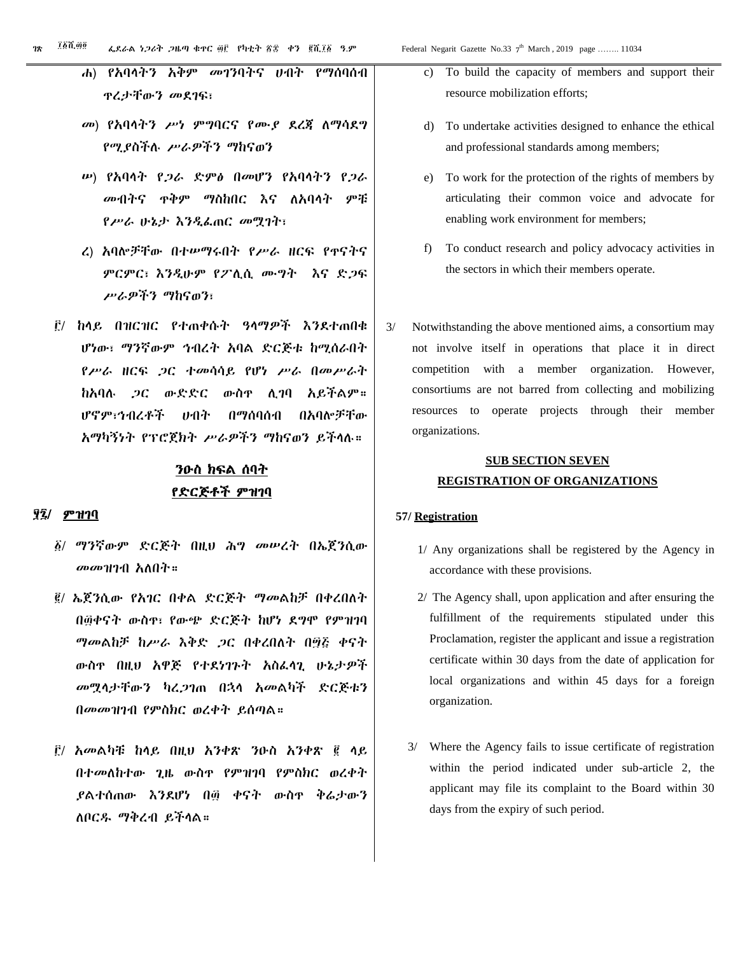- ሐ) የአባላትን አቅም መገንባትና ሀብት የማሰባሰብ ጥረታቸውን መደገፍ፣
- መ) የአባላትን ሥነ ምግባርና የሙያ ደረጃ ለማሳደግ የሚያስችሉ ሥራዎችን ማከናወን
- ሠ) የአባላት የጋራ ድምፅ በመሆን የአባላትን የጋራ መብትና ጥቅም ማስከበር እና ለአባላት ምቹ የሥራ ሁኔታ እንዲፈጠር መሟገት፣
- ረ) አባሎቻቸው በተሠማሩበት የሥራ ዘርፍ የጥናትና ምርምር፣ እንዲሁም የፖሊሲ ሙግት እና ድጋፍ ሥራዎችን ማከናወን፣
- ፫/ ከላይ በዝርዝር የተጠቀሱት ዓላማዎች እንደተጠበቁ ሆነው፣ ማንኛውም ኅብረት አባል ድርጅቱ ከሚሰራበት የሥራ ዘርፍ ጋር ተመሳሳይ የሆነ ሥራ በመሥራት ከአባሉ ጋር ውድድር ውስጥ ሊገባ አይችልም። ሆኖም፣ኅብረቶች ሀብት በማሰባሰብ በአባሎቻቸው አማካኝነት የፕሮጀክት ሥራዎችን ማከናወን ይችላሉ።

# ንዑስ ክፍል ሰባት የድርጅቶች ምዝገባ

#### ፶፯/ ምዝገባ

- ፩/ ማንኛውም ድርጅት በዚህ ሕግ መሠረት በኤጀንሲው መመዝገብ አለበት።
- ፪/ ኤጀንሲው የአገር በቀል ድርጅት ማመልከቻ በቀረበለት በ፴ቀናት ውስጥ፣ የውጭ ድርጅት ከሆነ ደግሞ የምዝገባ ማመልከቻ ከሥራ እቅድ ጋር በቀረበለት በ፵፭ ቀናት ውስጥ በዚህ አዋጅ የተደነገጉት አስፈላጊ ሁኔታዎች መሟላታቸውን ካረጋገጠ በኋላ አመልካች ድርጅቱን በመመዝገብ የምስክር ወረቀት ይሰጣል።
- ፫/ አመልካቹ ከላይ በዚህ አንቀጽ ንዑስ አንቀጽ ፪ ላይ በተመለከተው ጊዜ ውስጥ የምዝገባ የምስክር ወረቀት ያልተሰጠው እንደሆነ በ፴ ቀናት ውስጥ ቅሬታውን ለቦርዱ ማቅረብ ይችላል።
- To build the capacity of members and support their resource mobilization efforts;
- d) To undertake activities designed to enhance the ethical and professional standards among members;
- e) To work for the protection of the rights of members by articulating their common voice and advocate for enabling work environment for members;
- f) To conduct research and policy advocacy activities in the sectors in which their members operate.
- 3/ Notwithstanding the above mentioned aims, a consortium may not involve itself in operations that place it in direct competition with a member organization. However, consortiums are not barred from collecting and mobilizing resources to operate projects through their member organizations.

# **SUB SECTION SEVEN REGISTRATION OF ORGANIZATIONS**

#### **57/ Registration**

- 1/ Any organizations shall be registered by the Agency in accordance with these provisions.
- 2/ The Agency shall, upon application and after ensuring the fulfillment of the requirements stipulated under this Proclamation, register the applicant and issue a registration certificate within 30 days from the date of application for local organizations and within 45 days for a foreign organization.
- 3/ Where the Agency fails to issue certificate of registration within the period indicated under sub-article 2, the applicant may file its complaint to the Board within 30 days from the expiry of such period.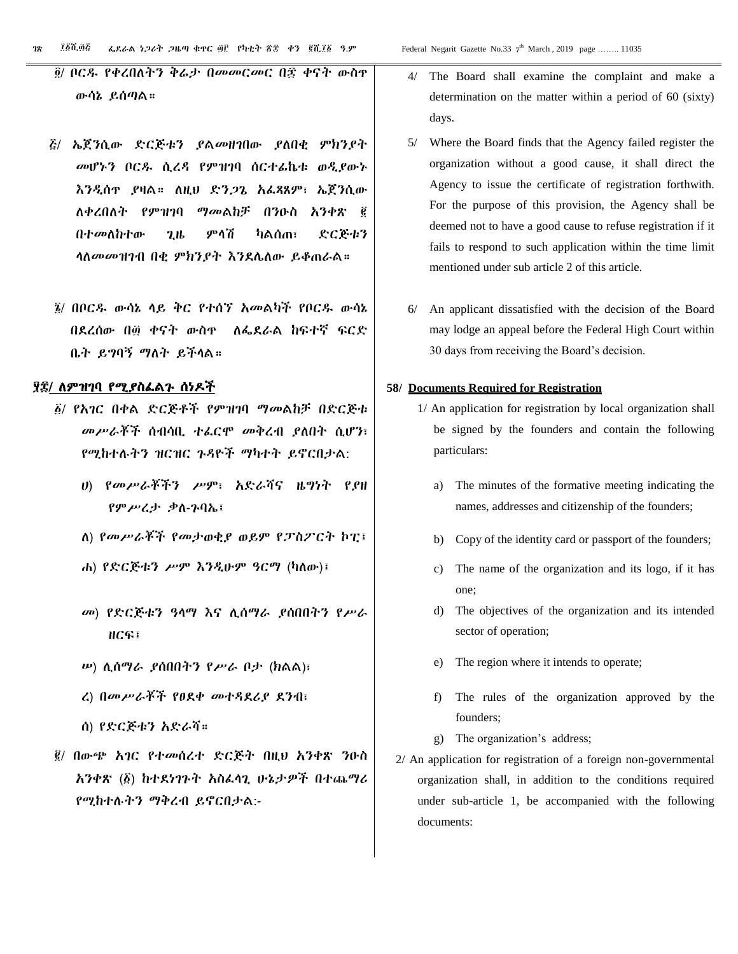- ፭/ ኤጀንሲው ድርጅቱን ያልመዘገበው ያለበቂ ምክንያት መሆኑን ቦርዱ ሲረዳ የምዝገባ ሰርተፊኬቱ ወዲያውኑ እንዲሰጥ ያዛል። ለዚህ ድንጋጌ አፈጻጸም፣ ኤጀንሲው ለቀረበለት የምዝገባ ማመልከቻ በንዑስ አንቀጽ ፪ በተመለከተው ጊዜ ምላሽ ካልሰጠ፣ ድርጅቱን ላለመመዝገብ በቂ ምክንያት እንደሌለው ይቆጠራል።
- ፮/ በቦርዱ ውሳኔ ላይ ቅር የተሰኘ አመልካች የቦርዱ ውሳኔ በደረሰው በ፴ ቀናት ውስጥ ለፌደራል ከፍተኛ ፍርድ ቤት ይግባኝ ማለት ይችላል።

#### ፶፰/ ለምዝገባ የሚያስፈልጉ ሰነዶች

- ፩/ የአገር በቀል ድርጅቶች የምዝገባ ማመልከቻ በድርጅቱ መሥራቾች ሰብሳቢ ተፈርሞ መቅረብ ያለበት ሲሆን፣ የሚከተሉትን ዝርዝር ጉዳዮች ማካተት ይኖርበታል:
	- ሀ) የመሥራቾችን ሥም፣ አድራሻና ዜግነት የያዘ የምሥረታ ቃለ-ጉባኤ፤
	- ለ) የመሥራቾች የመታወቂያ ወይም የፓስፖርት ኮፒ፤
	- ሐ) የድርጅቱን ሥም እንዲሁም ዓርማ (ካለው)፤
	- መ) የድርጅቱን ዓላማ እና ሊሰማራ ያሰበበትን የሥራ ዘርፍ፤
	- ሠ) ሊሰማራ ያሰበበትን የሥራ ቦታ (ክልል)፣
	- ረ) በመሥራቾች የፀደቀ መተዳደሪያ ደንብ፣
	- ሰ) የድርጅቱን አድራሻ።
- ፪/ በውጭ አገር የተመሰረተ ድርጅት በዚህ አንቀጽ ንዑስ አንቀጽ (፩) ከተደነገጉት አስፈላጊ ሁኔታዎች በተጨማሪ የሚከተሉትን ማቅረብ ይኖርበታል:-
- 4/ The Board shall examine the complaint and make a determination on the matter within a period of 60 (sixty) days.
- 5/ Where the Board finds that the Agency failed register the organization without a good cause, it shall direct the Agency to issue the certificate of registration forthwith. For the purpose of this provision, the Agency shall be deemed not to have a good cause to refuse registration if it fails to respond to such application within the time limit mentioned under sub article 2 of this article.
- 6/ An applicant dissatisfied with the decision of the Board may lodge an appeal before the Federal High Court within 30 days from receiving the Board's decision.

#### **58/ Documents Required for Registration**

- 1/ An application for registration by local organization shall be signed by the founders and contain the following particulars:
	- a) The minutes of the formative meeting indicating the names, addresses and citizenship of the founders;
	- b) Copy of the identity card or passport of the founders;
	- c) The name of the organization and its logo, if it has one;
	- d) The objectives of the organization and its intended sector of operation;
	- e) The region where it intends to operate;
	- f) The rules of the organization approved by the founders;
	- g) The organization's address;
- 2/ An application for registration of a foreign non-governmental organization shall, in addition to the conditions required under sub-article 1, be accompanied with the following documents: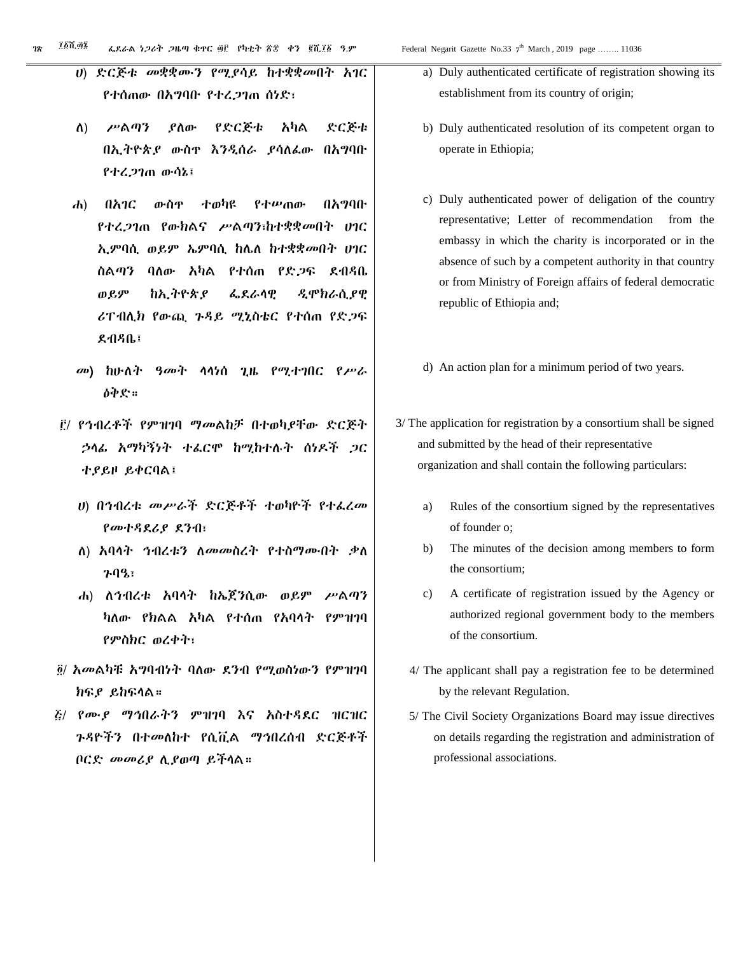- ሀ) ድርጅቱ መቋቋሙን የሚያሳይ ከተቋቋመበት አገር የተሰጠው በአግባቡ የተረጋገጠ ሰነድ፣
- ለ) ሥልጣን ያለው የድርጅቱ አካል ድርጅቱ በኢትዮጵያ ውስጥ እንዲሰራ ያሳለፈው በአግባቡ የተረጋገጠ ውሳኔ፤
- ሐ) በአገር ውስጥ ተወካዩ የተሠጠው በአግባቡ የተረጋገጠ የውክልና ሥልጣን፣ከተቋቋመበት ሀገር ኢምባሲ ወይም ኤምባሲ ከሌለ ከተቋቋመበት ሀገር ስልጣን ባለው አካል የተሰጠ የድጋፍ ደብዳቤ ወይም ከኢትዮጵያ ፌደራላዊ ዲሞክራሲያዊ ሪፐብሊክ የውጪ ጉዳይ ሚኒስቴር የተሰጠ የድጋፍ ደብዳቤ፤
- መ) ከሁለት ዓመት ላላነሰ ጊዜ የሚተገበር የሥራ ዕቅድ።
- ፫/ የኅብረቶች የምዝገባ ማመልከቻ በተወካያቸው ድርጅት ኃላፊ አማካኝነት ተፈርሞ ከሚከተሉት ሰነዶች ጋር ተያይዞ ይቀርባል፤
	- ሀ) በኅብረቱ መሥራች ድርጅቶች ተወካዮች የተፈረመ የመተዳደሪያ ደንብ፣
	- ለ) አባላት ኅብረቱን ለመመስረት የተስማሙበት ቃለ ጉባዔ፣
	- ሐ) ለኅብረቱ አባላት ከኤጀንሲው ወይም ሥልጣን ካለው የክልል አካል የተሰጠ የአባላት የምዝገባ የምስክር ወረቀት፣
- ፬/ አመልካቹ አግባብነት ባለው ደንብ የሚወስነውን የምዝገባ ክፍያ ይከፍላል።
- ፭/ የሙያ ማኅበራትን ምዝገባ እና አስተዳደር ዝርዝር ጉዳዮችን በተመለከተ የሲቪል ማኅበረሰብ ድርጅቶች ቦርድ መመሪያ ሊያወጣ ይችላል።
- a) Duly authenticated certificate of registration showing its establishment from its country of origin;
- b) Duly authenticated resolution of its competent organ to operate in Ethiopia;
- c) Duly authenticated power of deligation of the country representative; Letter of recommendation from the embassy in which the charity is incorporated or in the absence of such by a competent authority in that country or from Ministry of Foreign affairs of federal democratic republic of Ethiopia and;
- d) An action plan for a minimum period of two years.
- 3/ The application for registration by a consortium shall be signed and submitted by the head of their representative organization and shall contain the following particulars:
	- a) Rules of the consortium signed by the representatives of founder o;
	- b) The minutes of the decision among members to form the consortium;
	- c) A certificate of registration issued by the Agency or authorized regional government body to the members of the consortium.
	- 4/ The applicant shall pay a registration fee to be determined by the relevant Regulation.
	- 5/ The Civil Society Organizations Board may issue directives on details regarding the registration and administration of professional associations.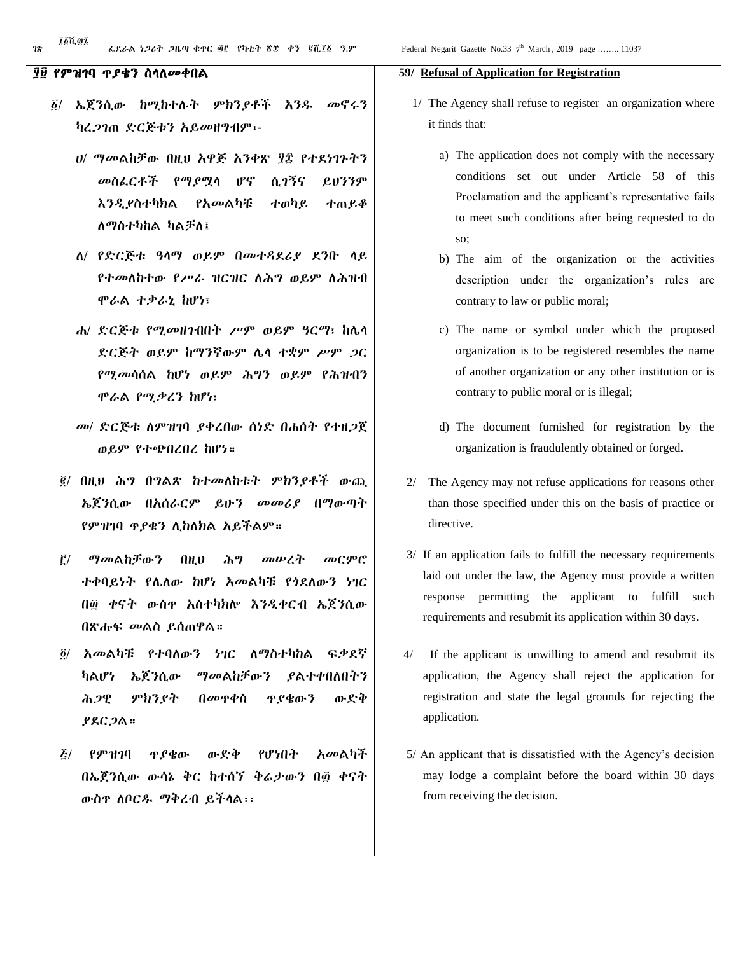#### ፶፱ የምዝገባ ጥያቄን ስላለመቀበል

- ፩/ ኤጀንሲው ከሚከተሉት ምክንያቶች አንዱ መኖሩን ካረጋገጠ ድርጅቱን አይመዘግብም፡-
	- ሀ/ ማመልከቻው በዚህ አዋጅ አንቀጽ ፶፰ የተደነገጉትን መስፈርቶች የማያሟላ ሆኖ ሲገኝና ይህንንም እንዲያስተካክል የአመልካቹ ተወካይ ተጠይቆ ለማስተካከል ካልቻለ፤
	- ለ/ የድርጅቱ ዓላማ ወይም በመተዳደሪያ ደንቡ ላይ የተመለከተው የሥራ ዝርዝር ለሕግ ወይም ለሕዝብ ሞራል ተቃራኒ ከሆነ፣
	- ሐ/ ድርጅቱ የሚመዘገብበት ሥም ወይም ዓርማ፣ ከሌላ ድርጅት ወይም ከማንኛውም ሌላ ተቋም ሥም ጋር የሚመሳሰል ከሆነ ወይም ሕግን ወይም የሕዝብን ሞራል የሚቃረን ከሆነ፣
	- መ/ ድርጅቱ ለምዝገባ ያቀረበው ሰነድ በሐሰት የተዘጋጀ ወይም የተጭበረበረ ከሆነ።
	- ፪/ በዚህ ሕግ በግልጽ ከተመለከቱት ምክንያቶች ውጪ ኤጀንሲው በአሰራርም ይሁን መመሪያ በማውጣት የምዝገባ ጥያቄን ሊከለክል አይችልም።
	- ፫/ ማመልከቻውን በዚህ ሕግ መሠረት መርምሮ ተቀባይነት የሌለው ከሆነ አመልካቹ የጎደለውን ነገር በ፴ ቀናት ውስጥ አስተካክሎ እንዲቀርብ ኤጀንሲው በጽሑፍ መልስ ይሰጠዋል።
	- ፬/ አመልካቹ የተባለውን ነገር ለማስተካከል ፍቃደኛ ካልሆነ ኤጀንሲው ማመልከቻውን ያልተቀበለበትን ሕጋዊ ምክንያት በመጥቀስ ጥያቄውን ውድቅ ያደርጋል።
	- ፭/ የምዝገባ ጥያቄው ውድቅ የሆነበት አመልካች በኤጀንሲው ውሳኔ ቅር ከተሰኘ ቅሬታውን በ፴ ቀናት ውስጥ ለቦርዱ ማቅረብ ይችላል፡፡

#### **59/ Refusal of Application for Registration**

- 1/ The Agency shall refuse to register an organization where it finds that:
	- a) The application does not comply with the necessary conditions set out under Article 58 of this Proclamation and the applicant's representative fails to meet such conditions after being requested to do so;
	- b) The aim of the organization or the activities description under the organization's rules are contrary to law or public moral;
	- c) The name or symbol under which the proposed organization is to be registered resembles the name of another organization or any other institution or is contrary to public moral or is illegal;
	- d) The document furnished for registration by the organization is fraudulently obtained or forged.
- 2/ The Agency may not refuse applications for reasons other than those specified under this on the basis of practice or directive.
- 3/ If an application fails to fulfill the necessary requirements laid out under the law, the Agency must provide a written response permitting the applicant to fulfill such requirements and resubmit its application within 30 days.
- 4/ If the applicant is unwilling to amend and resubmit its application, the Agency shall reject the application for registration and state the legal grounds for rejecting the application.
- 5/ An applicant that is dissatisfied with the Agency's decision may lodge a complaint before the board within 30 days from receiving the decision.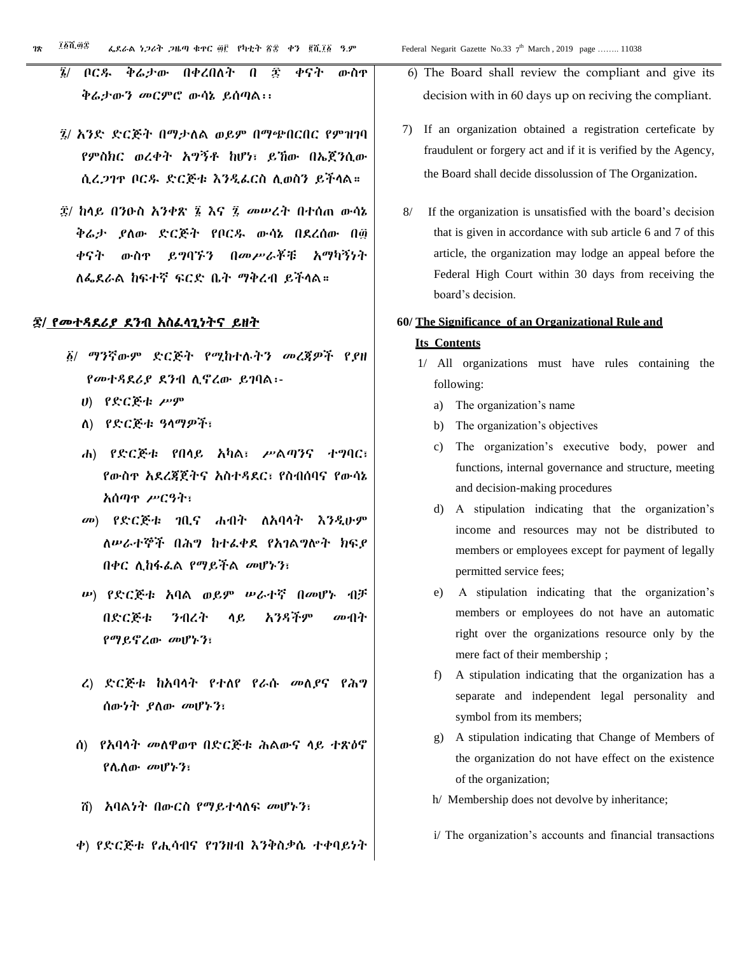- ፮/ ቦርዱ ቅሬታው በቀረበለት በ ፷ ቀናት ውስጥ ቅሬታውን መርምሮ ውሳኔ ይሰጣል፡፡
- ፯/ አንድ ድርጅት በማታለል ወይም በማጭበርበር የምዝገባ የምስክር ወረቀት አግኝቶ ከሆነ፣ ይኸው በኤጀንሲው ሲረጋገጥ ቦርዱ ድርጅቱ እንዲፈርስ ሊወስን ይችላል።
- ፰/ ከላይ በንዑስ አንቀጽ ፮ እና ፯ መሠረት በተሰጠ ውሳኔ ቅሬታ ያለው ድርጅት የቦርዱ ውሳኔ በደረሰው በ፴ ቀናት ውስጥ ይግባኙን በመሥራቾቹ አማካኝነት ለፌደራል ከፍተኛ ፍርድ ቤት ማቅረብ ይችላል።

#### ፷/ የመተዳደሪያ ደንብ አስፈላጊነትና ይዘት

- ፩/ ማንኛውም ድርጅት የሚከተሉትን መረጃዎች የያዘ የመተዳደሪያ ደንብ ሊኖረው ይገባል፡-
	- ሀ) የድርጅቱ ሥም
	- ለ) የድርጅቱ ዓላማዎች፣
	- ሐ) የድርጅቱ የበላይ አካል፣ ሥልጣንና ተግባር፣ የውስጥ አደረጃጀትና አስተዳደር፣ የስብሰባና የውሳኔ አሰጣጥ ሥርዓት፣
	- መ) የድርጅቱ ገቢና ሐብት ለአባላት እንዲሁም ለሠራተኞች በሕግ ከተፈቀደ የአገልግሎት ክፍያ በቀር ሊከፋፈል የማይችል መሆኑን፣
	- ሠ) የድርጅቱ አባል ወይም ሠራተኛ በመሆኑ ብቻ በድርጅቱ ንብረት ላይ አንዳችም መብት የማይኖረው መሆኑን፣
	- ረ) ድርጅቱ ከአባላት የተለየ የራሱ መለያና የሕግ ሰውነት ያለው መሆኑን፣
	- ሰ) የአባላት መለዋወጥ በድርጅቱ ሕልውና ላይ ተጽዕኖ የሌለው መሆኑን፣
	- ሸ) አባልነት በውርስ የማይተላለፍ መሆኑን፣
	- ቀ) የድርጅቱ የሒሳብና የገንዘብ እንቅስቃሴ ተቀባይነት
- 6) The Board shall review the compliant and give its decision with in 60 days up on reciving the compliant.
- 7) If an organization obtained a registration certeficate by fraudulent or forgery act and if it is verified by the Agency, the Board shall decide dissolussion of The Organization.
- 8/ If the organization is unsatisfied with the board's decision that is given in accordance with sub article 6 and 7 of this article, the organization may lodge an appeal before the Federal High Court within 30 days from receiving the board's decision.

### **60/ The Significance of an Organizational Rule and Its Contents**

- 1/ All organizations must have rules containing the following:
	- a) The organization's name
	- b) The organization's objectives
	- c) The organization's executive body, power and functions, internal governance and structure, meeting and decision-making procedures
	- d) A stipulation indicating that the organization's income and resources may not be distributed to members or employees except for payment of legally permitted service fees;
	- e) A stipulation indicating that the organization's members or employees do not have an automatic right over the organizations resource only by the mere fact of their membership ;
	- f) A stipulation indicating that the organization has a separate and independent legal personality and symbol from its members;
	- g) A stipulation indicating that Change of Members of the organization do not have effect on the existence of the organization;
	- h/ Membership does not devolve by inheritance;
	- i/ The organization's accounts and financial transactions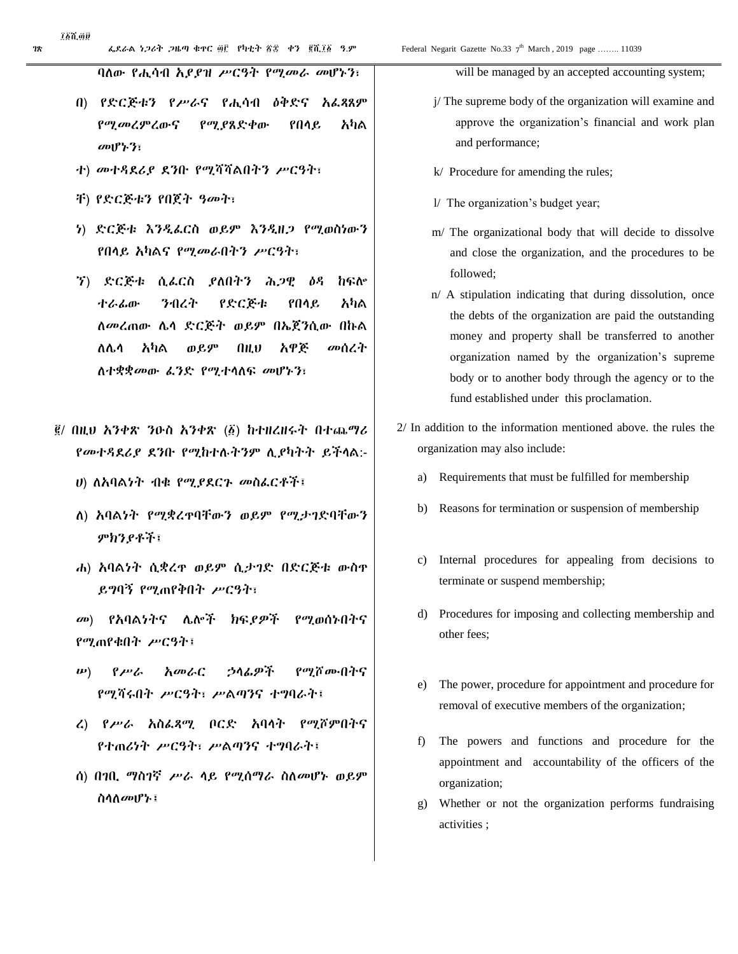፲፩ሺ፴፱

ባለው የሒሳብ አያያዝ ሥርዓት የሚመራ መሆኑን፣

- በ) የድርጅቱን የሥራና የሒሳብ ዕቅድና አፈጻጸም የሚመረምረውና የሚያጸድቀው የበላይ አካል መሆኑን፣
- ተ) መተዳደሪያ ደንቡ የሚሻሻልበትን ሥርዓት፣
- ቸ) የድርጅቱን የበጀት ዓመት፣
- ነ) ድርጅቱ እንዲፈርስ ወይም እንዲዘጋ የሚወስነውን የበላይ አካልና የሚመራበትን ሥርዓት፣
- ኘ) ድርጅቱ ሲፈርስ ያለበትን ሕጋዊ ዕዳ ከፍሎ ተራፊው ንብረት የድርጅቱ የበላይ አካል ለመረጠው ሌላ ድርጅት ወይም በኤጀንሲው በኩል ለሌላ አካል ወይም በዚህ አዋጅ መሰረት ለተቋቋመው ፈንድ የሚተላለፍ መሆኑን፣
- ፪/ በዚህ አንቀጽ ንዑስ አንቀጽ (፩) ከተዘረዘሩት በተጨማሪ የመተዳደሪያ ደንቡ የሚከተሉትንም ሊያካትት ይችላል:-
	- ሀ) ለአባልነት ብቁ የሚያደርጉ መስፈርቶች፤
	- ለ) አባልነት የሚቋረጥባቸውን ወይም የሚታገድባቸውን ምክንያቶች፤
	- ሐ) አባልነት ሲቋረጥ ወይም ሲታገድ በድርጅቱ ውስጥ ይግባኝ የሚጠየቅበት ሥርዓት፣
	- መ) የአባልነትና ሌሎች ክፍያዎች የሚወሰኑበትና የሚጠየቁበት ሥርዓት፤
	- ሠ) የሥራ አመራር ኃላፊዎች የሚሾሙበትና የሚሻሩበት ሥርዓት፣ ሥልጣንና ተግባራት፤
	- ረ) የሥራ አስፈጻሚ ቦርድ አባላት የሚሾምበትና የተጠሪነት ሥርዓት፣ ሥልጣንና ተግባራት፤
	- ሰ) በገቢ ማስገኛ ሥራ ላይ የሚሰማራ ስለመሆኑ ወይም ስላለመሆኑ፤

will be managed by an accepted accounting system;

- j/ The supreme body of the organization will examine and approve the organization's financial and work plan and performance;
- k/ Procedure for amending the rules;
- l/ The organization's budget year;
- m/ The organizational body that will decide to dissolve and close the organization, and the procedures to be followed;
- n/ A stipulation indicating that during dissolution, once the debts of the organization are paid the outstanding money and property shall be transferred to another organization named by the organization's supreme body or to another body through the agency or to the fund established under this proclamation.
- 2/ In addition to the information mentioned above. the rules the organization may also include:
	- a) Requirements that must be fulfilled for membership
	- b) Reasons for termination or suspension of membership
	- c) Internal procedures for appealing from decisions to terminate or suspend membership;
	- d) Procedures for imposing and collecting membership and other fees;
	- e) The power, procedure for appointment and procedure for removal of executive members of the organization;
	- f) The powers and functions and procedure for the appointment and accountability of the officers of the organization;
	- g) Whether or not the organization performs fundraising activities ;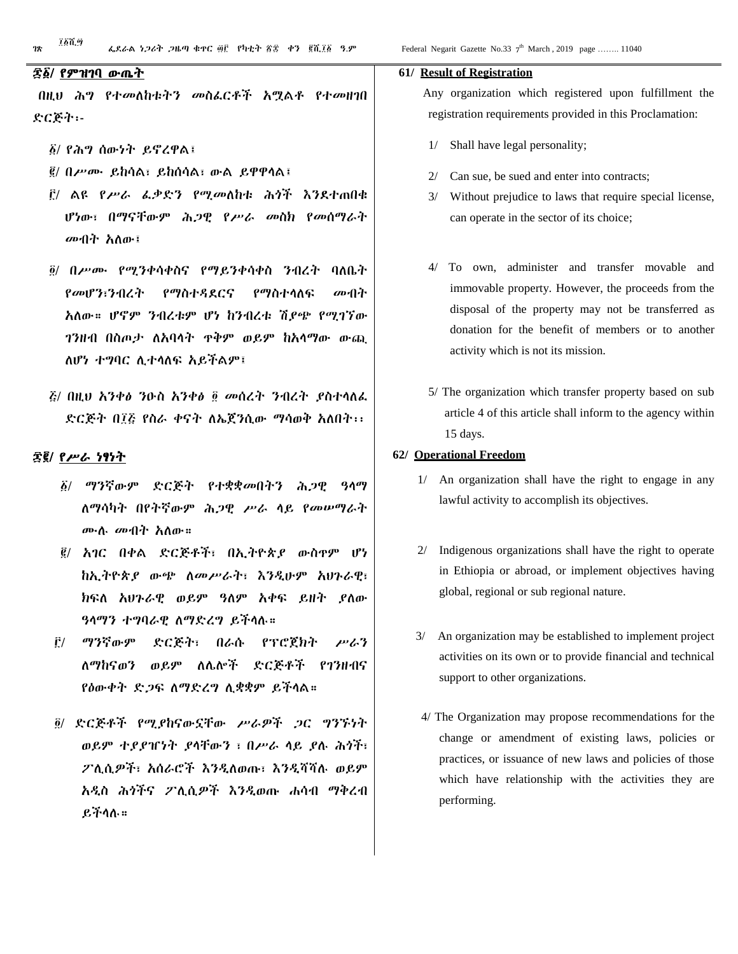በዚህ ሕግ የተመለከቱትን መስፈርቶች አሟልቶ የተመዘገበ ድርጅት፡-

- ፩/ የሕግ ሰውነት ይኖረዋል፤
- ፪/ በሥሙ ይከሳል፣ ይከሰሳል፣ ውል ይዋዋላል፤
- ፫/ ልዩ የሥራ ፈቃድን የሚመለከቱ ሕጎች እንደተጠበቁ ሆነው፣ በማናቸውም ሕጋዊ የሥራ መስክ የመሰማራት መብት አለው፤
- ፬/ በሥሙ የሚንቀሳቀስና የማይንቀሳቀስ ንብረት ባለቤት የመሆን፣ንብረት የማስተዳደርና የማስተላለፍ መብት አለው። ሆኖም ንብረቱም ሆነ ከንብረቱ ሽያጭ የሚገኘው ገንዘብ በስጦታ ለአባላት ጥቅም ወይም ከአላማው ውጪ ለሆነ ተግባር ሊተላለፍ አይችልም፤
- ፭/ በዚህ አንቀፅ ንዑስ አንቀፅ ፬ መሰረት ንብረት ያስተላለፈ ድርጅት በ፲፭ የስራ ቀናት ለኤጀንሲው ማሳወቅ አለበት፡፡

#### ፷፪/ የሥራ ነፃነት

- ፩/ ማንኛውም ድርጅት የተቋቋመበትን ሕጋዊ ዓላማ ለማሳካት በየትኛውም ሕጋዊ ሥራ ላይ የመሠማራት ሙሉ መብት አለው።
- ፪/ አገር በቀል ድርጅቶች፣ በኢትዮጵያ ውስጥም ሆነ ከኢትዮጵያ ውጭ ለመሥራት፣ እንዲሁም አህጉራዊ፣ ክፍለ አህጉራዊ ወይም ዓለም አቀፍ ይዘት ያለው ዓላማን ተግባራዊ ለማድረግ ይችላሉ።
- ፫/ ማንኛውም ድርጅት፣ በራሱ የፕሮጀክት ሥራን ለማከናወን ወይም ለሌሎች ድርጅቶች የገንዘብና የዕውቀት ድጋፍ ለማድረግ ሊቋቋም ይችላል።
- ፬/ ድርጅቶች የሚያከናውኗቸው ሥራዎች ጋር ግንኙነት ወይም ተያያዠነት ያላቸውን ፣ በሥራ ላይ ያሉ ሕጎች፣ ፖሊሲዎች፣ አሰራሮች እንዲለወጡ፣ እንዲሻሻሉ ወይም አዲስ ሕጎችና ፖሊሲዎች እንዲወጡ ሐሳብ ማቅረብ ይችላሉ።

#### **61/ Result of Registration**

 Any organization which registered upon fulfillment the registration requirements provided in this Proclamation:

- 1/ Shall have legal personality;
- 2/ Can sue, be sued and enter into contracts;
- 3/ Without prejudice to laws that require special license, can operate in the sector of its choice;
- 4/ To own, administer and transfer movable and immovable property. However, the proceeds from the disposal of the property may not be transferred as donation for the benefit of members or to another activity which is not its mission.
- 5/ The organization which transfer property based on sub article 4 of this article shall inform to the agency within 15 days.

#### **62/ Operational Freedom**

- 1/ An organization shall have the right to engage in any lawful activity to accomplish its objectives.
- 2/ Indigenous organizations shall have the right to operate in Ethiopia or abroad, or implement objectives having global, regional or sub regional nature.
- 3/ An organization may be established to implement project activities on its own or to provide financial and technical support to other organizations.
- 4/ The Organization may propose recommendations for the change or amendment of existing laws, policies or practices, or issuance of new laws and policies of those which have relationship with the activities they are performing.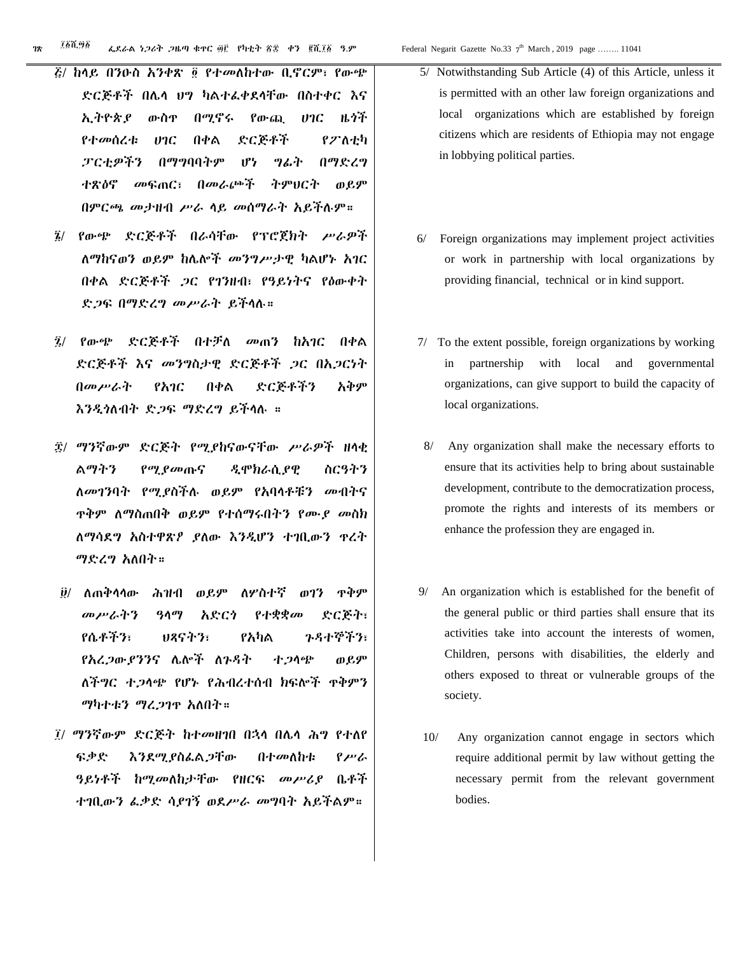- ፭/ ከላይ በንዑስ አንቀጽ ፬ የተመለከተው ቢኖርም፣ የውጭ ድርጅቶች በሌላ ህግ ካልተፈቀደላቸው በስተቀር እና ኢትዮጵያ ውስጥ በሚኖሩ የውጪ ሀገር ዜጎች የተመሰረቱ ሀገር በቀል ድርጅቶች የፖለቲካ ፓርቲዎችን በማግባባትም ሆነ ግፊት በማድረግ ተጽዕኖ መፍጠር፣ በመራጮች ትምህርት ወይም በምርጫ መታዘብ ሥራ ላይ መሰማራት አይችሉም።
- ፮/ የውጭ ድርጅቶች በራሳቸው የፕሮጀክት ሥራዎች ለማከናወን ወይም ከሌሎች መንግሥታዊ ካልሆኑ አገር በቀል ድርጅቶች ጋር የገንዘብ፣ የዓይነትና የዕውቀት ድጋፍ በማድረግ መሥራት ይችላሉ።
- ፯/ የውጭ ድርጅቶች በተቻለ መጠን ከአገር በቀል ድርጅቶች እና መንግስታዊ ድርጅቶች ጋር በአጋርነት በመሥራት የአገር በቀል ድርጅቶችን አቅም እንዲጎለብት ድጋፍ ማድረግ ይችላሉ ።
- ፰/ ማንኛውም ድርጅት የሚያከናውናቸው ሥራዎች ዘላቂ ልማትን የሚያመጡና ዲሞክራሲያዊ ስርዓትን ለመገንባት የሚያስችሉ ወይም የአባላቶቹን መብትና ጥቅም ለማስጠበቅ ወይም የተሰማሩበትን የሙያ መስክ ለማሳደግ አስተዋጽዖ ያለው እንዲሆን ተገቢውን ጥረት ማድረግ አለበት።
- ፱/ ለጠቅላላው ሕዝብ ወይም ለሦስተኛ ወገን ጥቅም መሥራትን ዓላማ አድርጎ የተቋቋመ ድርጅት፣ የሴቶችን፣ ህጻናትን፣ የአካል ጉዳተኞችን፣ የአረጋውያንንና ሌሎች ለጉዳት ተጋላጭ ወይም ለችግር ተጋላጭ የሆኑ የሕብረተሰብ ክፍሎች ጥቅምን ማካተቱን ማረጋገጥ አለበት።
- ፲/ ማንኛውም ድርጅት ከተመዘገበ በኋላ በሌላ ሕግ የተለየ ፍቃድ እንደሚያስፈልጋቸው በተመለከቱ የሥራ ዓይነቶች ከሚመለከታቸው የዘርፍ መሥሪያ ቤቶች ተገቢውን ፈቃድ ሳያገኝ ወደሥራ መግባት አይችልም።
- 5/ Notwithstanding Sub Article (4) of this Article, unless it is permitted with an other law foreign organizations and local organizations which are established by foreign citizens which are residents of Ethiopia may not engage in lobbying political parties.
- 6/ Foreign organizations may implement project activities or work in partnership with local organizations by providing financial, technical or in kind support.
- 7/ To the extent possible, foreign organizations by working in partnership with local and governmental organizations, can give support to build the capacity of local organizations.
- 8/ Any organization shall make the necessary efforts to ensure that its activities help to bring about sustainable development, contribute to the democratization process, promote the rights and interests of its members or enhance the profession they are engaged in.
- 9/ An organization which is established for the benefit of the general public or third parties shall ensure that its activities take into account the interests of women, Children, persons with disabilities, the elderly and others exposed to threat or vulnerable groups of the society.
- 10/ Any organization cannot engage in sectors which require additional permit by law without getting the necessary permit from the relevant government bodies.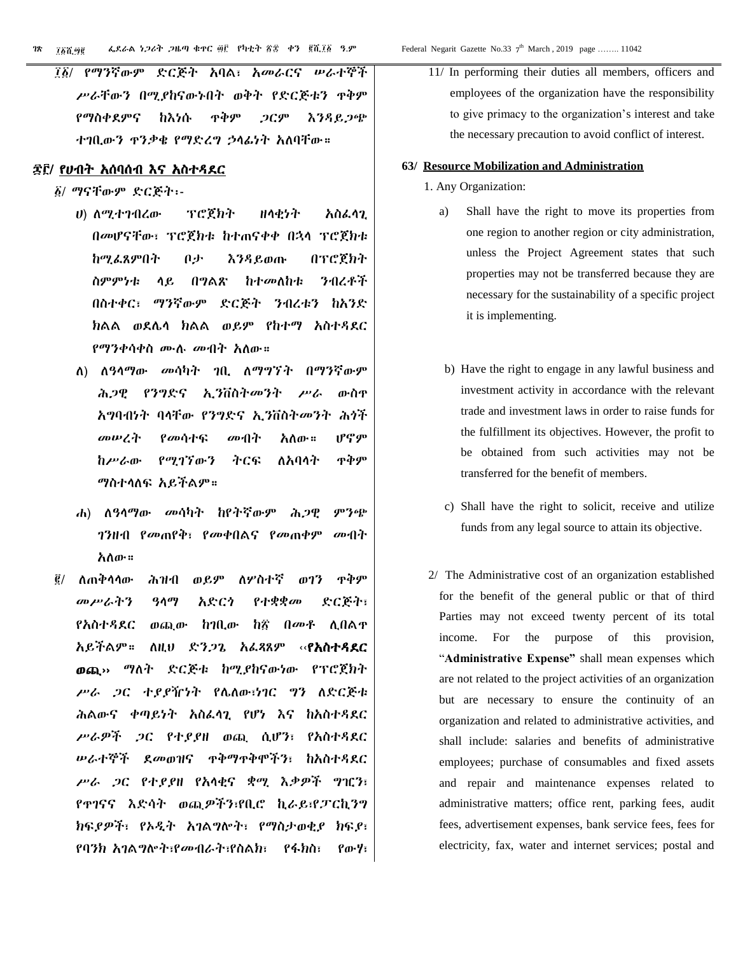ገጽ *ገ*ጽኛ ወይ ወደራል *ነጋ*ራት ጋዜጣ ቁጥር ፴፫ የካቲት ፳፰ ቀን ፪ሺ፲፩ ዓ.ም ፲፩ሺ፵፪

፲፩/ የማንኛውም ድርጅት አባል፣ አመራርና ሠራተኞች ሥራቸውን በሚያከናውኑበት ወቅት የድርጅቱን ጥቅም የማስቀደምና ከእነሱ ጥቅም ጋርም እንዳይጋጭ ተገቢውን ጥንቃቄ የማድረግ ኃላፊነት አለባቸው።

#### ፷፫/ የሀብት አሰባሰብ እና አስተዳደር

- ፩/ ማናቸውም ድርጅት፡-
	- ሀ) ለሚተገብረው ፕሮጀክት ዘላቂነት አስፈላጊ በመሆናቸው፣ ፕሮጀክቱ ከተጠናቀቀ በኋላ ፕሮጀክቱ ከሚፈጸምበት ቦታ እንዳይወጡ በፕሮጀክት ስምምነቱ ላይ በግልጽ ከተመለከቱ ንብረቶች በስተቀር፣ ማንኛውም ድርጅት ንብረቱን ከአንድ ክልል ወደሌላ ክልል ወይም የከተማ አስተዳደር የማንቀሳቀስ ሙሉ መብት አለው።
	- ለ) ለዓላማው መሳካት ገቢ ለማግኘት በማንኛውም ሕጋዊ የንግድና ኢንቨስትመንት ሥራ ውስጥ አግባብነት ባላቸው የንግድና ኢንቨስትመንት ሕጎች መሠረት የመሳተፍ መብት አለው። ሆኖም ከሥራው የሚገኘውን ትርፍ ለአባላት ጥቅም ማስተላለፍ አይችልም።
	- ሐ) ለዓላማው መሳካት ከየትኛውም ሕጋዊ ምንጭ ገንዘብ የመጠየቅ፣ የመቀበልና የመጠቀም መብት አለው።
- ፪/ ለጠቅላላው ሕዝብ ወይም ለሦስተኛ ወገን ጥቅም መሥራትን ዓላማ አድርጎ የተቋቋመ ድርጅት፣ የአስተዳደር ወጪው ከገቢው ከ፳ በመቶ ሊበልጥ አይችልም። ለዚህ ድንጋጌ አፈጻጸም ‹‹የአስተዳደር ወጪ›› ማለት ድርጅቱ ከሚያከናውነው የፕሮጀክት ሥራ ጋር ተያያዥነት የሌለው፣ነገር ግን ለድርጅቱ ሕልውና ቀጣይነት አስፈላጊ የሆነ እና ከአስተዳደር ሥራዎች ጋር የተያያዘ ወጪ ሲሆን፣ የአስተዳደር ሠራተኞች ደመወዝና ጥቅማጥቅሞችን፣ ከአስተዳደር ሥራ ጋር የተያያዘ የአላቂና ቋሚ እቃዎች ግዢን፣ የጥገናና እድሳት ወጪዎችን፣የቢሮ ኪራይ፣የፓርኪንግ ክፍያዎች፣ የኦዲት አገልግሎት፣ የማስታወቂያ ክፍያ፣ የባንክ አገልግሎት፣የመብራት፣የስልክ፣ የፋክስ፣ የውሃ፣

11/ In performing their duties all members, officers and employees of the organization have the responsibility to give primacy to the organization's interest and take the necessary precaution to avoid conflict of interest.

#### **63/ Resource Mobilization and Administration**

- 1. Any Organization:
	- a) Shall have the right to move its properties from one region to another region or city administration, unless the Project Agreement states that such properties may not be transferred because they are necessary for the sustainability of a specific project it is implementing.
		- b) Have the right to engage in any lawful business and investment activity in accordance with the relevant trade and investment laws in order to raise funds for the fulfillment its objectives. However, the profit to be obtained from such activities may not be transferred for the benefit of members.
		- c) Shall have the right to solicit, receive and utilize funds from any legal source to attain its objective.
- 2/ The Administrative cost of an organization established for the benefit of the general public or that of third Parties may not exceed twenty percent of its total income. For the purpose of this provision, "**Administrative Expense"** shall mean expenses which are not related to the project activities of an organization but are necessary to ensure the continuity of an organization and related to administrative activities, and shall include: salaries and benefits of administrative employees; purchase of consumables and fixed assets and repair and maintenance expenses related to administrative matters; office rent, parking fees, audit fees, advertisement expenses, bank service fees, fees for electricity, fax, water and internet services; postal and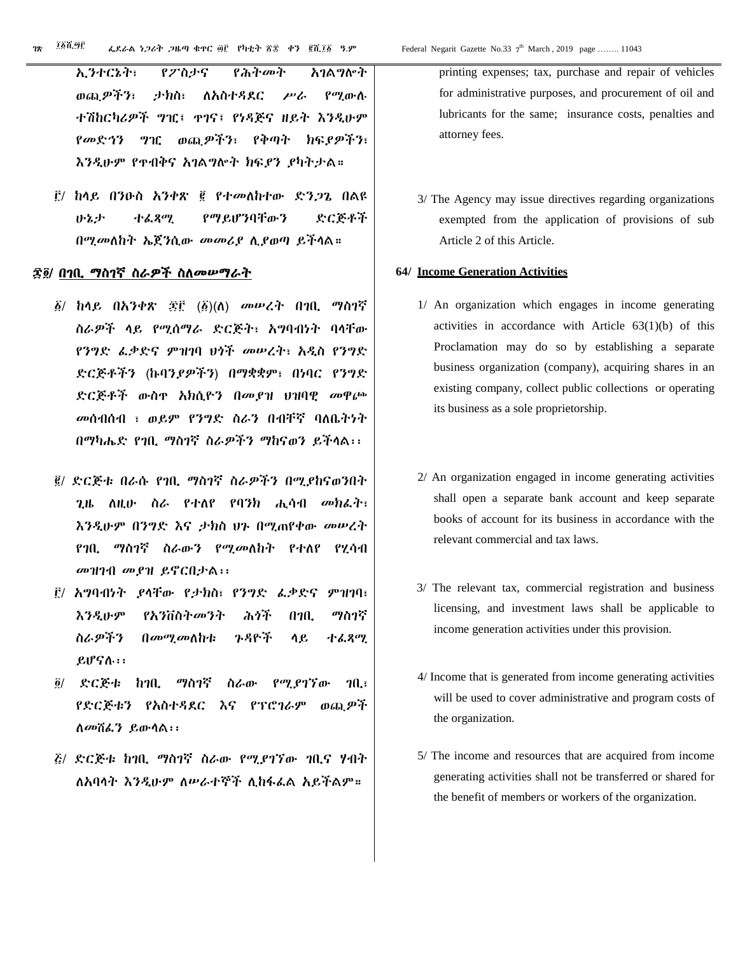ኢንተርኔት፣ የፖስታና የሕትመት አገልግሎት ወጪዎችን፣ ታክስ፣ ለአስተዳደር ሥራ የሚውሉ ተሽከርካሪዎች ግዢ፤ ጥገና፤ የነዳጅና ዘይት እንዲሁም የመድኅን ግዢ ወጪዎችን፣ የቅጣት ክፍያዎችን፣ እንዲሁም የጥብቅና አገልግሎት ክፍያን ያካትታል።

፫/ ከላይ በንዑስ አንቀጽ ፪ የተመለከተው ድንጋጌ በልዩ ሁኔታ ተፈጻሚ የማይሆንባቸውን ድርጅቶች በሚመለከት ኤጀንሲው መመሪያ ሊያወጣ ይችላል።

#### ፷፬/ በገቢ ማስገኛ ስራዎች ስለመሠማራት

- ፩/ ከላይ በአንቀጽ ፷፫ (፩)(ለ) መሠረት በገቢ ማስገኛ ስራዎች ላይ የሚሰማራ ድርጅት፣ አግባብነት ባላቸው የንግድ ፈቃድና ምዝገባ ህጎች መሠረት፣ አዲስ የንግድ ድርጅቶችን (ኩባንያዎችን) በማቋቋም፣ በነባር የንግድ ድርጅቶች ውስጥ አክሲዮን በመያዝ ህዝባዊ መዋጮ መሰብሰብ ፣ ወይም የንግድ ስራን በብቸኛ ባለቤትነት በማካሔድ የገቢ ማስገኛ ስራዎችን ማከናወን ይችላል፡፡
- ፪/ ድርጅቱ በራሱ የገቢ ማስገኛ ስራዎችን በሚያከናወንበት ጊዜ ለዚሁ ስራ የተለየ የባንክ ሒሳብ መክፈት፣ እንዲሁም በንግድ እና ታክስ ህጉ በሚጠየቀው መሠረት የገቢ ማስገኛ ስራውን የሚመለከት የተለየ የሂሳብ መዝገብ መያዝ ይኖርበታል፡፡
- ፫/ አግባብነት ያላቸው የታክስ፣ የንግድ ፈቃድና ምዝገባ፣ እንዲሁም የአንቨስትመንት ሕጎች በገቢ ማስገኛ ስራዎችን በመሚመለከቱ ጉዳዮች ላይ ተፈጻሚ ይሆናሉ፡፡
- ፬/ ድርጅቱ ከገቢ ማስገኛ ስራው የሚያገኘው ገቢ፣ የድርጅቱን የአስተዳደር እና የፕሮገራም ወጪዎች ለመሸፈን ይውላል፡፡
- ፭/ ድርጅቱ ከገቢ ማስገኛ ስራው የሚያገኘው ገቢና ሃብት ለአባላት እንዲሁም ለሠራተኞች ሊከፋፈል አይችልም።

printing expenses; tax, purchase and repair of vehicles for administrative purposes, and procurement of oil and lubricants for the same; insurance costs, penalties and attorney fees.

3/ The Agency may issue directives regarding organizations exempted from the application of provisions of sub Article 2 of this Article.

#### **64/ Income Generation Activities**

- 1/ An organization which engages in income generating activities in accordance with Article 63(1)(b) of this Proclamation may do so by establishing a separate business organization (company), acquiring shares in an existing company, collect public collections or operating its business as a sole proprietorship.
- 2/ An organization engaged in income generating activities shall open a separate bank account and keep separate books of account for its business in accordance with the relevant commercial and tax laws.
- 3/ The relevant tax, commercial registration and business licensing, and investment laws shall be applicable to income generation activities under this provision.
- 4/ Income that is generated from income generating activities will be used to cover administrative and program costs of the organization.
- 5/ The income and resources that are acquired from income generating activities shall not be transferred or shared for the benefit of members or workers of the organization.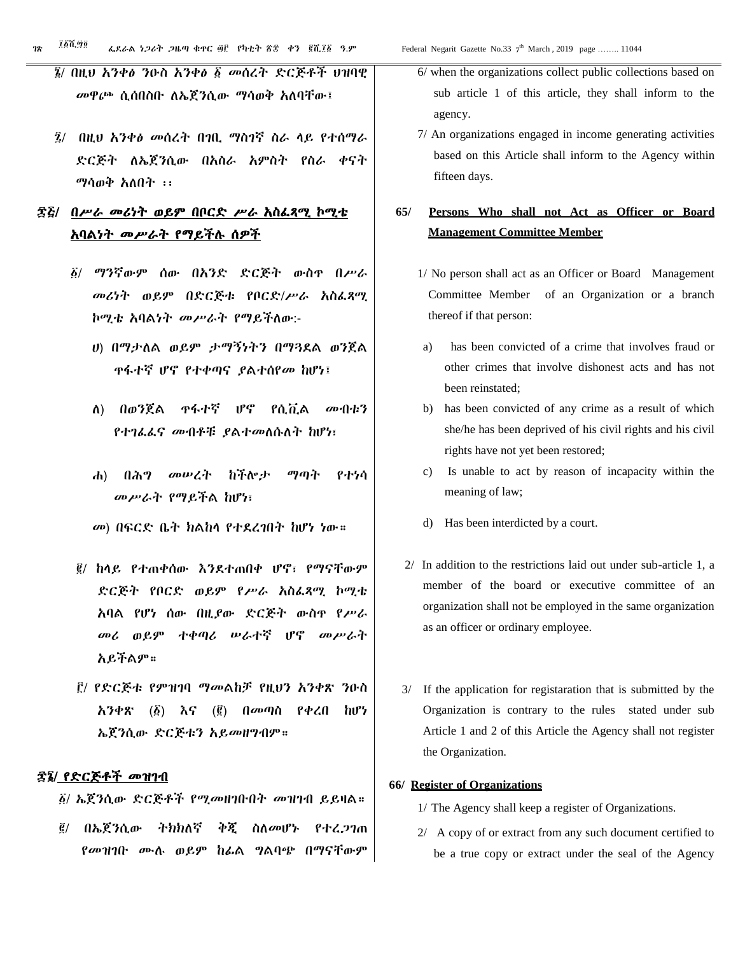- ፮/ በዚህ አንቀፅ ንዑስ አንቀፅ ፩ መሰረት ድርጅቶች ህዝባዊ መዋጮ ሲሰበስቡ ለኤጀንሲው ማሳወቅ አለባቸው፤
- ፯/ በዚህ አንቀፅ መሰረት በገቢ ማስገኛ ስራ ላይ የተሰማራ ድርጅት ለኤጀንሲው በአስራ አምስት የስራ ቀናት ማሳወቅ አለበት ፡፡

# ፷፭/ በሥራ መሪነት ወይም በቦርድ ሥራ አስፈጻሚ ኮሚቴ አባልነት መሥራት የማይችሉ ሰዎች

- ፩/ ማንኛውም ሰው በአንድ ድርጅት ውስጥ በሥራ መሪነት ወይም በድርጅቱ የቦርድ/ሥራ አስፈጻሚ ኮሚቴ አባልነት መሥራት የማይችለው:-
	- ሀ) በማታለል ወይም ታማኝነትን በማጓደል ወንጀል ጥፋተኛ ሆኖ የተቀጣና ያልተሰየመ ከሆነ፤
	- ለ) በወንጀል ጥፋተኛ ሆኖ የሲቪል መብቱን የተገፈፈና መብቶቹ ያልተመለሱለት ከሆነ፣
	- ሐ) በሕግ መሠረት ከችሎታ ማጣት የተነሳ መሥራት የማይችል ከሆነ፣
	- መ) በፍርድ ቤት ክልከላ የተደረገበት ከሆነ ነው።
- ፪/ ከላይ የተጠቀሰው እንደተጠበቀ ሆኖ፣ የማናቸውም ድርጅት የቦርድ ወይም የሥራ አስፈጻሚ ኮሚቴ አባል የሆነ ሰው በዚያው ድርጅት ውስጥ የሥራ መሪ ወይም ተቀጣሪ ሠራተኛ ሆኖ መሥራት አይችልም።
- ፫/ የድርጅቱ የምዝገባ ማመልከቻ የዚህን አንቀጽ ንዑስ አንቀጽ (፩) እና (፪) በመጣስ የቀረበ ከሆነ ኤጀንሲው ድርጅቱን አይመዘግብም።

#### ፷፮/ የድርጅቶች መዝገብ

፩/ ኤጀንሲው ድርጅቶች የሚመዘገቡበት መዝገብ ይይዛል።

፪/ በኤጀንሲው ትክክለኛ ቅጂ ስለመሆኑ የተረጋገጠ የመዝገቡ ሙሉ ወይም ከፊል ግልባጭ በማናቸውም

- 6/ when the organizations collect public collections based on sub article 1 of this article, they shall inform to the agency.
- 7/ An organizations engaged in income generating activities based on this Article shall inform to the Agency within fifteen days.

# **65/ Persons Who shall not Act as Officer or Board Management Committee Member**

- 1/ No person shall act as an Officer or Board Management Committee Member of an Organization or a branch thereof if that person:
- a) has been convicted of a crime that involves fraud or other crimes that involve dishonest acts and has not been reinstated;
- b) has been convicted of any crime as a result of which she/he has been deprived of his civil rights and his civil rights have not yet been restored;
- c) Is unable to act by reason of incapacity within the meaning of law;
- d) Has been interdicted by a court.
- 2/ In addition to the restrictions laid out under sub-article 1, a member of the board or executive committee of an organization shall not be employed in the same organization as an officer or ordinary employee.
- 3/ If the application for registaration that is submitted by the Organization is contrary to the rules stated under sub Article 1 and 2 of this Article the Agency shall not register the Organization.

#### **65 66/ Register of Organizations**

- 1/ The Agency shall keep a register of Organizations.
- 2/ A copy of or extract from any such document certified to be a true copy or extract under the seal of the Agency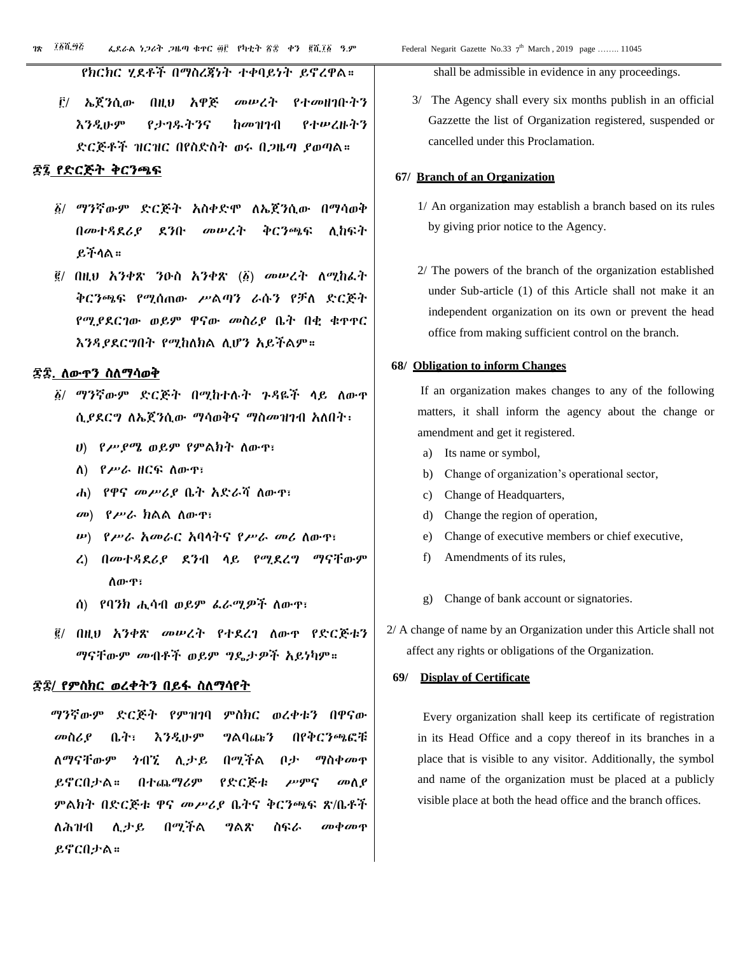የክርክር ሂደቶች በማስረጃነት ተቀባይነት ይኖረዋል።

፫/ ኤጀንሲው በዚህ አዋጅ መሠረት የተመዘገቡትን እንዲሁም የታገዱትንና ከመዝገብ የተሠረዙትን ድርጅቶች ዝርዝር በየስድስት ወሩ በጋዜጣ ያወጣል።

#### ፷፯ የድርጅት ቅርንጫፍ

- ፩/ ማንኛውም ድርጅት አስቀድሞ ለኤጀንሲው በማሳወቅ በመተዳደሪያ ደንቡ መሠረት ቅርንጫፍ ሊከፍት ይችላል።
- ፪/ በዚህ አንቀጽ ንዑስ አንቀጽ (፩) መሠረት ለሚከፈት ቅርንጫፍ የሚሰጠው ሥልጣን ራሱን የቻለ ድርጅት የሚያደርገው ወይም ዋናው መስሪያ ቤት በቂ ቁጥጥር እንዳያደርግበት የሚከለክል ሊሆን አይችልም።

#### ፷፰. ለውጥን ስለማሳወቅ

- ፩/ ማንኛውም ድርጅት በሚከተሉት ጉዳዬች ላይ ለውጥ ሲያደርግ ለኤጀንሲው ማሳወቅና ማስመዝገብ አለበት፡
	- ሀ) የሥያሜ ወይም የምልክት ለውጥ፣
	- ለ) የሥራ ዘርፍ ለውጥ፣
	- ሐ) የዋና መሥሪያ ቤት አድራሻ ለውጥ፣
	- መ) የሥራ ክልል ለውጥ፣
	- ሠ) የሥራ አመራር አባላትና የሥራ መሪ ለውጥ፣
	- ረ) በመተዳደሪያ ደንብ ላይ የሚደረግ ማናቸውም ለውጥ፣
	- ሰ) የባንክ ሒሳብ ወይም ፈራሚዎች ለውጥ፣
- ፪/ በዚህ አንቀጽ መሠረት የተደረገ ለውጥ የድርጅቱን ማናቸውም መብቶች ወይም ግዴታዎች አይነካም።

#### ፷፰/ የምስክር ወረቀትን በይፋ ስለማሳየት

 ማንኛውም ድርጅት የምዝገባ ምስክር ወረቀቱን በዋናው መስሪያ ቤት፣ እንዲሁም ግልባጩን በየቅርንጫፎቹ ለማናቸውም ጎብኚ ሊታይ በሚችል ቦታ ማስቀመጥ ይኖርበታል። በተጨማሪም የድርጅቱ ሥምና መለያ ምልክት በድርጅቱ ዋና መሥሪያ ቤትና ቅርንጫፍ ጽ/ቤቶች ለሕዝብ ሊታይ በሚችል ግልጽ ስፍራ መቀመጥ ይኖርበታል።

shall be admissible in evidence in any proceedings.

3/ The Agency shall every six months publish in an official Gazzette the list of Organization registered, suspended or cancelled under this Proclamation.

#### **66. 67/ Branch of an Organization**

- 1/ An organization may establish a branch based on its rules by giving prior notice to the Agency.
- 2/ The powers of the branch of the organization established under Sub-article (1) of this Article shall not make it an independent organization on its own or prevent the head office from making sufficient control on the branch.

#### **6 68/ Obligation to inform Changes**

If an organization makes changes to any of the following matters, it shall inform the agency about the change or amendment and get it registered.

- a) Its name or symbol,
- b) Change of organization's operational sector,
- c) Change of Headquarters,
- d) Change the region of operation,
- e) Change of executive members or chief executive,
- f) Amendments of its rules,
- g) Change of bank account or signatories.
- 2/ A change of name by an Organization under this Article shall not affect any rights or obligations of the Organization.

#### **69/ Display of Certificate**

Every organization shall keep its certificate of registration in its Head Office and a copy thereof in its branches in a place that is visible to any visitor. Additionally, the symbol and name of the organization must be placed at a publicly visible place at both the head office and the branch offices.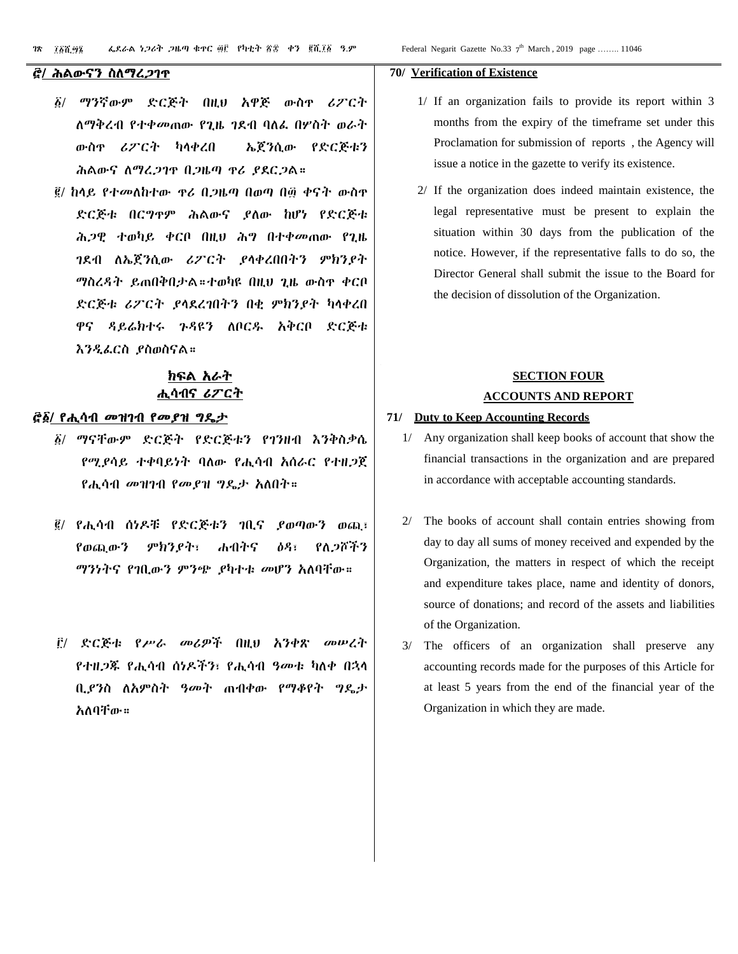#### ፸/ ሕልውናን ስለማረጋገጥ

- ፩/ ማንኛውም ድርጅት በዚህ አዋጅ ውስጥ ሪፖርት ለማቅረብ የተቀመጠው የጊዜ ገደብ ባለፈ በሦስት ወራት ውስጥ ሪፖርት ካላቀረበ ኤጀንሲው የድርጅቱን ሕልውና ለማረጋገጥ በጋዜጣ ጥሪ ያደርጋል።
- ፪/ ከላይ የተመለከተው ጥሪ በጋዜጣ በወጣ በ፴ ቀናት ውስጥ ድርጅቱ በርግጥም ሕልውና ያለው ከሆነ የድርጅቱ ሕጋዊ ተወካይ ቀርቦ በዚህ ሕግ በተቀመጠው የጊዜ ገደብ ለኤጀንሲው ሪፖርት ያላቀረበበትን ምክንያት ማስረዳት ይጠበቅበታል።ተወካዩ በዚህ ጊዜ ውስጥ ቀርቦ ድርጅቱ ሪፖርት ያላደረገበትን በቂ ምክንያት ካላቀረበ ዋና ዳይሬክተሩ ጉዳዩን ለቦርዱ አቅርቦ ድርጅቱ እንዲፈርስ ያስወስናል።

### ክፍል አራት ሒሳብና ሪፖርት

#### ፸፩/ የሒሳብ መዝገብ የመያዝ ግዴታ

- ፩/ ማናቸውም ድርጅት የድርጅቱን የገንዘብ እንቅስቃሴ የሚያሳይ ተቀባይነት ባለው የሒሳብ አሰራር የተዘጋጀ የሒሳብ መዝገብ የመያዝ ግዴታ አለበት።
- ፪/ የሒሳብ ሰነዶቹ የድርጅቱን ገቢና ያወጣውን ወጪ፣ የወጪውን ምክንያት፣ ሐብትና ዕዳ፣ የለጋሾችን ማንነትና የገቢውን ምንጭ ያካተቱ መሆን አለባቸው።
- ፫/ ድርጅቱ የሥራ መሪዎች በዚህ አንቀጽ መሠረት የተዘጋጁ የሒሳብ ሰነዶችን፣ የሒሳብ ዓመቱ ካለቀ በኋላ ቢያንስ ለአምስት ዓመት ጠብቀው የማቆየት ግዴታ አለባቸው።

#### **70/ Verification of Existence**

- 1/ If an organization fails to provide its report within 3 months from the expiry of the timeframe set under this Proclamation for submission of reports , the Agency will issue a notice in the gazette to verify its existence.
- 2/ If the organization does indeed maintain existence, the legal representative must be present to explain the situation within 30 days from the publication of the notice. However, if the representative falls to do so, the Director General shall submit the issue to the Board for the decision of dissolution of the Organization.

# **SECTION FOUR ACCOUNTS AND REPORT**

#### **71/ Duty to Keep Accounting Records**

- 1/ Any organization shall keep books of account that show the financial transactions in the organization and are prepared in accordance with acceptable accounting standards.
- The books of account shall contain entries showing from day to day all sums of money received and expended by the Organization, the matters in respect of which the receipt and expenditure takes place, name and identity of donors, source of donations; and record of the assets and liabilities of the Organization.
- The officers of an organization shall preserve any accounting records made for the purposes of this Article for at least 5 years from the end of the financial year of the Organization in which they are made.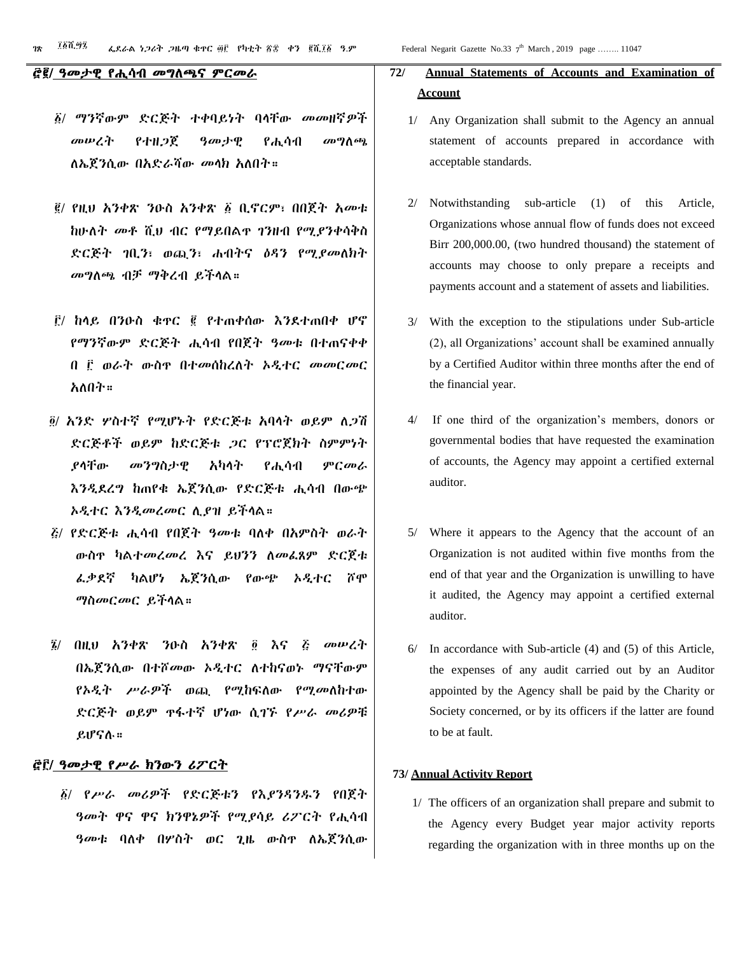#### ፸፪/ ዓመታዊ የሒሳብ መግለጫና ምርመራ

- ፩/ ማንኛውም ድርጅት ተቀባይነት ባላቸው መመዘኛዎች መሠረት የተዘጋጀ ዓመታዊ የሒሳብ መግለጫ ለኤጀንሲው በአድራሻው መላክ አለበት።
- ፪/ የዚህ አንቀጽ ንዑስ አንቀጽ ፩ ቢኖርም፣ በበጀት አመቱ ከሁለት መቶ ሺህ ብር የማይበልጥ ገንዘብ የሚያንቀሳቅስ ድርጅት ገቢን፣ ወጪን፣ ሐብትና ዕዳን የሚያመለክት መግለጫ ብቻ ማቅረብ ይችላል።
- ፫/ ከላይ በንዑስ ቁጥር ፪ የተጠቀሰው እንደተጠበቀ ሆኖ የማንኛውም ድርጅት ሒሳብ የበጀት ዓመቱ በተጠናቀቀ በ ፫ ወራት ውስጥ በተመሰከረለት ኦዲተር መመርመር አለበት።
- ፬/ አንድ ሦስተኛ የሚሆኑት የድርጅቱ አባላት ወይም ለጋሽ ድርጅቶች ወይም ከድርጅቱ ጋር የፕሮጀክት ስምምነት ያላቸው መንግስታዊ አካላት የሒሳብ ምርመራ እንዲደረግ ከጠየቁ ኤጀንሲው የድርጅቱ ሒሳብ በውጭ ኦዲተር እንዲመረመር ሊያዝ ይችላል።
- ፭/ የድርጅቱ ሒሳብ የበጀት ዓመቱ ባለቀ በአምስት ወራት ውስጥ ካልተመረመረ እና ይህንን ለመፈጸም ድርጀቱ ፈቃደኛ ካልሆነ ኤጀንሲው የውጭ ኦዲተር ሾሞ ማስመርመር ይችላል።
- ፮/ በዚህ አንቀጽ ንዑስ አንቀጽ ፬ እና ፭ መሠረት በኤጀንሲው በተሾመው ኦዲተር ለተከናወኑ ማናቸውም የኦዲት ሥራዎች ወጪ የሚከፍለው የሚመለከተው ድርጅት ወይም ጥፋተኛ ሆነው ሲገኙ የሥራ መሪዎቹ ይሆናሉ።

#### ፸፫/ ዓመታዊ የሥራ ክንውን ሪፖርት

፩/ የሥራ መሪዎች የድርጅቱን የእያንዳንዱን የበጀት ዓመት ዋና ዋና ክንዋኔዎች የሚያሳይ ሪፖርት የሒሳብ ዓመቱ ባለቀ በሦስት ወር ጊዜ ውስጥ ለኤጀንሲው

# **72/ Annual Statements of Accounts and Examination of Account**

- 1/ Any Organization shall submit to the Agency an annual statement of accounts prepared in accordance with acceptable standards.
- 2/ Notwithstanding sub-article (1) of this Article, Organizations whose annual flow of funds does not exceed Birr 200,000.00, (two hundred thousand) the statement of accounts may choose to only prepare a receipts and payments account and a statement of assets and liabilities.
- 3/ With the exception to the stipulations under Sub-article (2), all Organizations' account shall be examined annually by a Certified Auditor within three months after the end of the financial year.
- 4/ If one third of the organization's members, donors or governmental bodies that have requested the examination of accounts, the Agency may appoint a certified external auditor.
- 5/ Where it appears to the Agency that the account of an Organization is not audited within five months from the end of that year and the Organization is unwilling to have it audited, the Agency may appoint a certified external auditor.
- 6/ In accordance with Sub-article (4) and (5) of this Article, the expenses of any audit carried out by an Auditor appointed by the Agency shall be paid by the Charity or Society concerned, or by its officers if the latter are found to be at fault.

#### **73/ Annual Activity Report**

1/ The officers of an organization shall prepare and submit to the Agency every Budget year major activity reports regarding the organization with in three months up on the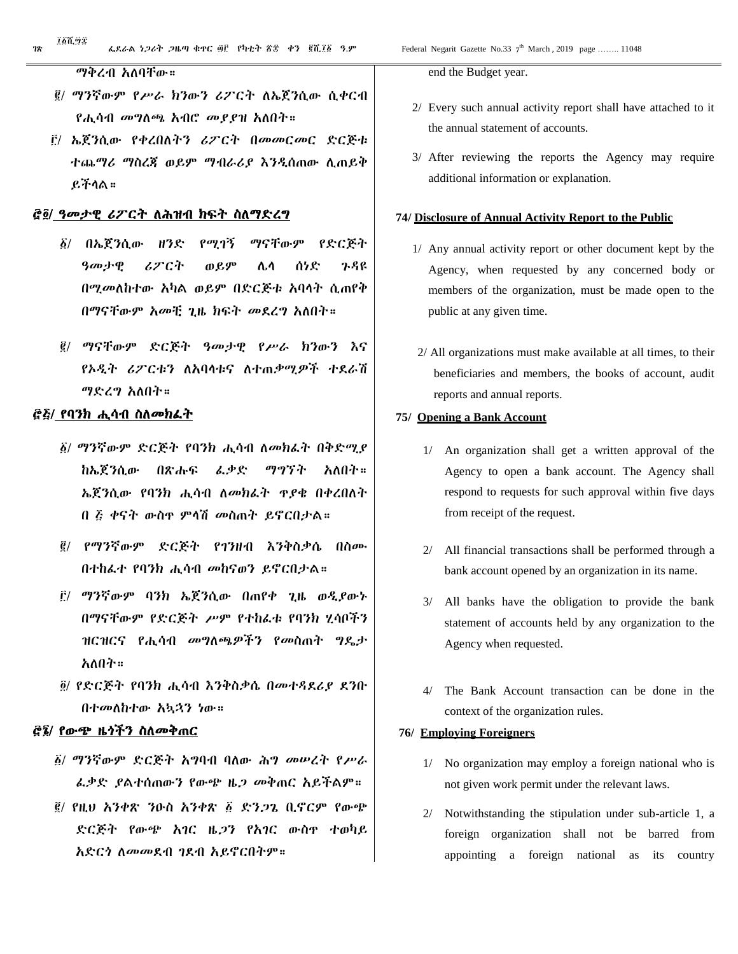#### ማቅረብ አለባቸው።

- ፪/ ማንኛውም የሥራ ክንውን ሪፖርት ለኤጀንሲው ሲቀርብ የሒሳብ መግለጫ አብሮ መያያዝ አለበት።
- ፫/ ኤጀንሲው የቀረበለትን ሪፖርት በመመርመር ድርጅቱ ተጨማሪ ማስረጃ ወይም ማብራሪያ እንዲሰጠው ሊጠይቅ ይችላል።

#### ፸፬/ ዓመታዊ ሪፖርት ለሕዝብ ክፍት ስለማድረግ

- ፩/ በኤጀንሲው ዘንድ የሚገኝ ማናቸውም የድርጅት ዓመታዊ ሪፖርት ወይም ሌላ ሰነድ ጉዳዩ በሚመለከተው አካል ወይም በድርጅቱ አባላት ሲጠየቅ በማናቸውም አመቺ ጊዜ ክፍት መደረግ አለበት።
- ፪/ ማናቸውም ድርጅት ዓመታዊ የሥራ ክንውን እና የኦዲት ሪፖርቱን ለአባላቱና ለተጠቃሚዎች ተደራሽ ማድረግ አለበት።

#### ፸፭/ የባንክ ሒሳብ ስለመክፈት

- ፩/ ማንኛውም ድርጅት የባንክ ሒሳብ ለመክፈት በቅድሚያ ከኤጀንሲው በጽሑፍ ፈቃድ ማግኘት አለበት። ኤጀንሲው የባንክ ሒሳብ ለመክፈት ጥያቄ በቀረበለት በ ፭ ቀናት ውስጥ ምላሽ መስጠት ይኖርበታል።
- ፪/ የማንኛውም ድርጅት የገንዘብ እንቅስቃሴ በስሙ በተከፈተ የባንክ ሒሳብ መከናወን ይኖርበታል።
- ፫/ ማንኛውም ባንክ ኤጀንሲው በጠየቀ ጊዜ ወዲያውኑ በማናቸውም የድርጅት ሥም የተከፈቱ የባንክ ሂሳቦችን ዝርዝርና የሒሳብ መግለጫዎችን የመስጠት ግዴታ አለበት።
- ፬/ የድርጅት የባንክ ሒሳብ እንቅስቃሴ በመተዳደሪያ ደንቡ በተመለከተው አኳኋን ነው።

#### ፸፮/ የውጭ ዜጎችን ስለመቅጠር

- ፩/ ማንኛውም ድርጅት አግባብ ባለው ሕግ መሠረት የሥራ ፈቃድ ያልተሰጠውን የውጭ ዜጋ መቅጠር አይችልም።
- ፪/ የዚህ አንቀጽ ንዑስ አንቀጽ ፩ ድንጋጌ ቢኖርም የውጭ ድርጅት የውጭ አገር ዜጋን የአገር ውስጥ ተወካይ አድርጎ ለመመደብ ገደብ አይኖርበትም።

end the Budget year.

- 2/ Every such annual activity report shall have attached to it the annual statement of accounts.
- 3/ After reviewing the reports the Agency may require additional information or explanation.

#### **74/ Disclosure of Annual Activity Report to the Public**

- 1/ Any annual activity report or other document kept by the Agency, when requested by any concerned body or members of the organization, must be made open to the public at any given time.
- 2/ All organizations must make available at all times, to their beneficiaries and members, the books of account, audit reports and annual reports.

#### **75/ Opening a Bank Account**

- 1/ An organization shall get a written approval of the Agency to open a bank account. The Agency shall respond to requests for such approval within five days from receipt of the request.
- 2/ All financial transactions shall be performed through a bank account opened by an organization in its name.
- 3/ All banks have the obligation to provide the bank statement of accounts held by any organization to the Agency when requested.
- 4/ The Bank Account transaction can be done in the context of the organization rules.

#### **76/ Employing Foreigners**

- 1/ No organization may employ a foreign national who is not given work permit under the relevant laws.
- 2/ Notwithstanding the stipulation under sub-article 1, a foreign organization shall not be barred from appointing a foreign national as its country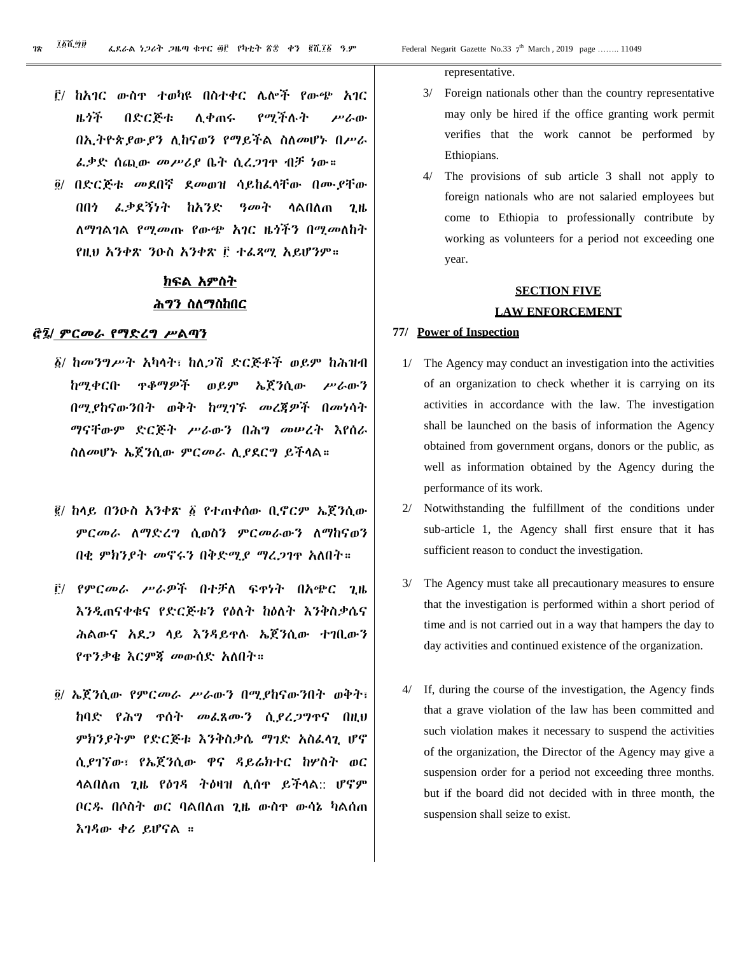- ፫/ ከአገር ውስጥ ተወካዩ በስተቀር ሌሎች የውጭ አገር ዜጎች በድርጅቱ ሊቀጠሩ የሚችሉት ሥራው በኢትዮጵያውያን ሊከናወን የማይችል ስለመሆኑ በሥራ ፈቃድ ሰጪው መሥሪያ ቤት ሲረጋገጥ ብቻ ነው።
- ፬/ በድርጅቱ መደበኛ ደመወዝ ሳይከፈላቸው በሙያቸው በበጎ ፈቃደኝነት ከአንድ ዓመት ላልበለጠ ጊዜ ለማገልገል የሚመጡ የውጭ አገር ዜጎችን በሚመለከት የዚህ አንቀጽ ንዑስ አንቀጽ ፫ ተፈጻሚ አይሆንም።

# ክፍል አምስት ሕግን ስለማስከበር

#### ፸፯/ ምርመራ የማድረግ ሥልጣን

- ፩/ ከመንግሥት አካላት፣ ከለጋሽ ድርጅቶች ወይም ከሕዝብ ከሚቀርቡ ጥቆማዎች ወይም ኤጀንሲው ሥራውን በሚያከናውንበት ወቅት ከሚገኙ መረጃዎች በመነሳት ማናቸውም ድርጅት ሥራውን በሕግ መሠረት እየሰራ ስለመሆኑ ኤጀንሲው ምርመራ ሊያደርግ ይችላል።
- ፪/ ከላይ በንዑስ አንቀጽ ፩ የተጠቀሰው ቢኖርም ኤጀንሲው ምርመራ ለማድረግ ሲወስን ምርመራውን ለማከናወን በቂ ምክንያት መኖሩን በቅድሚያ ማረጋገጥ አለበት።
- ፫/ የምርመራ ሥራዎች በተቻለ ፍጥነት በአጭር ጊዜ እንዲጠናቀቁና የድርጅቱን የዕለት ከዕለት እንቅስቃሴና ሕልውና አደጋ ላይ እንዳይጥሉ ኤጀንሲው ተገቢውን የጥንቃቄ እርምጃ መውሰድ አለበት።
- ፬/ ኤጀንሲው የምርመራ ሥራውን በሚያከናውንበት ወቅት፣ ከባድ የሕግ ጥሰት መፈጸሙን ሲያረጋግጥና በዚህ ምክንያትም የድርጅቱ እንቅስቃሴ ማገድ አስፈላጊ ሆኖ ሲያገኘው፣ የኤጀንሲው ዋና ዳይሬክተር ከሦስት ወር ላልበለጠ ጊዜ የዕገዳ ትዕዛዝ ሊሰጥ ይችላል:: ሆኖም ቦርዱ በሶስት ወር ባልበለጠ ጊዜ ውስጥ ውሳኔ ካልሰጠ እገዳው ቀሪ ይሆናል ።

representative.

- 3/ Foreign nationals other than the country representative may only be hired if the office granting work permit verifies that the work cannot be performed by Ethiopians.
- 4/ The provisions of sub article 3 shall not apply to foreign nationals who are not salaried employees but come to Ethiopia to professionally contribute by working as volunteers for a period not exceeding one year.

# **SECTION FIVE LAW ENFORCEMENT**

#### **77/ Power of Inspection**

- 1/ The Agency may conduct an investigation into the activities of an organization to check whether it is carrying on its activities in accordance with the law. The investigation shall be launched on the basis of information the Agency obtained from government organs, donors or the public, as well as information obtained by the Agency during the performance of its work.
- 2/ Notwithstanding the fulfillment of the conditions under sub-article 1, the Agency shall first ensure that it has sufficient reason to conduct the investigation.
- 3/ The Agency must take all precautionary measures to ensure that the investigation is performed within a short period of time and is not carried out in a way that hampers the day to day activities and continued existence of the organization.
- 4/ If, during the course of the investigation, the Agency finds that a grave violation of the law has been committed and such violation makes it necessary to suspend the activities of the organization, the Director of the Agency may give a suspension order for a period not exceeding three months. but if the board did not decided with in three month, the suspension shall seize to exist.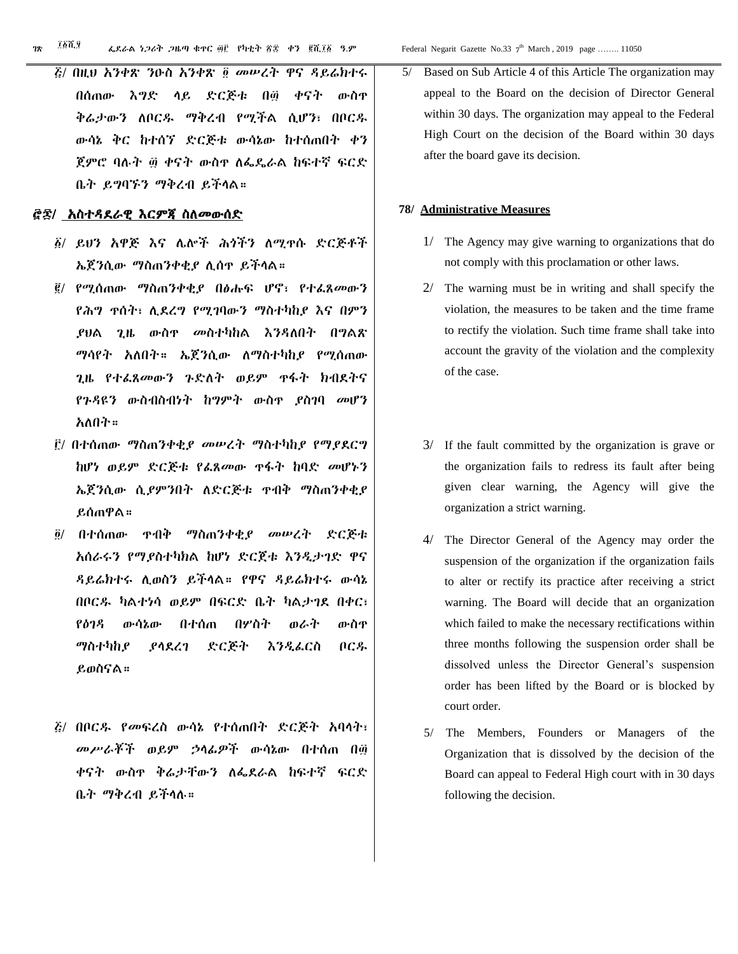፭/ በዚህ አንቀጽ ንዑስ አንቀጽ ፬ መሠረት ዋና ዳይሬክተሩ በሰጠው እግድ ላይ ድርጅቱ በ፴ ቀናት ውስጥ ቅሬታውን ለቦርዱ ማቅረብ የሚችል ሲሆን፣ በቦርዱ ውሳኔ ቅር ከተሰኘ ድርጅቱ ውሳኔው ከተሰጠበት ቀን ጀምሮ ባሉት ፴ ቀናት ውስጥ ለፌዴራል ከፍተኛ ፍርድ ቤት ይግባኙን ማቅረብ ይችላል።

#### ፸፷/ አስተዳደራዊ እርምጃ ስለመውሰድ

- ፩/ ይህን አዋጅ እና ሌሎች ሕጎችን ለሚጥሱ ድርጅቶች ኤጀንሲው ማስጠንቀቂያ ሊሰጥ ይችላል።
- ፪/ የሚሰጠው ማስጠንቀቂያ በፅሑፍ ሆኖ፣ የተፈጸመውን የሕግ ጥሰት፣ ሊደረግ የሚገባውን ማስተካከያ እና በምን ያህል ጊዜ ውስጥ መስተካከል እንዳለበት በግልጽ ማሳየት አለበት። ኤጀንሲው ለማስተካከያ የሚሰጠው ጊዜ የተፈጸመውን ጉድለት ወይም ጥፋት ክብደትና የጉዳዩን ውስብስብነት ከግምት ውስጥ ያስገባ መሆን አለበት።
- ፫/ በተሰጠው ማስጠንቀቂያ መሠረት ማስተካከያ የማያደርግ ከሆነ ወይም ድርጅቱ የፈጸመው ጥፋት ከባድ መሆኑን ኤጀንሲው ሲያምንበት ለድርጅቱ ጥብቅ ማስጠንቀቂያ ይሰጠዋል።
- ፬/ በተሰጠው ጥብቅ ማስጠንቀቂያ መሠረት ድርጅቱ አሰራሩን የማያስተካክል ከሆነ ድርጀቱ እንዲታገድ ዋና ዳይሬክተሩ ሊወስን ይችላል። የዋና ዳይሬክተሩ ውሳኔ በቦርዱ ካልተነሳ ወይም በፍርድ ቤት ካልታገደ በቀር፣ የዕገዳ ውሳኔው በተሰጠ በሦስት ወራት ውስጥ ማስተካከያ ያላደረገ ድርጅት እንዲፈርስ ቦርዱ ይወስናል።
- ፭/ በቦርዱ የመፍረስ ውሳኔ የተሰጠበት ድርጅት አባላት፣ መሥራቾች ወይም ኃላፊዎች ውሳኔው በተሰጠ በ፴ ቀናት ውስጥ ቅሬታቸውን ለፌደራል ከፍተኛ ፍርድ ቤት ማቅረብ ይችላሉ።

5/ Based on Sub Article 4 of this Article The organization may appeal to the Board on the decision of Director General within 30 days. The organization may appeal to the Federal High Court on the decision of the Board within 30 days after the board gave its decision.

#### **78/ Administrative Measures**

- 1/ The Agency may give warning to organizations that do not comply with this proclamation or other laws.
- 2/ The warning must be in writing and shall specify the violation, the measures to be taken and the time frame to rectify the violation. Such time frame shall take into account the gravity of the violation and the complexity of the case.
- 3/ If the fault committed by the organization is grave or the organization fails to redress its fault after being given clear warning, the Agency will give the organization a strict warning.
- 4/ The Director General of the Agency may order the suspension of the organization if the organization fails to alter or rectify its practice after receiving a strict warning. The Board will decide that an organization which failed to make the necessary rectifications within three months following the suspension order shall be dissolved unless the Director General's suspension order has been lifted by the Board or is blocked by court order.
- 5/ The Members, Founders or Managers of the Organization that is dissolved by the decision of the Board can appeal to Federal High court with in 30 days following the decision.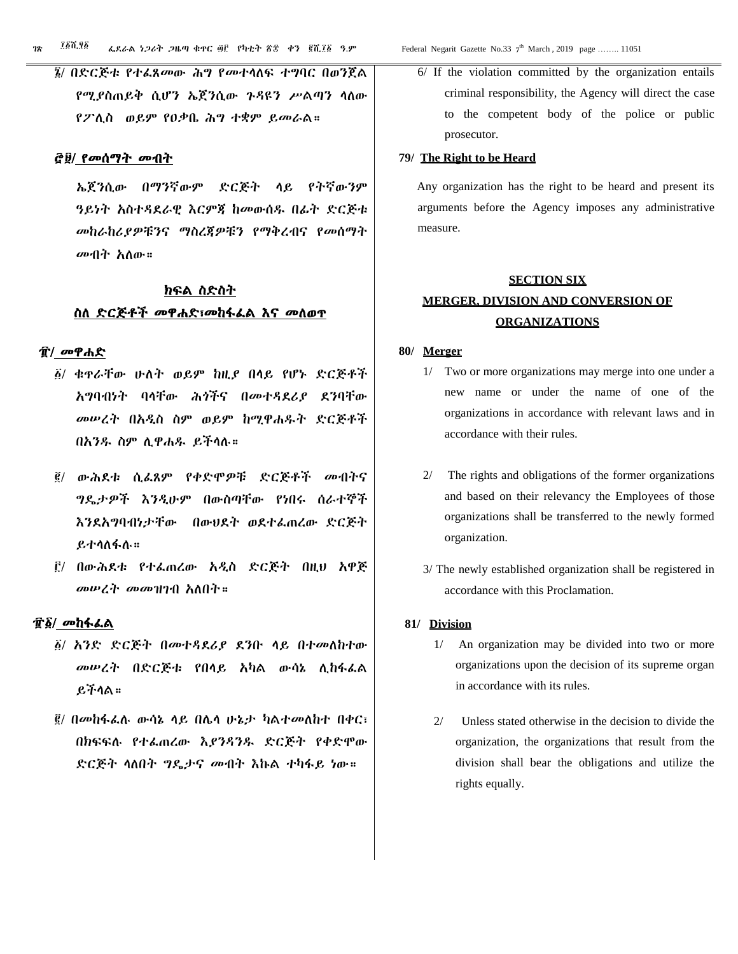#### ፸፱/ የመሰማት መብት

ኤጀንሲው በማንኛውም ድርጅት ላይ የትኛውንም ዓይነት አስተዳደራዊ እርምጃ ከመውሰዱ በፊት ድርጅቱ መከራከሪያዎቹንና ማስረጃዎቹን የማቅረብና የመሰማት መብት አለው።

# ክፍል ስድስት ስለ ድርጅቶች መዋሐድ፣መከፋፈል እና መለወጥ

#### ፹/ መዋሐድ

- ፩/ ቁጥራቸው ሁለት ወይም ከዚያ በላይ የሆኑ ድርጅቶች አግባብነት ባላቸው ሕጎችና በመተዳደሪያ ደንባቸው መሠረት በአዲስ ስም ወይም ከሚዋሐዱት ድርጅቶች በአንዱ ስም ሊዋሐዱ ይችላሉ።
- ፪/ ውሕደቱ ሲፈጸም የቀድሞዎቹ ድርጅቶች መብትና ግዴታዎች እንዲሁም በውስጣቸው የነበሩ ሰራተኞች እንደአግባብነታቸው በውህደት ወደተፈጠረው ድርጅት ይተላለፋሉ።
- ፫/ በውሕደቱ የተፈጠረው አዲስ ድርጅት በዚህ አዋጅ መሠረት መመዝገብ አለበት።

#### ፹፩/ መከፋፈል

- ፩/ አንድ ድርጅት በመተዳደሪያ ደንቡ ላይ በተመለከተው መሠረት በድርጅቱ የበላይ አካል ውሳኔ ሊከፋፈል ይችላል።
- ፪/ በመከፋፈሉ ውሳኔ ላይ በሌላ ሁኔታ ካልተመለከተ በቀር፣ በክፍፍሉ የተፈጠረው እያንዳንዱ ድርጅት የቀድሞው ድርጅት ላለበት ግዴታና መብት እኩል ተካፋይ ነው።

 6/ If the violation committed by the organization entails criminal responsibility, the Agency will direct the case to the competent body of the police or public prosecutor.

#### **79/ The Right to be Heard**

 Any organization has the right to be heard and present its arguments before the Agency imposes any administrative measure.

# **SECTION SIX MERGER, DIVISION AND CONVERSION OF ORGANIZATIONS**

#### **80/ Merger**

- 1/ Two or more organizations may merge into one under a new name or under the name of one of the organizations in accordance with relevant laws and in accordance with their rules.
- 2/ The rights and obligations of the former organizations and based on their relevancy the Employees of those organizations shall be transferred to the newly formed organization.
- 3/ The newly established organization shall be registered in accordance with this Proclamation.

#### **81/ Division**

- 1/ An organization may be divided into two or more organizations upon the decision of its supreme organ in accordance with its rules.
- 2/ Unless stated otherwise in the decision to divide the organization, the organizations that result from the division shall bear the obligations and utilize the rights equally.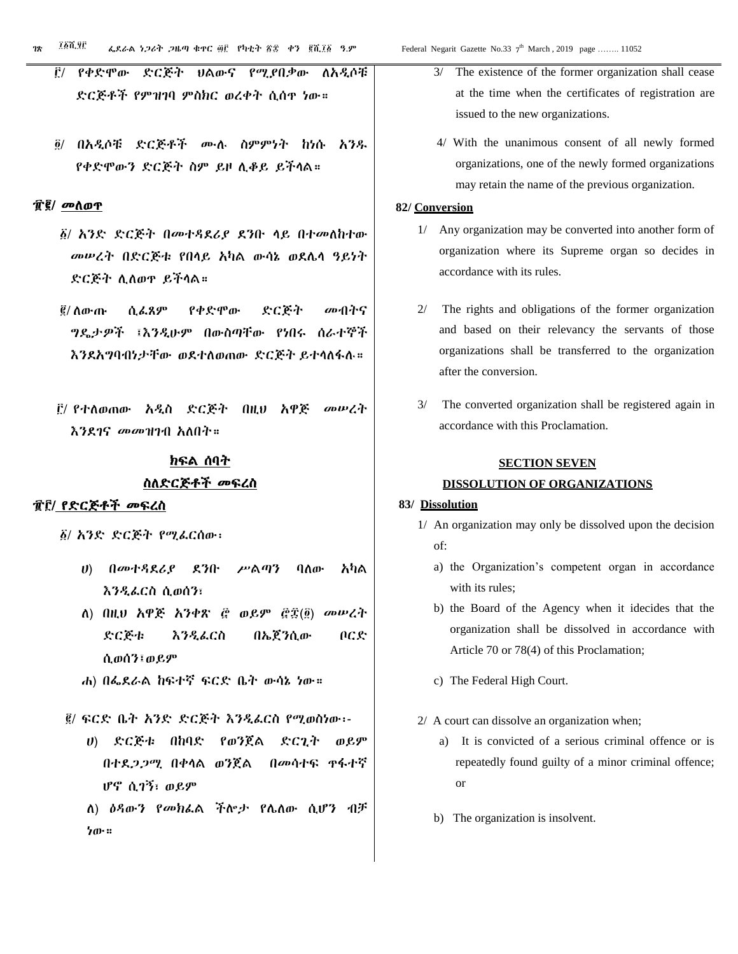- ፫/ የቀድሞው ድርጅት ህልውና የሚያበቃው ለአዲሶቹ ድርጅቶች የምዝገባ ምስክር ወረቀት ሲሰጥ ነው።
- ፬/ በአዲሶቹ ድርጅቶች ሙሉ ስምምነት ከነሱ አንዱ የቀድሞውን ድርጅት ስም ይዞ ሊቆይ ይችላል።

#### ፹፪/ መለወጥ

- ፩/ አንድ ድርጅት በመተዳደሪያ ደንቡ ላይ በተመለከተው መሠረት በድርጅቱ የበላይ አካል ውሳኔ ወደሌላ ዓይነት ድርጅት ሊለወጥ ይችላል።
- ፪/ ለውጡ ሲፈጸም የቀድሞው ድርጅት መብትና ግዴታዎች ፤እንዲሁም በውስጣቸው የነበሩ ሰራተኞች እንደአግባብነታቸው ወደተለወጠው ድርጅት ይተላለፋሉ።
- ፫/ የተለወጠው አዲስ ድርጅት በዚህ አዋጅ መሠረት እንደገና መመዝገብ አለበት።

# ክፍል ሰባት ስለድርጅቶች መፍረስ

#### ፹፫/ የድርጅቶች መፍረስ

፩/ አንድ ድርጅት የሚፈርሰው፡

- ሀ) በመተዳደሪያ ደንቡ ሥልጣን ባለው አካል እንዲፈርስ ሲወሰን፣
- ለ) በዚህ አዋጅ አንቀጽ ፸ ወይም ፸፰(፬) መሠረት ድርጅቱ እንዲፈርስ በኤጀንሲው ቦርድ ሲወሰን፤ወይም
- ሐ) በፌደራል ከፍተኛ ፍርድ ቤት ውሳኔ ነው።
- ፪/ ፍርድ ቤት አንድ ድርጅት እንዲፈርስ የሚወስነው፡-
	- ሀ) ድርጅቱ በከባድ የወንጀል ድርጊት ወይም በተደጋጋሚ በቀላል ወንጀል በመሳተፍ ጥፋተኛ ሆኖ ሲገኝ፣ ወይም
	- ለ) ዕዳውን የመክፈል ችሎታ የሌለው ሲሆን ብቻ ነው።
- 3/ The existence of the former organization shall cease at the time when the certificates of registration are issued to the new organizations.
- 4/ With the unanimous consent of all newly formed organizations, one of the newly formed organizations may retain the name of the previous organization.

#### **82/ Conversion**

- 1/ Any organization may be converted into another form of organization where its Supreme organ so decides in accordance with its rules.
- 2/ The rights and obligations of the former organization and based on their relevancy the servants of those organizations shall be transferred to the organization after the conversion.
- 3/ The converted organization shall be registered again in accordance with this Proclamation.

#### **SECTION SEVEN**

#### **DISSOLUTION OF ORGANIZATIONS**

#### **83/ Dissolution**

- 1/ An organization may only be dissolved upon the decision of:
	- a) the Organization's competent organ in accordance with its rules;
	- b) the Board of the Agency when it idecides that the organization shall be dissolved in accordance with Article 70 or 78(4) of this Proclamation;
	- c) The Federal High Court.
- 2/ A court can dissolve an organization when;
	- a) It is convicted of a serious criminal offence or is repeatedly found guilty of a minor criminal offence; or
	- b) The organization is insolvent.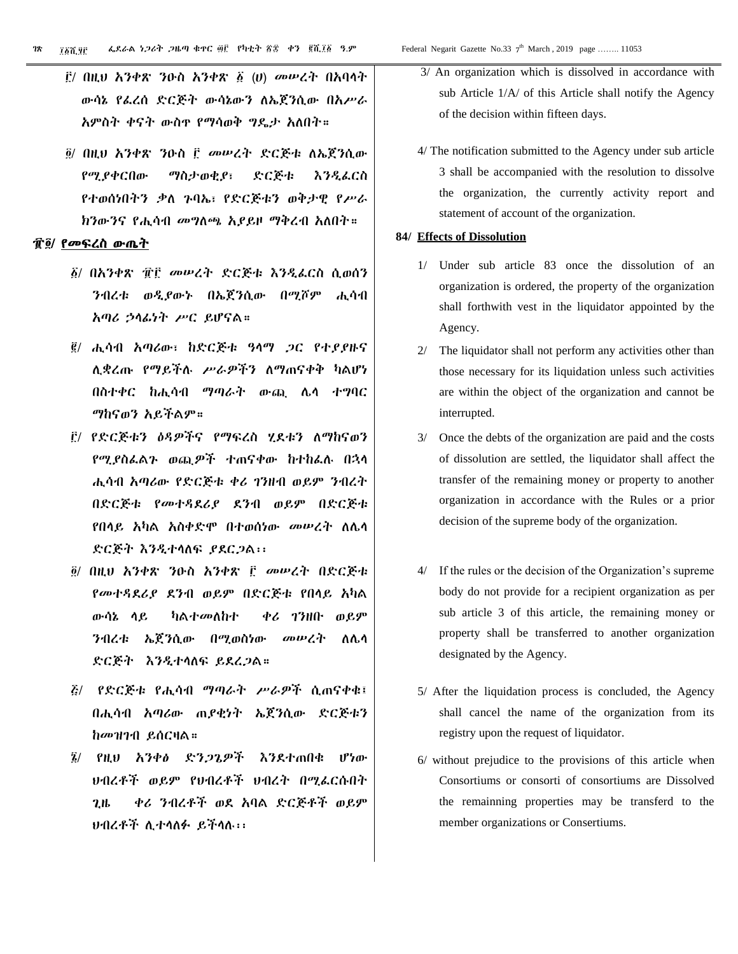- ፫/ በዚህ አንቀጽ ንዑስ አንቀጽ ፩ (ሀ) መሠረት በአባላት ውሳኔ የፈረሰ ድርጅት ውሳኔውን ለኤጀንሲው በአሥራ አምስት ቀናት ውስጥ የማሳወቅ ግዴታ አለበት።
- ፬/ በዚህ አንቀጽ ንዑስ ፫ መሠረት ድርጅቱ ለኤጀንሲው የሚያቀርበው ማስታወቂያ፣ ድርጅቱ እንዲፈርስ የተወሰነበትን ቃለ ጉባኤ፣ የድርጅቱን ወቅታዊ የሥራ ክንውንና የሒሳብ መግለጫ አያይዞ ማቅረብ አለበት።

#### ፹፬/ የመፍረስ ውጤት

- ፩/ በአንቀጽ ፹፫ መሠረት ድርጅቱ እንዲፈርስ ሲወሰን ንብረቱ ወዲያውኑ በኤጀንሲው በሚሾም ሒሳብ አጣሪ ኃላፊነት ሥር ይሆናል።
- ፪/ ሒሳብ አጣሪው፣ ከድርጅቱ ዓላማ ጋር የተያያዙና ሊቋረጡ የማይችሉ ሥራዎችን ለማጠናቀቅ ካልሆነ በስተቀር ከሒሳብ ማጣራት ውጪ ሌላ ተግባር ማከናወን አይችልም።
- ፫/ የድርጅቱን ዕዳዎችና የማፍረስ ሂደቱን ለማከናወን የሚያስፈልጉ ወጪዎች ተጠናቀው ከተከፈሉ በኋላ ሒሳብ አጣሪው የድርጅቱ ቀሪ ገንዘብ ወይም ንብረት በድርጅቱ የመተዳደሪያ ደንብ ወይም በድርጅቱ የበላይ አካል አስቀድሞ በተወሰነው መሠረት ለሌላ ድርጅት እንዲተላለፍ ያደርጋል፡፡
- ፬/ በዚህ አንቀጽ ንዑስ አንቀጽ ፫ መሠረት በድርጅቱ የመተዳደሪያ ደንብ ወይም በድርጅቱ የበላይ አካል ውሳኔ ላይ ካልተመለከተ ቀሪ ገንዘቡ ወይም ንብረቱ ኤጀንሲው በሚወስነው መሠረት ለሌላ ድርጅት እንዲተላለፍ ይደረጋል።
- ፭/ የድርጅቱ የሒሳብ ማጣራት ሥራዎች ሲጠናቀቁ፤ በሒሳብ አጣሪው ጠያቂነት ኤጀንሲው ድርጅቱን ከመዝገብ ይሰርዛል።
- ፮/ የዚህ አንቀፅ ድንጋጌዎች እንደተጠበቁ ሆነው ህብረቶች ወይም የህብረቶች ህብረት በሚፈርሱበት ጊዜ ቀሪ ንብረቶች ወደ አባል ድርጅቶች ወይም ህብረቶች ሊተላለፉ ይችላሉ፡፡
- 3/ An organization which is dissolved in accordance with sub Article 1/A/ of this Article shall notify the Agency of the decision within fifteen days.
- 4/ The notification submitted to the Agency under sub article 3 shall be accompanied with the resolution to dissolve the organization, the currently activity report and statement of account of the organization.

#### **84/ Effects of Dissolution**

- 1/ Under sub article 83 once the dissolution of an organization is ordered, the property of the organization shall forthwith vest in the liquidator appointed by the Agency.
- 2/ The liquidator shall not perform any activities other than those necessary for its liquidation unless such activities are within the object of the organization and cannot be interrupted.
- 3/ Once the debts of the organization are paid and the costs of dissolution are settled, the liquidator shall affect the transfer of the remaining money or property to another organization in accordance with the Rules or a prior decision of the supreme body of the organization.
- 4/ If the rules or the decision of the Organization's supreme body do not provide for a recipient organization as per sub article 3 of this article, the remaining money or property shall be transferred to another organization designated by the Agency.
- 5/ After the liquidation process is concluded, the Agency shall cancel the name of the organization from its registry upon the request of liquidator.
- 6/ without prejudice to the provisions of this article when Consortiums or consorti of consortiums are Dissolved the remainning properties may be transferd to the member organizations or Consertiums.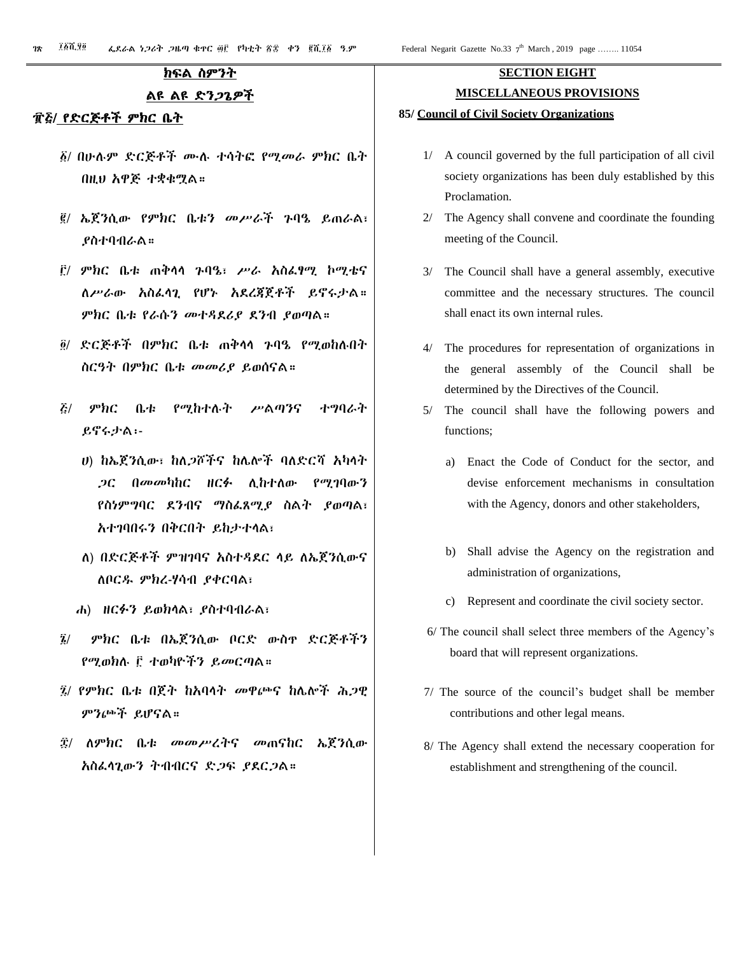#### ክፍል ስምንት

#### ልዩ ልዩ ድንጋጌዎች

#### ፹፭/ የድርጅቶች ምክር ቤት

- ፩/ በሁሉም ድርጅቶች ሙሉ ተሳትፎ የሚመራ ምክር ቤት በዚህ አዋጅ ተቋቁሟል።
- ፪/ ኤጀንሲው የምክር ቤቱን መሥራች ጉባዔ ይጠራል፣ ያስተባብራል።
- ፫/ ምክር ቤቱ ጠቅላላ ጉባዔ፣ ሥራ አስፈፃሚ ኮሚቴና ለሥራው አስፈላጊ የሆኑ አደረጃጀቶች ይኖሩታል። ምክር ቤቱ የራሱን መተዳደሪያ ደንብ ያወጣል።
- ፬/ ድርጅቶች በምክር ቤቱ ጠቅላላ ጉባዔ የሚወከሉበት ስርዓት በምክር ቤቱ መመሪያ ይወሰናል።
- ፭/ ምክር ቤቱ የሚከተሉት ሥልጣንና ተግባራት ይኖሩታል፡-
	- ሀ) ከኤጀንሲው፣ ከለጋሾችና ከሌሎች ባለድርሻ አካላት ጋር በመመካከር ዘርፉ ሊከተለው የሚገባውን የስነምግባር ደንብና ማስፈጸሚያ ስልት ያወጣል፣ አተገባበሩን በቅርበት ይከታተላል፣
	- ለ) በድርጅቶች ምዝገባና አስተዳደር ላይ ለኤጀንሲውና ለቦርዱ ምክረ-ሃሳብ ያቀርባል፣
	- ሐ) ዘርፉን ይወክላል፣ ያስተባብራል፣
- ፮/ ምክር ቤቱ በኤጀንሲው ቦርድ ውስጥ ድርጅቶችን የሚወክሉ ፫ ተወካዮችን ይመርጣል።
- ፯/ የምክር ቤቱ በጀት ከአባላት መዋጮና ከሌሎች ሕጋዊ ምንጮች ይሆናል።
- ፰/ ለምክር ቤቱ መመሥረትና መጠናከር ኤጀንሲው አስፈላጊውን ትብብርና ድጋፍ ያደርጋል።

# **SECTION EIGHT MISCELLANEOUS PROVISIONS**

#### **85/ Council of Civil Society Organizations**

- 1/ A council governed by the full participation of all civil society organizations has been duly established by this Proclamation.
- 2/ The Agency shall convene and coordinate the founding meeting of the Council.
- 3/ The Council shall have a general assembly, executive committee and the necessary structures. The council shall enact its own internal rules.
- 4/ The procedures for representation of organizations in the general assembly of the Council shall be determined by the Directives of the Council.
- 5/ The council shall have the following powers and functions;
	- a) Enact the Code of Conduct for the sector, and devise enforcement mechanisms in consultation with the Agency, donors and other stakeholders,
	- b) Shall advise the Agency on the registration and administration of organizations,
	- c) Represent and coordinate the civil society sector.
- 6/ The council shall select three members of the Agency's board that will represent organizations.
- 7/ The source of the council's budget shall be member contributions and other legal means.
- 8/ The Agency shall extend the necessary cooperation for establishment and strengthening of the council.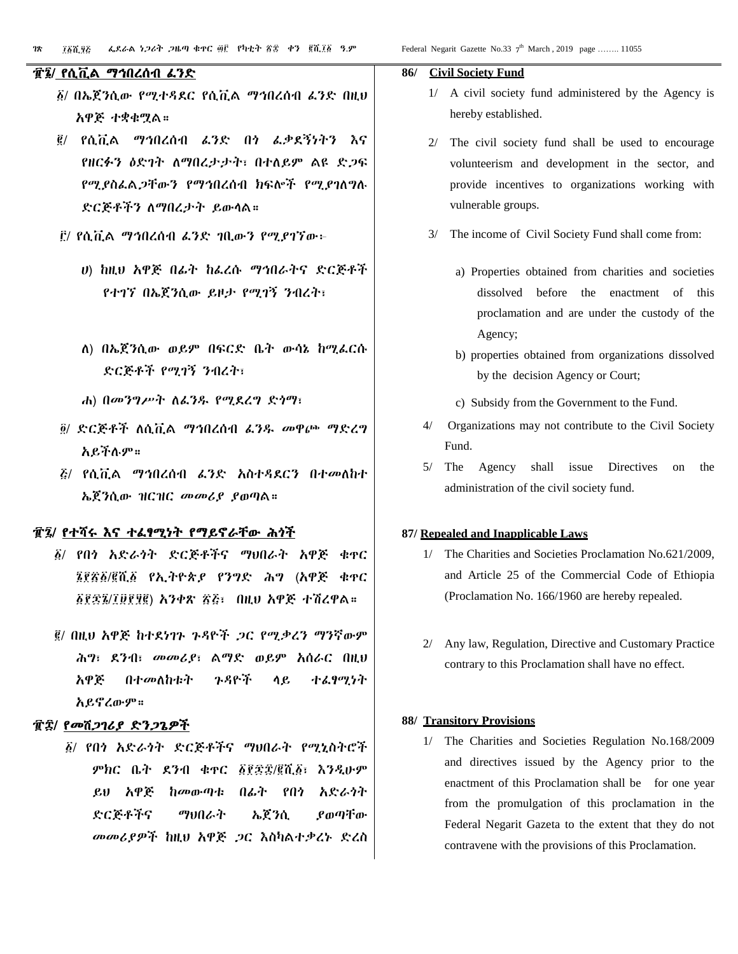#### th March, 2019 page ........ 11055

#### ፹፮/ የሲቪል ማኅበረሰብ ፈንድ

- ፩/ በኤጀንሲው የሚተዳደር የሲቪል ማኅበረሰብ ፈንድ በዚህ አዋጅ ተቋቁሟል።
- ፪/ የሲቪል ማኅበረሰብ ፈንድ በጎ ፈቃደኝነትን እና የዘርፉን ዕድገት ለማበረታታት፣ በተለይም ልዩ ድጋፍ የሚያስፈልጋቸውን የማኅበረሰብ ክፍሎች የሚያገለግሉ ድርጅቶችን ለማበረታት ይውላል።
- ፫/ የሲቪል ማኅበረሰብ ፈንድ ገቢውን የሚያገኘው፦
	- ሀ) ከዚህ አዋጅ በፊት ከፈረሱ ማኅበራትና ድርጅቶች የተገኘ በኤጀንሲው ይዞታ የሚገኝ ንብረት፣
	- ለ) በኤጀንሲው ወይም በፍርድ ቤት ውሳኔ ከሚፈርሱ ድርጅቶች የሚገኝ ንብረት፣
	- ሐ) በመንግሥት ለፈንዱ የሚደረግ ድጎማ፣
- ፬/ ድርጅቶች ለሲቪል ማኅበረሰብ ፈንዱ መዋጮ ማድረግ አይችሉም።
- ፭/ የሲቪል ማኅበረሰብ ፈንድ አስተዳደርን በተመለከተ ኤጀንሲው ዝርዝር መመሪያ ያወጣል።

#### ፹፯/ የተሻሩ እና ተፈፃሚነት የማይኖራቸው ሕጎች

- ፩/ የበጎ አድራጎት ድርጅቶችና ማህበራት አዋጅ ቁጥር ፮፻፳፩/፪ሺ፩ የኢትዮጵያ የንግድ ሕግ (አዋጅ ቁጥር ፩፻፷፮/፲፱፻፶፪) አንቀጽ ፳፭፣ በዚህ አዋጅ ተሽረዋል።
- ፪/ በዚህ አዋጅ ከተደነገጉ ጉዳዮች ጋር የሚቃረን ማንኛውም ሕግ፣ ደንብ፣ መመሪያ፣ ልማድ ወይም አሰራር በዚህ አዋጅ በተመለከቱት ጉዳዮች ላይ ተፈፃሚነት አይኖረውም።

#### ፹፰/ የመሸጋገሪያ ድንጋጌዎች

፩/ የበጎ አድራጎት ድርጅቶችና ማህበራት የሚኒስትሮች ምክር ቤት ደንብ ቁጥር ፩፻፷፰/፪ሺ፩፣ እንዲሁም ይህ አዋጅ ከመውጣቱ በፊት የበጎ አድራጎት ድርጅቶችና ማህበራት ኤጀንሲ ያወጣቸው መመሪያዎች ከዚህ አዋጅ ጋር እስካልተቃረኑ ድረስ

#### **86/ Civil Society Fund**

- 1/ A civil society fund administered by the Agency is hereby established.
- 2/ The civil society fund shall be used to encourage volunteerism and development in the sector, and provide incentives to organizations working with vulnerable groups.
- The income of Civil Society Fund shall come from:
	- a) Properties obtained from charities and societies dissolved before the enactment of this proclamation and are under the custody of the Agency;
	- b) properties obtained from organizations dissolved by the decision Agency or Court;
	- c) Subsidy from the Government to the Fund.
- 4/ Organizations may not contribute to the Civil Society Fund.
- 5/ The Agency shall issue Directives on the administration of the civil society fund.

#### **87/ Repealed and Inapplicable Laws**

- 1/ The Charities and Societies Proclamation No.621/2009, and Article 25 of the Commercial Code of Ethiopia (Proclamation No. 166/1960 are hereby repealed.
- 2/ Any law, Regulation, Directive and Customary Practice contrary to this Proclamation shall have no effect.

#### **88/ Transitory Provisions**

1/ The Charities and Societies Regulation No.168/2009 and directives issued by the Agency prior to the enactment of this Proclamation shall be for one year from the promulgation of this proclamation in the Federal Negarit Gazeta to the extent that they do not contravene with the provisions of this Proclamation.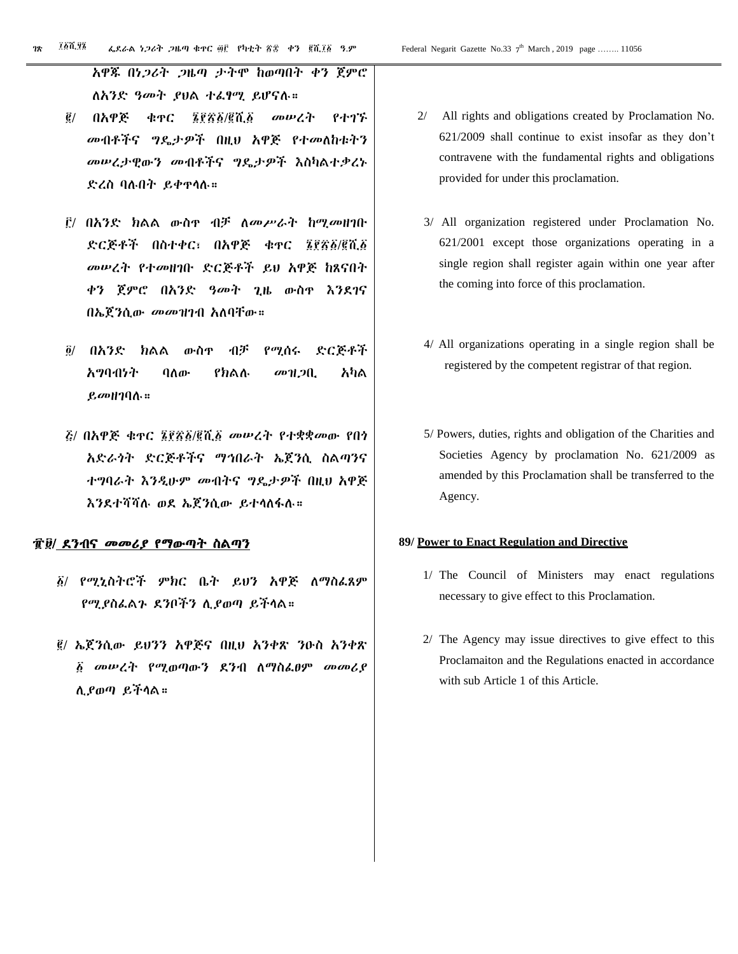አዋጁ በነጋሪት ጋዜጣ ታትሞ ከወጣበት ቀን ጀምሮ ለአንድ ዓመት ያህል ተፈፃሚ ይሆናሉ።

- ፪/ በአዋጅ ቁጥር ፮፻፳፩/፪ሺ፩ መሠረት የተገኙ መብቶችና ግዴታዎች በዚህ አዋጅ የተመለከቱትን መሠረታዊውን መብቶችና ግዴታዎች እስካልተቃረኑ ድረስ ባሉበት ይቀጥላሉ።
- ፫/ በአንድ ክልል ውስጥ ብቻ ለመሥራት ከሚመዘገቡ ድርጅቶች በስተቀር፣ በአዋጅ ቁጥር ፮፻፳፩/፪ሺ፩ መሠረት የተመዘገቡ ድርጅቶች ይህ አዋጅ ከጸናበት ቀን ጀምሮ በአንድ ዓመት ጊዜ ውስጥ እንደገና በኤጀንሲው መመዝገብ አለባቸው።
- ፬/ በአንድ ክልል ውስጥ ብቻ የሚሰሩ ድርጅቶች አግባብነት ባለው የክልሉ መዝጋቢ አካል ይመዘገባሉ።
- ፭/ በአዋጅ ቁጥር ፮፻፳፩/፪ሺ፩ መሠረት የተቋቋመው የበጎ አድራጎት ድርጅቶችና ማኅበራት ኤጀንሲ ስልጣንና ተግባራት እንዲሁም መብትና ግዴታዎች በዚህ አዋጅ እንደተሻሻሉ ወደ ኤጀንሲው ይተላለፋሉ።

#### ፹፱/ ደንብና መመሪያ የማውጣት ስልጣን

- ፩/ የሚኒስትሮች ምክር ቤት ይህን አዋጅ ለማስፈጸም የሚያስፈልጉ ደንቦችን ሊያወጣ ይችላል።
- ፪/ ኤጀንሲው ይህንን አዋጅና በዚህ አንቀጽ ንዑስ አንቀጽ ፩ መሠረት የሚወጣውን ደንብ ለማስፈፀም መመሪያ ሊያወጣ ይችላል።
- 2/ All rights and obligations created by Proclamation No. 621/2009 shall continue to exist insofar as they don't contravene with the fundamental rights and obligations provided for under this proclamation.
- 3/ All organization registered under Proclamation No. 621/2001 except those organizations operating in a single region shall register again within one year after the coming into force of this proclamation.
- 4/ All organizations operating in a single region shall be registered by the competent registrar of that region.
- 5/ Powers, duties, rights and obligation of the Charities and Societies Agency by proclamation No. 621/2009 as amended by this Proclamation shall be transferred to the Agency.

#### **89/ Power to Enact Regulation and Directive**

- 1/ The Council of Ministers may enact regulations necessary to give effect to this Proclamation.
- 2/ The Agency may issue directives to give effect to this Proclamaiton and the Regulations enacted in accordance with sub Article 1 of this Article.